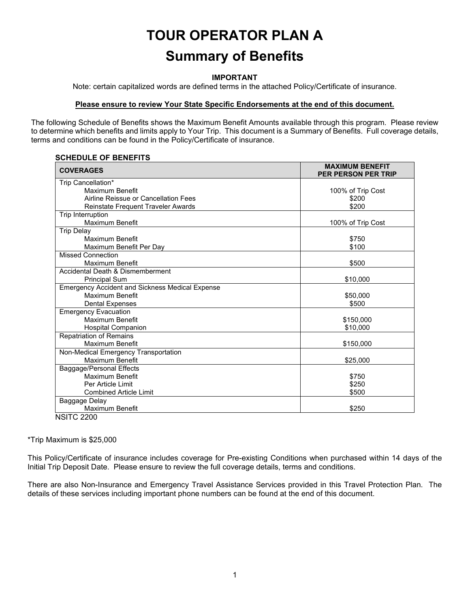# **TOUR OPERATOR PLAN A Summary of Benefits**

#### **IMPORTANT**

Note: certain capitalized words are defined terms in the attached Policy/Certificate of insurance.

#### **Please ensure to review Your State Specific Endorsements at the end of this document.**

The following Schedule of Benefits shows the Maximum Benefit Amounts available through this program. Please review to determine which benefits and limits apply to Your Trip. This document is a Summary of Benefits. Full coverage details, terms and conditions can be found in the Policy/Certificate of insurance.

#### **SCHEDULE OF BENEFITS**

| Trip Cancellation*<br>Maximum Benefit<br>100% of Trip Cost<br>Airline Reissue or Cancellation Fees<br>\$200<br>\$200<br>Reinstate Frequent Traveler Awards<br>Trip Interruption<br>Maximum Benefit<br>100% of Trip Cost<br><b>Trip Delay</b><br>Maximum Benefit<br>\$750<br>\$100<br>Maximum Benefit Per Day<br><b>Missed Connection</b><br>Maximum Benefit<br>\$500<br>Accidental Death & Dismemberment<br>\$10,000<br><b>Principal Sum</b><br><b>Emergency Accident and Sickness Medical Expense</b><br>Maximum Benefit<br>\$50,000<br><b>Dental Expenses</b><br>\$500<br><b>Emergency Evacuation</b> |
|---------------------------------------------------------------------------------------------------------------------------------------------------------------------------------------------------------------------------------------------------------------------------------------------------------------------------------------------------------------------------------------------------------------------------------------------------------------------------------------------------------------------------------------------------------------------------------------------------------|
|                                                                                                                                                                                                                                                                                                                                                                                                                                                                                                                                                                                                         |
|                                                                                                                                                                                                                                                                                                                                                                                                                                                                                                                                                                                                         |
|                                                                                                                                                                                                                                                                                                                                                                                                                                                                                                                                                                                                         |
|                                                                                                                                                                                                                                                                                                                                                                                                                                                                                                                                                                                                         |
|                                                                                                                                                                                                                                                                                                                                                                                                                                                                                                                                                                                                         |
|                                                                                                                                                                                                                                                                                                                                                                                                                                                                                                                                                                                                         |
|                                                                                                                                                                                                                                                                                                                                                                                                                                                                                                                                                                                                         |
|                                                                                                                                                                                                                                                                                                                                                                                                                                                                                                                                                                                                         |
|                                                                                                                                                                                                                                                                                                                                                                                                                                                                                                                                                                                                         |
|                                                                                                                                                                                                                                                                                                                                                                                                                                                                                                                                                                                                         |
|                                                                                                                                                                                                                                                                                                                                                                                                                                                                                                                                                                                                         |
|                                                                                                                                                                                                                                                                                                                                                                                                                                                                                                                                                                                                         |
|                                                                                                                                                                                                                                                                                                                                                                                                                                                                                                                                                                                                         |
|                                                                                                                                                                                                                                                                                                                                                                                                                                                                                                                                                                                                         |
|                                                                                                                                                                                                                                                                                                                                                                                                                                                                                                                                                                                                         |
|                                                                                                                                                                                                                                                                                                                                                                                                                                                                                                                                                                                                         |
|                                                                                                                                                                                                                                                                                                                                                                                                                                                                                                                                                                                                         |
| <b>Maximum Benefit</b><br>\$150,000                                                                                                                                                                                                                                                                                                                                                                                                                                                                                                                                                                     |
| \$10,000<br><b>Hospital Companion</b>                                                                                                                                                                                                                                                                                                                                                                                                                                                                                                                                                                   |
| <b>Repatriation of Remains</b>                                                                                                                                                                                                                                                                                                                                                                                                                                                                                                                                                                          |
| Maximum Benefit<br>\$150,000                                                                                                                                                                                                                                                                                                                                                                                                                                                                                                                                                                            |
| Non-Medical Emergency Transportation                                                                                                                                                                                                                                                                                                                                                                                                                                                                                                                                                                    |
| <b>Maximum Benefit</b><br>\$25,000                                                                                                                                                                                                                                                                                                                                                                                                                                                                                                                                                                      |
| Baggage/Personal Effects                                                                                                                                                                                                                                                                                                                                                                                                                                                                                                                                                                                |
| Maximum Benefit<br>\$750                                                                                                                                                                                                                                                                                                                                                                                                                                                                                                                                                                                |
| Per Article Limit<br>\$250                                                                                                                                                                                                                                                                                                                                                                                                                                                                                                                                                                              |
| \$500<br><b>Combined Article Limit</b>                                                                                                                                                                                                                                                                                                                                                                                                                                                                                                                                                                  |
| Baggage Delay                                                                                                                                                                                                                                                                                                                                                                                                                                                                                                                                                                                           |
| Maximum Benefit<br>\$250<br>MCITO 2200                                                                                                                                                                                                                                                                                                                                                                                                                                                                                                                                                                  |

NSITC 2200

\*Trip Maximum is \$25,000

This Policy/Certificate of insurance includes coverage for Pre-existing Conditions when purchased within 14 days of the Initial Trip Deposit Date. Please ensure to review the full coverage details, terms and conditions.

There are also Non-Insurance and Emergency Travel Assistance Services provided in this Travel Protection Plan. The details of these services including important phone numbers can be found at the end of this document.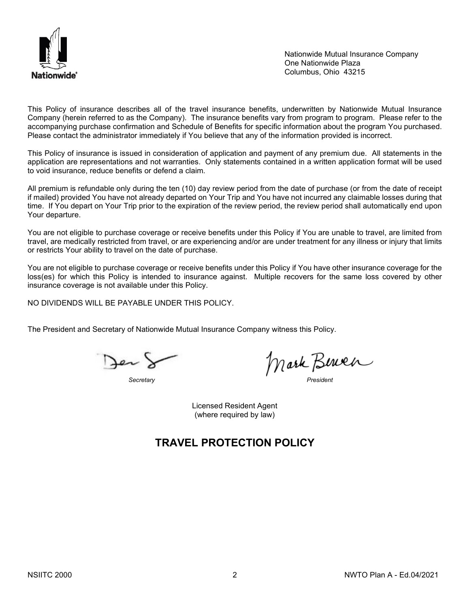

Nationwide Mutual Insurance Company One Nationwide Plaza Columbus, Ohio 43215

This Policy of insurance describes all of the travel insurance benefits, underwritten by Nationwide Mutual Insurance Company (herein referred to as the Company). The insurance benefits vary from program to program. Please refer to the accompanying purchase confirmation and Schedule of Benefits for specific information about the program You purchased. Please contact the administrator immediately if You believe that any of the information provided is incorrect.

This Policy of insurance is issued in consideration of application and payment of any premium due. All statements in the application are representations and not warranties. Only statements contained in a written application format will be used to void insurance, reduce benefits or defend a claim.

All premium is refundable only during the ten (10) day review period from the date of purchase (or from the date of receipt if mailed) provided You have not already departed on Your Trip and You have not incurred any claimable losses during that time. If You depart on Your Trip prior to the expiration of the review period, the review period shall automatically end upon Your departure.

You are not eligible to purchase coverage or receive benefits under this Policy if You are unable to travel, are limited from travel, are medically restricted from travel, or are experiencing and/or are under treatment for any illness or injury that limits or restricts Your ability to travel on the date of purchase.

You are not eligible to purchase coverage or receive benefits under this Policy if You have other insurance coverage for the loss(es) for which this Policy is intended to insurance against. Multiple recovers for the same loss covered by other insurance coverage is not available under this Policy.

NO DIVIDENDS WILL BE PAYABLE UNDER THIS POLICY.

The President and Secretary of Nationwide Mutual Insurance Company witness this Policy.

Jer S

*Secretary President*

Licensed Resident Agent (where required by law)

# **TRAVEL PROTECTION POLICY**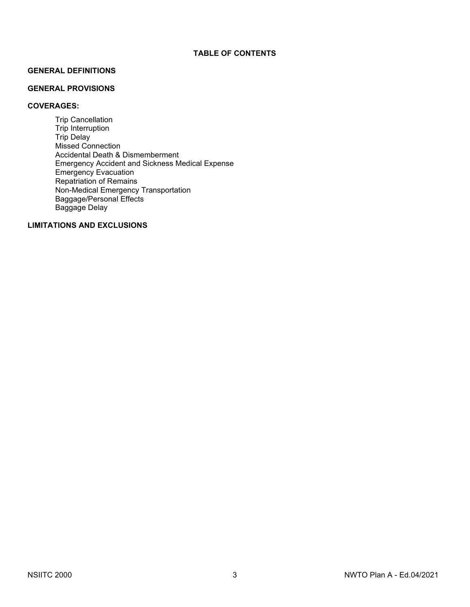#### **GENERAL DEFINITIONS**

# **GENERAL PROVISIONS**

# **COVERAGES:**

Trip Cancellation Trip Interruption Trip Delay Missed Connection Accidental Death & Dismemberment Emergency Accident and Sickness Medical Expense Emergency Evacuation Repatriation of Remains Non-Medical Emergency Transportation Baggage/Personal Effects Baggage Delay

# **LIMITATIONS AND EXCLUSIONS**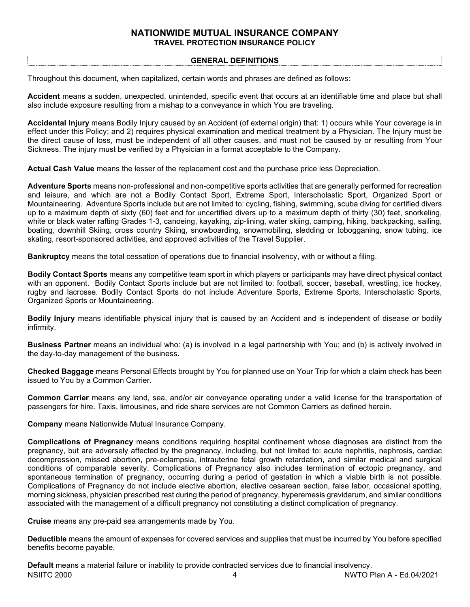# **NATIONWIDE MUTUAL INSURANCE COMPANY TRAVEL PROTECTION INSURANCE POLICY**

#### **GENERAL DEFINITIONS**

Throughout this document, when capitalized, certain words and phrases are defined as follows:

**Accident** means a sudden, unexpected, unintended, specific event that occurs at an identifiable time and place but shall also include exposure resulting from a mishap to a conveyance in which You are traveling.

**Accidental Injury** means Bodily Injury caused by an Accident (of external origin) that: 1) occurs while Your coverage is in effect under this Policy; and 2) requires physical examination and medical treatment by a Physician. The Injury must be the direct cause of loss, must be independent of all other causes, and must not be caused by or resulting from Your Sickness. The injury must be verified by a Physician in a format acceptable to the Company.

**Actual Cash Value** means the lesser of the replacement cost and the purchase price less Depreciation.

**Adventure Sports** means non-professional and non-competitive sports activities that are generally performed for recreation and leisure, and which are not a Bodily Contact Sport, Extreme Sport, Interscholastic Sport, Organized Sport or Mountaineering. Adventure Sports include but are not limited to: cycling, fishing, swimming, scuba diving for certified divers up to a maximum depth of sixty (60) feet and for uncertified divers up to a maximum depth of thirty (30) feet, snorkeling, white or black water rafting Grades 1-3, canoeing, kayaking, zip-lining, water skiing, camping, hiking, backpacking, sailing, boating, downhill Skiing, cross country Skiing, snowboarding, snowmobiling, sledding or tobogganing, snow tubing, ice skating, resort-sponsored activities, and approved activities of the Travel Supplier.

**Bankruptcy** means the total cessation of operations due to financial insolvency, with or without a filing.

**Bodily Contact Sports** means any competitive team sport in which players or participants may have direct physical contact with an opponent. Bodily Contact Sports include but are not limited to: football, soccer, baseball, wrestling, ice hockey, rugby and lacrosse. Bodily Contact Sports do not include Adventure Sports, Extreme Sports, Interscholastic Sports, Organized Sports or Mountaineering.

**Bodily Injury** means identifiable physical injury that is caused by an Accident and is independent of disease or bodily infirmity.

**Business Partner** means an individual who: (a) is involved in a legal partnership with You; and (b) is actively involved in the day-to-day management of the business.

**Checked Baggage** means Personal Effects brought by You for planned use on Your Trip for which a claim check has been issued to You by a Common Carrier.

**Common Carrier** means any land, sea, and/or air conveyance operating under a valid license for the transportation of passengers for hire. Taxis, limousines, and ride share services are not Common Carriers as defined herein.

**Company** means Nationwide Mutual Insurance Company.

**Complications of Pregnancy** means conditions requiring hospital confinement whose diagnoses are distinct from the pregnancy, but are adversely affected by the pregnancy, including, but not limited to: acute nephritis, nephrosis, cardiac decompression, missed abortion, pre-eclampsia, intrauterine fetal growth retardation, and similar medical and surgical conditions of comparable severity. Complications of Pregnancy also includes termination of ectopic pregnancy, and spontaneous termination of pregnancy, occurring during a period of gestation in which a viable birth is not possible. Complications of Pregnancy do not include elective abortion, elective cesarean section, false labor, occasional spotting, morning sickness, physician prescribed rest during the period of pregnancy, hyperemesis gravidarum, and similar conditions associated with the management of a difficult pregnancy not constituting a distinct complication of pregnancy.

**Cruise** means any pre-paid sea arrangements made by You.

**Deductible** means the amount of expenses for covered services and supplies that must be incurred by You before specified benefits become payable.

NSIITC 2000 4 NWTO Plan A - Ed.04/2021 **Default** means a material failure or inability to provide contracted services due to financial insolvency.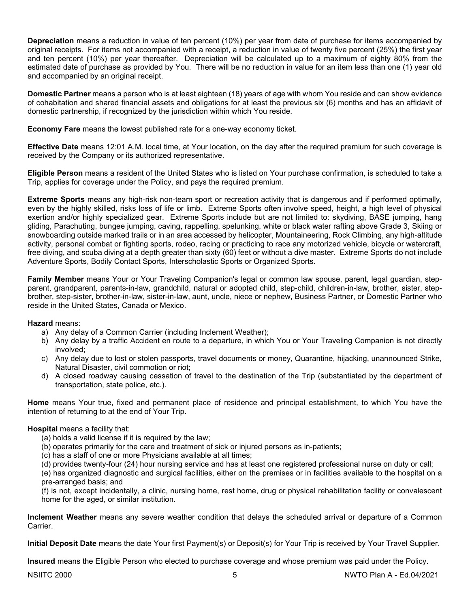**Depreciation** means a reduction in value of ten percent (10%) per year from date of purchase for items accompanied by original receipts. For items not accompanied with a receipt, a reduction in value of twenty five percent (25%) the first year and ten percent (10%) per year thereafter. Depreciation will be calculated up to a maximum of eighty 80% from the estimated date of purchase as provided by You. There will be no reduction in value for an item less than one (1) year old and accompanied by an original receipt.

**Domestic Partner** means a person who is at least eighteen (18) years of age with whom You reside and can show evidence of cohabitation and shared financial assets and obligations for at least the previous six (6) months and has an affidavit of domestic partnership, if recognized by the jurisdiction within which You reside.

**Economy Fare** means the lowest published rate for a one-way economy ticket.

**Effective Date** means 12:01 A.M. local time, at Your location, on the day after the required premium for such coverage is received by the Company or its authorized representative.

**Eligible Person** means a resident of the United States who is listed on Your purchase confirmation, is scheduled to take a Trip, applies for coverage under the Policy, and pays the required premium.

**Extreme Sports** means any high-risk non-team sport or recreation activity that is dangerous and if performed optimally, even by the highly skilled, risks loss of life or limb. Extreme Sports often involve speed, height, a high level of physical exertion and/or highly specialized gear. Extreme Sports include but are not limited to: skydiving, BASE jumping, hang gliding, Parachuting, bungee jumping, caving, rappelling, spelunking, white or black water rafting above Grade 3, Skiing or snowboarding outside marked trails or in an area accessed by helicopter, Mountaineering, Rock Climbing, any high‐altitude activity, personal combat or fighting sports, rodeo, racing or practicing to race any motorized vehicle, bicycle or watercraft, free diving, and scuba diving at a depth greater than sixty (60) feet or without a dive master. Extreme Sports do not include Adventure Sports, Bodily Contact Sports, Interscholastic Sports or Organized Sports.

**Family Member** means Your or Your Traveling Companion's legal or common law spouse, parent, legal guardian, stepparent, grandparent, parents-in-law, grandchild, natural or adopted child, step-child, children-in-law, brother, sister, stepbrother, step-sister, brother-in-law, sister-in-law, aunt, uncle, niece or nephew, Business Partner, or Domestic Partner who reside in the United States, Canada or Mexico.

## **Hazard** means:

- a) Any delay of a Common Carrier (including Inclement Weather);
- b) Any delay by a traffic Accident en route to a departure, in which You or Your Traveling Companion is not directly involved;
- c) Any delay due to lost or stolen passports, travel documents or money, Quarantine, hijacking, unannounced Strike, Natural Disaster, civil commotion or riot;
- d) A closed roadway causing cessation of travel to the destination of the Trip (substantiated by the department of transportation, state police, etc.).

**Home** means Your true, fixed and permanent place of residence and principal establishment, to which You have the intention of returning to at the end of Your Trip.

## **Hospital** means a facility that:

- (a) holds a valid license if it is required by the law;
- (b) operates primarily for the care and treatment of sick or injured persons as in-patients;
- (c) has a staff of one or more Physicians available at all times;
- (d) provides twenty-four (24) hour nursing service and has at least one registered professional nurse on duty or call;

(e) has organized diagnostic and surgical facilities, either on the premises or in facilities available to the hospital on a pre-arranged basis; and

(f) is not, except incidentally, a clinic, nursing home, rest home, drug or physical rehabilitation facility or convalescent home for the aged, or similar institution.

**Inclement Weather** means any severe weather condition that delays the scheduled arrival or departure of a Common Carrier.

**Initial Deposit Date** means the date Your first Payment(s) or Deposit(s) for Your Trip is received by Your Travel Supplier.

**Insured** means the Eligible Person who elected to purchase coverage and whose premium was paid under the Policy.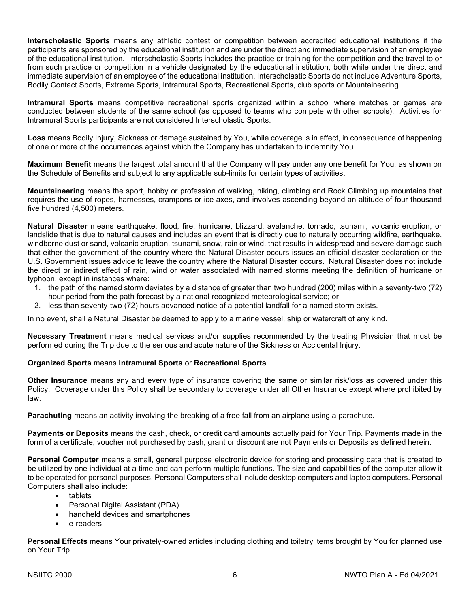**Interscholastic Sports** means any athletic contest or competition between accredited educational institutions if the participants are sponsored by the educational institution and are under the direct and immediate supervision of an employee of the educational institution. Interscholastic Sports includes the practice or training for the competition and the travel to or from such practice or competition in a vehicle designated by the educational institution, both while under the direct and immediate supervision of an employee of the educational institution. Interscholastic Sports do not include Adventure Sports, Bodily Contact Sports, Extreme Sports, Intramural Sports, Recreational Sports, club sports or Mountaineering.

**Intramural Sports** means competitive recreational sports organized within a school where matches or games are conducted between students of the same school (as opposed to teams who compete with other schools). Activities for Intramural Sports participants are not considered Interscholastic Sports.

**Loss** means Bodily Injury, Sickness or damage sustained by You, while coverage is in effect, in consequence of happening of one or more of the occurrences against which the Company has undertaken to indemnify You.

**Maximum Benefit** means the largest total amount that the Company will pay under any one benefit for You, as shown on the Schedule of Benefits and subject to any applicable sub-limits for certain types of activities.

**Mountaineering** means the sport, hobby or profession of walking, hiking, climbing and Rock Climbing up mountains that requires the use of ropes, harnesses, crampons or ice axes, and involves ascending beyond an altitude of four thousand five hundred (4,500) meters.

**Natural Disaster** means earthquake, flood, fire, hurricane, blizzard, avalanche, tornado, tsunami, volcanic eruption, or landslide that is due to natural causes and includes an event that is directly due to naturally occurring wildfire, earthquake, windborne dust or sand, volcanic eruption, tsunami, snow, rain or wind, that results in widespread and severe damage such that either the government of the country where the Natural Disaster occurs issues an official disaster declaration or the U.S. Government issues advice to leave the country where the Natural Disaster occurs. Natural Disaster does not include the direct or indirect effect of rain, wind or water associated with named storms meeting the definition of hurricane or typhoon, except in instances where:

- 1. the path of the named storm deviates by a distance of greater than two hundred (200) miles within a seventy-two (72) hour period from the path forecast by a national recognized meteorological service; or
- 2. less than seventy-two (72) hours advanced notice of a potential landfall for a named storm exists.

In no event, shall a Natural Disaster be deemed to apply to a marine vessel, ship or watercraft of any kind.

**Necessary Treatment** means medical services and/or supplies recommended by the treating Physician that must be performed during the Trip due to the serious and acute nature of the Sickness or Accidental Injury.

#### **Organized Sports** means **Intramural Sports** or **Recreational Sports**.

**Other Insurance** means any and every type of insurance covering the same or similar risk/loss as covered under this Policy. Coverage under this Policy shall be secondary to coverage under all Other Insurance except where prohibited by law.

**Parachuting** means an activity involving the breaking of a free fall from an airplane using a parachute.

**Payments or Deposits** means the cash, check, or credit card amounts actually paid for Your Trip. Payments made in the form of a certificate, voucher not purchased by cash, grant or discount are not Payments or Deposits as defined herein.

**Personal Computer** means a small, general purpose electronic device for storing and processing data that is created to be utilized by one individual at a time and can perform multiple functions. The size and capabilities of the computer allow it to be operated for personal purposes. Personal Computers shall include desktop computers and laptop computers. Personal Computers shall also include:

- tablets
- Personal Digital Assistant (PDA)
- handheld devices and smartphones
- e-readers

**Personal Effects** means Your privately-owned articles including clothing and toiletry items brought by You for planned use on Your Trip.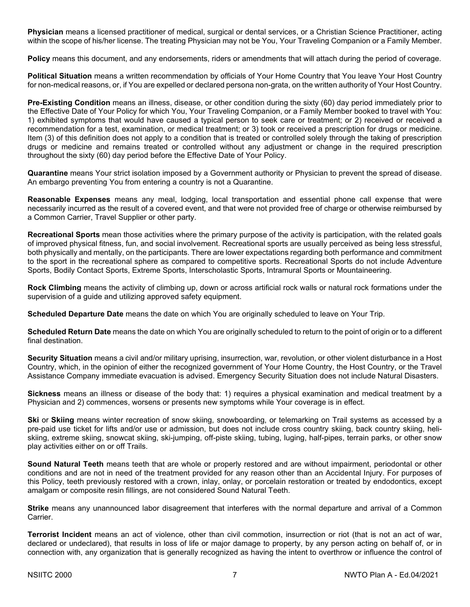**Physician** means a licensed practitioner of medical, surgical or dental services, or a Christian Science Practitioner, acting within the scope of his/her license. The treating Physician may not be You, Your Traveling Companion or a Family Member.

**Policy** means this document, and any endorsements, riders or amendments that will attach during the period of coverage.

**Political Situation** means a written recommendation by officials of Your Home Country that You leave Your Host Country for non-medical reasons, or, if You are expelled or declared persona non-grata, on the written authority of Your Host Country.

**Pre-Existing Condition** means an illness, disease, or other condition during the sixty (60) day period immediately prior to the Effective Date of Your Policy for which You, Your Traveling Companion, or a Family Member booked to travel with You: 1) exhibited symptoms that would have caused a typical person to seek care or treatment; or 2) received or received a recommendation for a test, examination, or medical treatment; or 3) took or received a prescription for drugs or medicine. Item (3) of this definition does not apply to a condition that is treated or controlled solely through the taking of prescription drugs or medicine and remains treated or controlled without any adjustment or change in the required prescription throughout the sixty (60) day period before the Effective Date of Your Policy.

**Quarantine** means Your strict isolation imposed by a Government authority or Physician to prevent the spread of disease. An embargo preventing You from entering a country is not a Quarantine.

**Reasonable Expenses** means any meal, lodging, local transportation and essential phone call expense that were necessarily incurred as the result of a covered event, and that were not provided free of charge or otherwise reimbursed by a Common Carrier, Travel Supplier or other party.

**Recreational Sports** mean those activities where the primary purpose of the activity is participation, with the related goals of improved physical fitness, fun, and social involvement. Recreational sports are usually perceived as being less stressful, both physically and mentally, on the participants. There are lower expectations regarding both performance and commitment to the sport in the recreational sphere as compared to competitive sports. Recreational Sports do not include Adventure Sports, Bodily Contact Sports, Extreme Sports, Interscholastic Sports, Intramural Sports or Mountaineering.

**Rock Climbing** means the activity of climbing up, down or across artificial rock walls or natural rock formations under the supervision of a guide and utilizing approved safety equipment.

**Scheduled Departure Date** means the date on which You are originally scheduled to leave on Your Trip.

**Scheduled Return Date** means the date on which You are originally scheduled to return to the point of origin or to a different final destination.

**Security Situation** means a civil and/or military uprising, insurrection, war, revolution, or other violent disturbance in a Host Country, which, in the opinion of either the recognized government of Your Home Country, the Host Country, or the Travel Assistance Company immediate evacuation is advised. Emergency Security Situation does not include Natural Disasters.

**Sickness** means an illness or disease of the body that: 1) requires a physical examination and medical treatment by a Physician and 2) commences, worsens or presents new symptoms while Your coverage is in effect.

**Ski** or **Skiing** means winter recreation of snow skiing, snowboarding, or telemarking on Trail systems as accessed by a pre-paid use ticket for lifts and/or use or admission, but does not include cross country skiing, back country skiing, heliskiing, extreme skiing, snowcat skiing, ski-jumping, off-piste skiing, tubing, luging, half-pipes, terrain parks, or other snow play activities either on or off Trails.

**Sound Natural Teeth** means teeth that are whole or properly restored and are without impairment, periodontal or other conditions and are not in need of the treatment provided for any reason other than an Accidental Injury. For purposes of this Policy, teeth previously restored with a crown, inlay, onlay, or porcelain restoration or treated by endodontics, except amalgam or composite resin fillings, are not considered Sound Natural Teeth.

**Strike** means any unannounced labor disagreement that interferes with the normal departure and arrival of a Common Carrier.

**Terrorist Incident** means an act of violence, other than civil commotion, insurrection or riot (that is not an act of war, declared or undeclared), that results in loss of life or major damage to property, by any person acting on behalf of, or in connection with, any organization that is generally recognized as having the intent to overthrow or influence the control of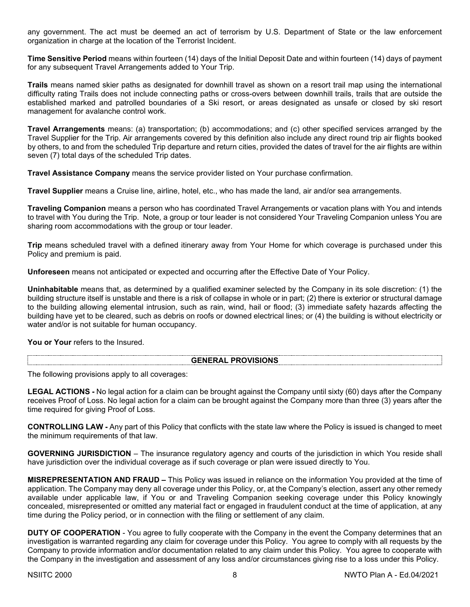any government. The act must be deemed an act of terrorism by U.S. Department of State or the law enforcement organization in charge at the location of the Terrorist Incident.

**Time Sensitive Period** means within fourteen (14) days of the Initial Deposit Date and within fourteen (14) days of payment for any subsequent Travel Arrangements added to Your Trip.

**Trails** means named skier paths as designated for downhill travel as shown on a resort trail map using the international difficulty rating Trails does not include connecting paths or cross-overs between downhill trails, trails that are outside the established marked and patrolled boundaries of a Ski resort, or areas designated as unsafe or closed by ski resort management for avalanche control work.

**Travel Arrangements** means: (a) transportation; (b) accommodations; and (c) other specified services arranged by the Travel Supplier for the Trip. Air arrangements covered by this definition also include any direct round trip air flights booked by others, to and from the scheduled Trip departure and return cities, provided the dates of travel for the air flights are within seven (7) total days of the scheduled Trip dates.

**Travel Assistance Company** means the service provider listed on Your purchase confirmation.

**Travel Supplier** means a Cruise line, airline, hotel, etc., who has made the land, air and/or sea arrangements.

**Traveling Companion** means a person who has coordinated Travel Arrangements or vacation plans with You and intends to travel with You during the Trip. Note, a group or tour leader is not considered Your Traveling Companion unless You are sharing room accommodations with the group or tour leader.

**Trip** means scheduled travel with a defined itinerary away from Your Home for which coverage is purchased under this Policy and premium is paid.

**Unforeseen** means not anticipated or expected and occurring after the Effective Date of Your Policy.

**Uninhabitable** means that, as determined by a qualified examiner selected by the Company in its sole discretion: (1) the building structure itself is unstable and there is a risk of collapse in whole or in part; (2) there is exterior or structural damage to the building allowing elemental intrusion, such as rain, wind, hail or flood; (3) immediate safety hazards affecting the building have yet to be cleared, such as debris on roofs or downed electrical lines; or (4) the building is without electricity or water and/or is not suitable for human occupancy.

You or Your refers to the Insured.

#### **GENERAL PROVISIONS**

The following provisions apply to all coverages:

**LEGAL ACTIONS -** No legal action for a claim can be brought against the Company until sixty (60) days after the Company receives Proof of Loss. No legal action for a claim can be brought against the Company more than three (3) years after the time required for giving Proof of Loss.

**CONTROLLING LAW -** Any part of this Policy that conflicts with the state law where the Policy is issued is changed to meet the minimum requirements of that law.

**GOVERNING JURISDICTION** – The insurance regulatory agency and courts of the jurisdiction in which You reside shall have jurisdiction over the individual coverage as if such coverage or plan were issued directly to You.

**MISREPRESENTATION AND FRAUD –** This Policy was issued in reliance on the information You provided at the time of application. The Company may deny all coverage under this Policy, or, at the Company's election, assert any other remedy available under applicable law, if You or and Traveling Companion seeking coverage under this Policy knowingly concealed, misrepresented or omitted any material fact or engaged in fraudulent conduct at the time of application, at any time during the Policy period, or in connection with the filing or settlement of any claim.

**DUTY OF COOPERATION** - You agree to fully cooperate with the Company in the event the Company determines that an investigation is warranted regarding any claim for coverage under this Policy. You agree to comply with all requests by the Company to provide information and/or documentation related to any claim under this Policy. You agree to cooperate with the Company in the investigation and assessment of any loss and/or circumstances giving rise to a loss under this Policy.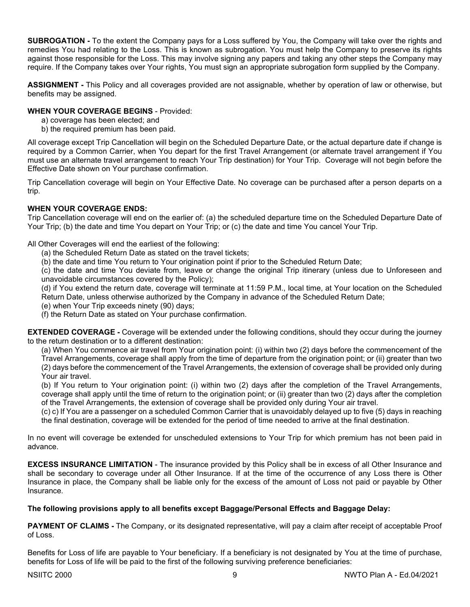**SUBROGATION -** To the extent the Company pays for a Loss suffered by You, the Company will take over the rights and remedies You had relating to the Loss. This is known as subrogation. You must help the Company to preserve its rights against those responsible for the Loss. This may involve signing any papers and taking any other steps the Company may require. If the Company takes over Your rights, You must sign an appropriate subrogation form supplied by the Company.

**ASSIGNMENT -** This Policy and all coverages provided are not assignable, whether by operation of law or otherwise, but benefits may be assigned.

# **WHEN YOUR COVERAGE BEGINS** - Provided:

- a) coverage has been elected; and
- b) the required premium has been paid.

All coverage except Trip Cancellation will begin on the Scheduled Departure Date, or the actual departure date if change is required by a Common Carrier, when You depart for the first Travel Arrangement (or alternate travel arrangement if You must use an alternate travel arrangement to reach Your Trip destination) for Your Trip. Coverage will not begin before the Effective Date shown on Your purchase confirmation.

Trip Cancellation coverage will begin on Your Effective Date. No coverage can be purchased after a person departs on a trip.

## **WHEN YOUR COVERAGE ENDS:**

Trip Cancellation coverage will end on the earlier of: (a) the scheduled departure time on the Scheduled Departure Date of Your Trip; (b) the date and time You depart on Your Trip; or (c) the date and time You cancel Your Trip.

All Other Coverages will end the earliest of the following:

- (a) the Scheduled Return Date as stated on the travel tickets;
- (b) the date and time You return to Your origination point if prior to the Scheduled Return Date;

(c) the date and time You deviate from, leave or change the original Trip itinerary (unless due to Unforeseen and unavoidable circumstances covered by the Policy);

(d) if You extend the return date, coverage will terminate at 11:59 P.M., local time, at Your location on the Scheduled Return Date, unless otherwise authorized by the Company in advance of the Scheduled Return Date;

(e) when Your Trip exceeds ninety (90) days;

(f) the Return Date as stated on Your purchase confirmation.

**EXTENDED COVERAGE -** Coverage will be extended under the following conditions, should they occur during the journey to the return destination or to a different destination:

(a) When You commence air travel from Your origination point: (i) within two (2) days before the commencement of the Travel Arrangements, coverage shall apply from the time of departure from the origination point; or (ii) greater than two (2) days before the commencement of the Travel Arrangements, the extension of coverage shall be provided only during Your air travel.

(b) If You return to Your origination point: (i) within two (2) days after the completion of the Travel Arrangements, coverage shall apply until the time of return to the origination point; or (ii) greater than two (2) days after the completion of the Travel Arrangements, the extension of coverage shall be provided only during Your air travel.

(c) c) If You are a passenger on a scheduled Common Carrier that is unavoidably delayed up to five (5) days in reaching the final destination, coverage will be extended for the period of time needed to arrive at the final destination.

In no event will coverage be extended for unscheduled extensions to Your Trip for which premium has not been paid in advance.

**EXCESS INSURANCE LIMITATION** - The insurance provided by this Policy shall be in excess of all Other Insurance and shall be secondary to coverage under all Other Insurance. If at the time of the occurrence of any Loss there is Other Insurance in place, the Company shall be liable only for the excess of the amount of Loss not paid or payable by Other Insurance.

# **The following provisions apply to all benefits except Baggage/Personal Effects and Baggage Delay:**

**PAYMENT OF CLAIMS -** The Company, or its designated representative, will pay a claim after receipt of acceptable Proof of Loss.

Benefits for Loss of life are payable to Your beneficiary. If a beneficiary is not designated by You at the time of purchase, benefits for Loss of life will be paid to the first of the following surviving preference beneficiaries: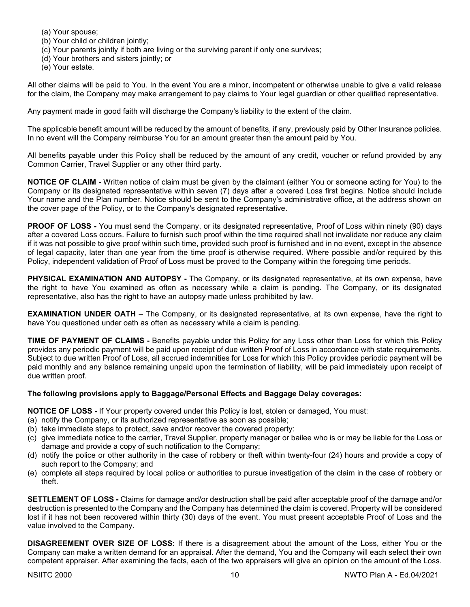- (a) Your spouse;
- (b) Your child or children jointly;
- (c) Your parents jointly if both are living or the surviving parent if only one survives;
- (d) Your brothers and sisters jointly; or
- (e) Your estate.

All other claims will be paid to You. In the event You are a minor, incompetent or otherwise unable to give a valid release for the claim, the Company may make arrangement to pay claims to Your legal guardian or other qualified representative.

Any payment made in good faith will discharge the Company's liability to the extent of the claim.

The applicable benefit amount will be reduced by the amount of benefits, if any, previously paid by Other Insurance policies. In no event will the Company reimburse You for an amount greater than the amount paid by You.

All benefits payable under this Policy shall be reduced by the amount of any credit, voucher or refund provided by any Common Carrier, Travel Supplier or any other third party.

**NOTICE OF CLAIM -** Written notice of claim must be given by the claimant (either You or someone acting for You) to the Company or its designated representative within seven (7) days after a covered Loss first begins. Notice should include Your name and the Plan number. Notice should be sent to the Company's administrative office, at the address shown on the cover page of the Policy, or to the Company's designated representative.

**PROOF OF LOSS -** You must send the Company, or its designated representative, Proof of Loss within ninety (90) days after a covered Loss occurs. Failure to furnish such proof within the time required shall not invalidate nor reduce any claim if it was not possible to give proof within such time, provided such proof is furnished and in no event, except in the absence of legal capacity, later than one year from the time proof is otherwise required. Where possible and/or required by this Policy, independent validation of Proof of Loss must be proved to the Company within the foregoing time periods.

**PHYSICAL EXAMINATION AND AUTOPSY -** The Company, or its designated representative, at its own expense, have the right to have You examined as often as necessary while a claim is pending. The Company, or its designated representative, also has the right to have an autopsy made unless prohibited by law.

**EXAMINATION UNDER OATH** – The Company, or its designated representative, at its own expense, have the right to have You questioned under oath as often as necessary while a claim is pending.

**TIME OF PAYMENT OF CLAIMS -** Benefits payable under this Policy for any Loss other than Loss for which this Policy provides any periodic payment will be paid upon receipt of due written Proof of Loss in accordance with state requirements. Subject to due written Proof of Loss, all accrued indemnities for Loss for which this Policy provides periodic payment will be paid monthly and any balance remaining unpaid upon the termination of liability, will be paid immediately upon receipt of due written proof.

## **The following provisions apply to Baggage/Personal Effects and Baggage Delay coverages:**

**NOTICE OF LOSS -** If Your property covered under this Policy is lost, stolen or damaged, You must:

- (a) notify the Company, or its authorized representative as soon as possible;
- (b) take immediate steps to protect, save and/or recover the covered property:
- (c) give immediate notice to the carrier, Travel Supplier, property manager or bailee who is or may be liable for the Loss or damage and provide a copy of such notification to the Company;
- (d) notify the police or other authority in the case of robbery or theft within twenty-four (24) hours and provide a copy of such report to the Company; and
- (e) complete all steps required by local police or authorities to pursue investigation of the claim in the case of robbery or theft.

**SETTLEMENT OF LOSS -** Claims for damage and/or destruction shall be paid after acceptable proof of the damage and/or destruction is presented to the Company and the Company has determined the claim is covered. Property will be considered lost if it has not been recovered within thirty (30) days of the event. You must present acceptable Proof of Loss and the value involved to the Company.

**DISAGREEMENT OVER SIZE OF LOSS:** If there is a disagreement about the amount of the Loss, either You or the Company can make a written demand for an appraisal. After the demand, You and the Company will each select their own competent appraiser. After examining the facts, each of the two appraisers will give an opinion on the amount of the Loss.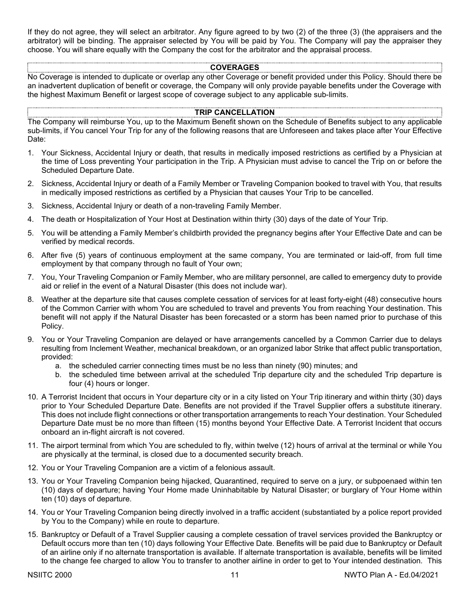If they do not agree, they will select an arbitrator. Any figure agreed to by two (2) of the three (3) (the appraisers and the arbitrator) will be binding. The appraiser selected by You will be paid by You. The Company will pay the appraiser they choose. You will share equally with the Company the cost for the arbitrator and the appraisal process.

#### **COVERAGES**

No Coverage is intended to duplicate or overlap any other Coverage or benefit provided under this Policy. Should there be an inadvertent duplication of benefit or coverage, the Company will only provide payable benefits under the Coverage with the highest Maximum Benefit or largest scope of coverage subject to any applicable sub-limits.

#### **TRIP CANCELLATION**

The Company will reimburse You, up to the Maximum Benefit shown on the Schedule of Benefits subject to any applicable sub-limits, if You cancel Your Trip for any of the following reasons that are Unforeseen and takes place after Your Effective Date:

- 1. Your Sickness, Accidental Injury or death, that results in medically imposed restrictions as certified by a Physician at the time of Loss preventing Your participation in the Trip. A Physician must advise to cancel the Trip on or before the Scheduled Departure Date.
- 2. Sickness, Accidental Injury or death of a Family Member or Traveling Companion booked to travel with You, that results in medically imposed restrictions as certified by a Physician that causes Your Trip to be cancelled.
- 3. Sickness, Accidental Injury or death of a non-traveling Family Member.
- 4. The death or Hospitalization of Your Host at Destination within thirty (30) days of the date of Your Trip.
- 5. You will be attending a Family Member's childbirth provided the pregnancy begins after Your Effective Date and can be verified by medical records.
- 6. After five (5) years of continuous employment at the same company, You are terminated or laid-off, from full time employment by that company through no fault of Your own;
- 7. You, Your Traveling Companion or Family Member, who are military personnel, are called to emergency duty to provide aid or relief in the event of a Natural Disaster (this does not include war).
- 8. Weather at the departure site that causes complete cessation of services for at least forty-eight (48) consecutive hours of the Common Carrier with whom You are scheduled to travel and prevents You from reaching Your destination. This benefit will not apply if the Natural Disaster has been forecasted or a storm has been named prior to purchase of this Policy.
- 9. You or Your Traveling Companion are delayed or have arrangements cancelled by a Common Carrier due to delays resulting from Inclement Weather, mechanical breakdown, or an organized labor Strike that affect public transportation, provided:
	- a. the scheduled carrier connecting times must be no less than ninety (90) minutes; and
	- b. the scheduled time between arrival at the scheduled Trip departure city and the scheduled Trip departure is four (4) hours or longer.
- 10. A Terrorist Incident that occurs in Your departure city or in a city listed on Your Trip itinerary and within thirty (30) days prior to Your Scheduled Departure Date. Benefits are not provided if the Travel Supplier offers a substitute itinerary. This does not include flight connections or other transportation arrangements to reach Your destination. Your Scheduled Departure Date must be no more than fifteen (15) months beyond Your Effective Date. A Terrorist Incident that occurs onboard an in-flight aircraft is not covered.
- 11. The airport terminal from which You are scheduled to fly, within twelve (12) hours of arrival at the terminal or while You are physically at the terminal, is closed due to a documented security breach.
- 12. You or Your Traveling Companion are a victim of a felonious assault.
- 13. You or Your Traveling Companion being hijacked, Quarantined, required to serve on a jury, or subpoenaed within ten (10) days of departure; having Your Home made Uninhabitable by Natural Disaster; or burglary of Your Home within ten (10) days of departure.
- 14. You or Your Traveling Companion being directly involved in a traffic accident (substantiated by a police report provided by You to the Company) while en route to departure.
- 15. Bankruptcy or Default of a Travel Supplier causing a complete cessation of travel services provided the Bankruptcy or Default occurs more than ten (10) days following Your Effective Date. Benefits will be paid due to Bankruptcy or Default of an airline only if no alternate transportation is available. If alternate transportation is available, benefits will be limited to the change fee charged to allow You to transfer to another airline in order to get to Your intended destination. This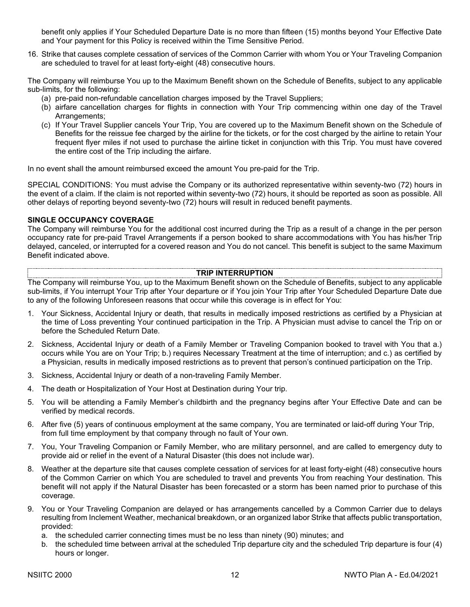benefit only applies if Your Scheduled Departure Date is no more than fifteen (15) months beyond Your Effective Date and Your payment for this Policy is received within the Time Sensitive Period.

16. Strike that causes complete cessation of services of the Common Carrier with whom You or Your Traveling Companion are scheduled to travel for at least forty-eight (48) consecutive hours.

The Company will reimburse You up to the Maximum Benefit shown on the Schedule of Benefits, subject to any applicable sub-limits, for the following:

- (a) pre-paid non-refundable cancellation charges imposed by the Travel Suppliers;
- (b) airfare cancellation charges for flights in connection with Your Trip commencing within one day of the Travel Arrangements;
- (c) If Your Travel Supplier cancels Your Trip, You are covered up to the Maximum Benefit shown on the Schedule of Benefits for the reissue fee charged by the airline for the tickets, or for the cost charged by the airline to retain Your frequent flyer miles if not used to purchase the airline ticket in conjunction with this Trip. You must have covered the entire cost of the Trip including the airfare.

In no event shall the amount reimbursed exceed the amount You pre-paid for the Trip.

SPECIAL CONDITIONS: You must advise the Company or its authorized representative within seventy-two (72) hours in the event of a claim. If the claim is not reported within seventy-two (72) hours, it should be reported as soon as possible. All other delays of reporting beyond seventy-two (72) hours will result in reduced benefit payments.

# **SINGLE OCCUPANCY COVERAGE**

The Company will reimburse You for the additional cost incurred during the Trip as a result of a change in the per person occupancy rate for pre-paid Travel Arrangements if a person booked to share accommodations with You has his/her Trip delayed, canceled, or interrupted for a covered reason and You do not cancel. This benefit is subject to the same Maximum Benefit indicated above.

#### **TRIP INTERRUPTION**

The Company will reimburse You, up to the Maximum Benefit shown on the Schedule of Benefits, subject to any applicable sub-limits, if You interrupt Your Trip after Your departure or if You join Your Trip after Your Scheduled Departure Date due to any of the following Unforeseen reasons that occur while this coverage is in effect for You:

- 1. Your Sickness, Accidental Injury or death, that results in medically imposed restrictions as certified by a Physician at the time of Loss preventing Your continued participation in the Trip. A Physician must advise to cancel the Trip on or before the Scheduled Return Date.
- 2. Sickness, Accidental Injury or death of a Family Member or Traveling Companion booked to travel with You that a.) occurs while You are on Your Trip; b.) requires Necessary Treatment at the time of interruption; and c.) as certified by a Physician, results in medically imposed restrictions as to prevent that person's continued participation on the Trip.
- 3. Sickness, Accidental Injury or death of a non-traveling Family Member.
- 4. The death or Hospitalization of Your Host at Destination during Your trip.
- 5. You will be attending a Family Member's childbirth and the pregnancy begins after Your Effective Date and can be verified by medical records.
- 6. After five (5) years of continuous employment at the same company, You are terminated or laid-off during Your Trip, from full time employment by that company through no fault of Your own.
- 7. You, Your Traveling Companion or Family Member, who are military personnel, and are called to emergency duty to provide aid or relief in the event of a Natural Disaster (this does not include war).
- 8. Weather at the departure site that causes complete cessation of services for at least forty-eight (48) consecutive hours of the Common Carrier on which You are scheduled to travel and prevents You from reaching Your destination. This benefit will not apply if the Natural Disaster has been forecasted or a storm has been named prior to purchase of this coverage.
- 9. You or Your Traveling Companion are delayed or has arrangements cancelled by a Common Carrier due to delays resulting from Inclement Weather, mechanical breakdown, or an organized labor Strike that affects public transportation, provided:
	- a. the scheduled carrier connecting times must be no less than ninety (90) minutes; and
	- b. the scheduled time between arrival at the scheduled Trip departure city and the scheduled Trip departure is four (4) hours or longer.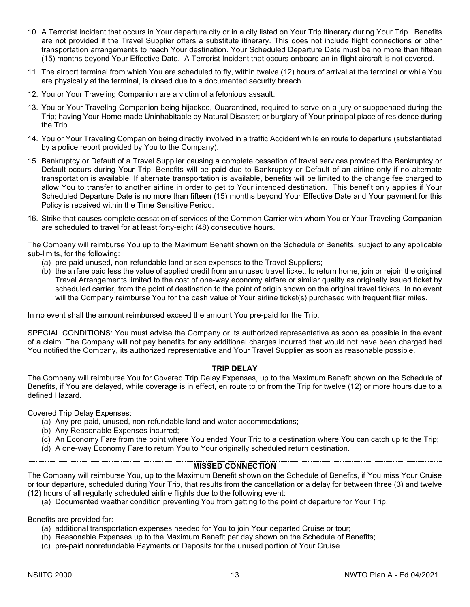- 10. A Terrorist Incident that occurs in Your departure city or in a city listed on Your Trip itinerary during Your Trip. Benefits are not provided if the Travel Supplier offers a substitute itinerary. This does not include flight connections or other transportation arrangements to reach Your destination. Your Scheduled Departure Date must be no more than fifteen (15) months beyond Your Effective Date. A Terrorist Incident that occurs onboard an in-flight aircraft is not covered.
- 11. The airport terminal from which You are scheduled to fly, within twelve (12) hours of arrival at the terminal or while You are physically at the terminal, is closed due to a documented security breach.
- 12. You or Your Traveling Companion are a victim of a felonious assault.
- 13. You or Your Traveling Companion being hijacked, Quarantined, required to serve on a jury or subpoenaed during the Trip; having Your Home made Uninhabitable by Natural Disaster; or burglary of Your principal place of residence during the Trip.
- 14. You or Your Traveling Companion being directly involved in a traffic Accident while en route to departure (substantiated by a police report provided by You to the Company).
- 15. Bankruptcy or Default of a Travel Supplier causing a complete cessation of travel services provided the Bankruptcy or Default occurs during Your Trip. Benefits will be paid due to Bankruptcy or Default of an airline only if no alternate transportation is available. If alternate transportation is available, benefits will be limited to the change fee charged to allow You to transfer to another airline in order to get to Your intended destination. This benefit only applies if Your Scheduled Departure Date is no more than fifteen (15) months beyond Your Effective Date and Your payment for this Policy is received within the Time Sensitive Period.
- 16. Strike that causes complete cessation of services of the Common Carrier with whom You or Your Traveling Companion are scheduled to travel for at least forty-eight (48) consecutive hours.

The Company will reimburse You up to the Maximum Benefit shown on the Schedule of Benefits, subject to any applicable sub-limits, for the following:

- (a) pre-paid unused, non-refundable land or sea expenses to the Travel Suppliers;
- (b) the airfare paid less the value of applied credit from an unused travel ticket, to return home, join or rejoin the original Travel Arrangements limited to the cost of one-way economy airfare or similar quality as originally issued ticket by scheduled carrier, from the point of destination to the point of origin shown on the original travel tickets. In no event will the Company reimburse You for the cash value of Your airline ticket(s) purchased with frequent flier miles.

In no event shall the amount reimbursed exceed the amount You pre-paid for the Trip.

SPECIAL CONDITIONS: You must advise the Company or its authorized representative as soon as possible in the event of a claim. The Company will not pay benefits for any additional charges incurred that would not have been charged had You notified the Company, its authorized representative and Your Travel Supplier as soon as reasonable possible.

# **TRIP DELAY**

The Company will reimburse You for Covered Trip Delay Expenses, up to the Maximum Benefit shown on the Schedule of Benefits, if You are delayed, while coverage is in effect, en route to or from the Trip for twelve (12) or more hours due to a defined Hazard.

Covered Trip Delay Expenses:

- (a) Any pre-paid, unused, non-refundable land and water accommodations;
- (b) Any Reasonable Expenses incurred;
- (c) An Economy Fare from the point where You ended Your Trip to a destination where You can catch up to the Trip;
- (d) A one-way Economy Fare to return You to Your originally scheduled return destination.

#### **MISSED CONNECTION**

The Company will reimburse You, up to the Maximum Benefit shown on the Schedule of Benefits, if You miss Your Cruise or tour departure, scheduled during Your Trip, that results from the cancellation or a delay for between three (3) and twelve (12) hours of all regularly scheduled airline flights due to the following event:

(a) Documented weather condition preventing You from getting to the point of departure for Your Trip.

Benefits are provided for:

- (a) additional transportation expenses needed for You to join Your departed Cruise or tour;
- (b) Reasonable Expenses up to the Maximum Benefit per day shown on the Schedule of Benefits;
- (c) pre-paid nonrefundable Payments or Deposits for the unused portion of Your Cruise.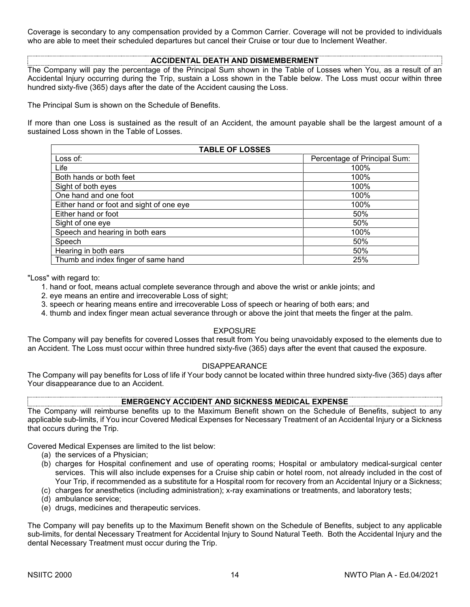Coverage is secondary to any compensation provided by a Common Carrier. Coverage will not be provided to individuals who are able to meet their scheduled departures but cancel their Cruise or tour due to Inclement Weather.

### **ACCIDENTAL DEATH AND DISMEMBERMENT**

The Company will pay the percentage of the Principal Sum shown in the Table of Losses when You, as a result of an Accidental Injury occurring during the Trip, sustain a Loss shown in the Table below. The Loss must occur within three hundred sixty-five (365) days after the date of the Accident causing the Loss.

The Principal Sum is shown on the Schedule of Benefits.

If more than one Loss is sustained as the result of an Accident, the amount payable shall be the largest amount of a sustained Loss shown in the Table of Losses.

| <b>TABLE OF LOSSES</b>                   |                              |  |  |
|------------------------------------------|------------------------------|--|--|
| Loss of:                                 | Percentage of Principal Sum: |  |  |
| Life                                     | 100%                         |  |  |
| Both hands or both feet                  | 100%                         |  |  |
| Sight of both eyes                       | 100%                         |  |  |
| One hand and one foot                    | 100%                         |  |  |
| Either hand or foot and sight of one eye | 100%                         |  |  |
| Either hand or foot                      | 50%                          |  |  |
| Sight of one eye                         | 50%                          |  |  |
| Speech and hearing in both ears          | 100%                         |  |  |
| Speech                                   | 50%                          |  |  |
| Hearing in both ears                     | 50%                          |  |  |
| Thumb and index finger of same hand      | 25%                          |  |  |

"Loss" with regard to:

- 1. hand or foot, means actual complete severance through and above the wrist or ankle joints; and
- 2. eye means an entire and irrecoverable Loss of sight;
- 3. speech or hearing means entire and irrecoverable Loss of speech or hearing of both ears; and
- 4. thumb and index finger mean actual severance through or above the joint that meets the finger at the palm.

#### EXPOSURE

The Company will pay benefits for covered Losses that result from You being unavoidably exposed to the elements due to an Accident. The Loss must occur within three hundred sixty-five (365) days after the event that caused the exposure.

#### DISAPPEARANCE

The Company will pay benefits for Loss of life if Your body cannot be located within three hundred sixty-five (365) days after Your disappearance due to an Accident.

#### **EMERGENCY ACCIDENT AND SICKNESS MEDICAL EXPENSE**

The Company will reimburse benefits up to the Maximum Benefit shown on the Schedule of Benefits, subject to any applicable sub-limits, if You incur Covered Medical Expenses for Necessary Treatment of an Accidental Injury or a Sickness that occurs during the Trip.

Covered Medical Expenses are limited to the list below:

- (a) the services of a Physician;
- (b) charges for Hospital confinement and use of operating rooms; Hospital or ambulatory medical-surgical center services. This will also include expenses for a Cruise ship cabin or hotel room, not already included in the cost of Your Trip, if recommended as a substitute for a Hospital room for recovery from an Accidental Injury or a Sickness;
- (c) charges for anesthetics (including administration); x-ray examinations or treatments, and laboratory tests;
- (d) ambulance service;
- (e) drugs, medicines and therapeutic services.

The Company will pay benefits up to the Maximum Benefit shown on the Schedule of Benefits, subject to any applicable sub-limits, for dental Necessary Treatment for Accidental Injury to Sound Natural Teeth. Both the Accidental Injury and the dental Necessary Treatment must occur during the Trip.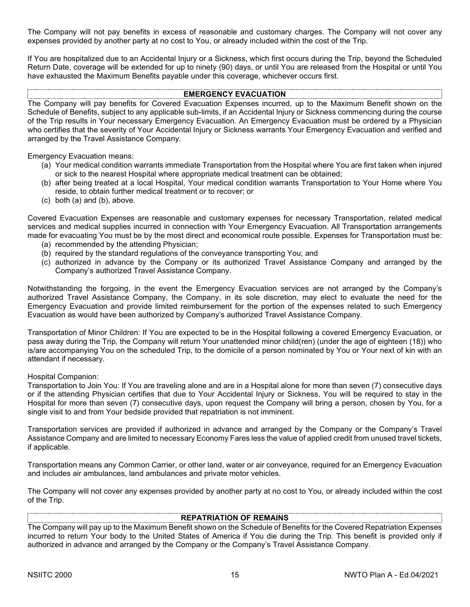The Company will not pay benefits in excess of reasonable and customary charges. The Company will not cover any expenses provided by another party at no cost to You, or already included within the cost of the Trip.

If You are hospitalized due to an Accidental Injury or a Sickness, which first occurs during the Trip, beyond the Scheduled Return Date, coverage will be extended for up to ninety (90) days, or until You are released from the Hospital or until You have exhausted the Maximum Benefits payable under this coverage, whichever occurs first.

#### **EMERGENCY EVACUATION**

The Company will pay benefits for Covered Evacuation Expenses incurred, up to the Maximum Benefit shown on the Schedule of Benefits, subject to any applicable sub-limits, if an Accidental Injury or Sickness commencing during the course of the Trip results in Your necessary Emergency Evacuation. An Emergency Evacuation must be ordered by a Physician who certifies that the severity of Your Accidental Injury or Sickness warrants Your Emergency Evacuation and verified and arranged by the Travel Assistance Company.

Emergency Evacuation means:

- (a) Your medical condition warrants immediate Transportation from the Hospital where You are first taken when injured or sick to the nearest Hospital where appropriate medical treatment can be obtained;
- (b) after being treated at a local Hospital, Your medical condition warrants Transportation to Your Home where You reside, to obtain further medical treatment or to recover; or
- (c) both (a) and (b), above.

Covered Evacuation Expenses are reasonable and customary expenses for necessary Transportation, related medical services and medical supplies incurred in connection with Your Emergency Evacuation. All Transportation arrangements made for evacuating You must be by the most direct and economical route possible. Expenses for Transportation must be:

- (a) recommended by the attending Physician;
- (b) required by the standard regulations of the conveyance transporting You; and
- (c) authorized in advance by the Company or its authorized Travel Assistance Company and arranged by the Company's authorized Travel Assistance Company.

Notwithstanding the forgoing, in the event the Emergency Evacuation services are not arranged by the Company's authorized Travel Assistance Company, the Company, in its sole discretion, may elect to evaluate the need for the Emergency Evacuation and provide limited reimbursement for the portion of the expenses related to such Emergency Evacuation as would have been authorized by Company's authorized Travel Assistance Company.

Transportation of Minor Children: If You are expected to be in the Hospital following a covered Emergency Evacuation, or pass away during the Trip, the Company will return Your unattended minor child(ren) (under the age of eighteen (18)) who is/are accompanying You on the scheduled Trip, to the domicile of a person nominated by You or Your next of kin with an attendant if necessary.

#### Hospital Companion:

Transportation to Join You: If You are traveling alone and are in a Hospital alone for more than seven (7) consecutive days or if the attending Physician certifies that due to Your Accidental Injury or Sickness, You will be required to stay in the Hospital for more than seven (7) consecutive days, upon request the Company will bring a person, chosen by You, for a single visit to and from Your bedside provided that repatriation is not imminent.

Transportation services are provided if authorized in advance and arranged by the Company or the Company's Travel Assistance Company and are limited to necessary Economy Fares less the value of applied credit from unused travel tickets, if applicable.

Transportation means any Common Carrier, or other land, water or air conveyance, required for an Emergency Evacuation and includes air ambulances, land ambulances and private motor vehicles.

The Company will not cover any expenses provided by another party at no cost to You, or already included within the cost of the Trip.

#### **REPATRIATION OF REMAINS**

The Company will pay up to the Maximum Benefit shown on the Schedule of Benefits for the Covered Repatriation Expenses incurred to return Your body to the United States of America if You die during the Trip. This benefit is provided only if authorized in advance and arranged by the Company or the Company's Travel Assistance Company.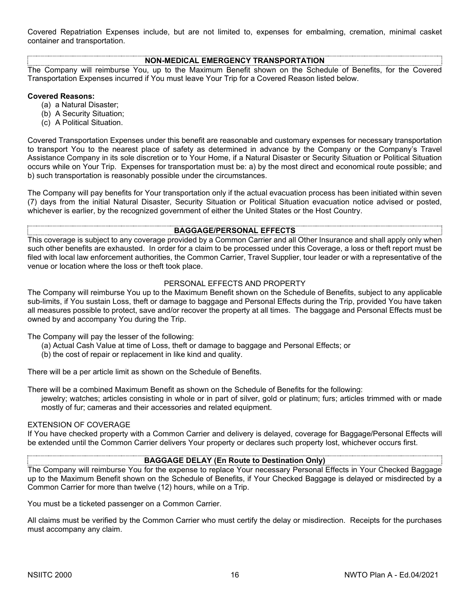Covered Repatriation Expenses include, but are not limited to, expenses for embalming, cremation, minimal casket container and transportation.

# **NON-MEDICAL EMERGENCY TRANSPORTATION**

The Company will reimburse You, up to the Maximum Benefit shown on the Schedule of Benefits, for the Covered Transportation Expenses incurred if You must leave Your Trip for a Covered Reason listed below.

#### **Covered Reasons:**

- (a) a Natural Disaster;
- (b) A Security Situation;
- (c) A Political Situation.

Covered Transportation Expenses under this benefit are reasonable and customary expenses for necessary transportation to transport You to the nearest place of safety as determined in advance by the Company or the Company's Travel Assistance Company in its sole discretion or to Your Home, if a Natural Disaster or Security Situation or Political Situation occurs while on Your Trip. Expenses for transportation must be: a) by the most direct and economical route possible; and b) such transportation is reasonably possible under the circumstances.

The Company will pay benefits for Your transportation only if the actual evacuation process has been initiated within seven (7) days from the initial Natural Disaster, Security Situation or Political Situation evacuation notice advised or posted, whichever is earlier, by the recognized government of either the United States or the Host Country.

#### **BAGGAGE/PERSONAL EFFECTS**

This coverage is subject to any coverage provided by a Common Carrier and all Other Insurance and shall apply only when such other benefits are exhausted. In order for a claim to be processed under this Coverage, a loss or theft report must be filed with local law enforcement authorities, the Common Carrier, Travel Supplier, tour leader or with a representative of the venue or location where the loss or theft took place.

#### PERSONAL EFFECTS AND PROPERTY

The Company will reimburse You up to the Maximum Benefit shown on the Schedule of Benefits, subject to any applicable sub-limits, if You sustain Loss, theft or damage to baggage and Personal Effects during the Trip, provided You have taken all measures possible to protect, save and/or recover the property at all times. The baggage and Personal Effects must be owned by and accompany You during the Trip.

The Company will pay the lesser of the following:

- (a) Actual Cash Value at time of Loss, theft or damage to baggage and Personal Effects; or
- (b) the cost of repair or replacement in like kind and quality.

There will be a per article limit as shown on the Schedule of Benefits.

There will be a combined Maximum Benefit as shown on the Schedule of Benefits for the following:

jewelry; watches; articles consisting in whole or in part of silver, gold or platinum; furs; articles trimmed with or made mostly of fur; cameras and their accessories and related equipment.

#### EXTENSION OF COVERAGE

If You have checked property with a Common Carrier and delivery is delayed, coverage for Baggage/Personal Effects will be extended until the Common Carrier delivers Your property or declares such property lost, whichever occurs first.

#### **BAGGAGE DELAY (En Route to Destination Only)**

The Company will reimburse You for the expense to replace Your necessary Personal Effects in Your Checked Baggage up to the Maximum Benefit shown on the Schedule of Benefits, if Your Checked Baggage is delayed or misdirected by a Common Carrier for more than twelve (12) hours, while on a Trip.

You must be a ticketed passenger on a Common Carrier.

All claims must be verified by the Common Carrier who must certify the delay or misdirection. Receipts for the purchases must accompany any claim.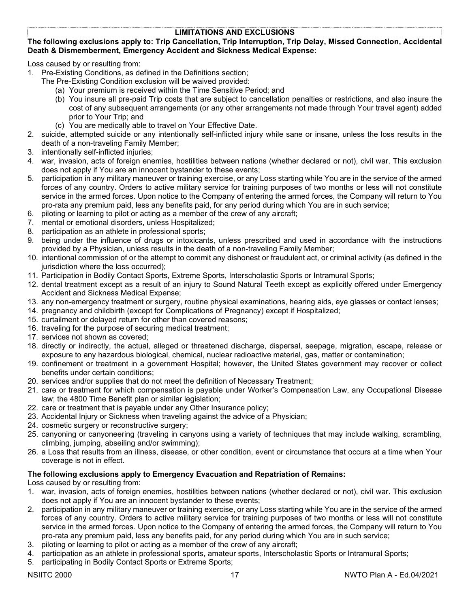# **LIMITATIONS AND EXCLUSIONS**

### **The following exclusions apply to: Trip Cancellation, Trip Interruption, Trip Delay, Missed Connection, Accidental Death & Dismemberment, Emergency Accident and Sickness Medical Expense:**

Loss caused by or resulting from:

- 1. Pre-Existing Conditions, as defined in the Definitions section;
	- The Pre-Existing Condition exclusion will be waived provided:
		- (a) Your premium is received within the Time Sensitive Period; and
		- (b) You insure all pre-paid Trip costs that are subject to cancellation penalties or restrictions, and also insure the cost of any subsequent arrangements (or any other arrangements not made through Your travel agent) added prior to Your Trip; and
		- (c) You are medically able to travel on Your Effective Date.
- 2. suicide, attempted suicide or any intentionally self-inflicted injury while sane or insane, unless the loss results in the death of a non-traveling Family Member;
- 3. intentionally self-inflicted injuries;
- 4. war, invasion, acts of foreign enemies, hostilities between nations (whether declared or not), civil war. This exclusion does not apply if You are an innocent bystander to these events;
- 5. participation in any military maneuver or training exercise, or any Loss starting while You are in the service of the armed forces of any country. Orders to active military service for training purposes of two months or less will not constitute service in the armed forces. Upon notice to the Company of entering the armed forces, the Company will return to You pro-rata any premium paid, less any benefits paid, for any period during which You are in such service;
- 6. piloting or learning to pilot or acting as a member of the crew of any aircraft;
- 7. mental or emotional disorders, unless Hospitalized;
- 8. participation as an athlete in professional sports;
- 9. being under the influence of drugs or intoxicants, unless prescribed and used in accordance with the instructions provided by a Physician, unless results in the death of a non-traveling Family Member;
- 10. intentional commission of or the attempt to commit any dishonest or fraudulent act, or criminal activity (as defined in the jurisdiction where the loss occurred);
- 11. Participation in Bodily Contact Sports, Extreme Sports, Interscholastic Sports or Intramural Sports;
- 12. dental treatment except as a result of an injury to Sound Natural Teeth except as explicitly offered under Emergency Accident and Sickness Medical Expense;
- 13. any non-emergency treatment or surgery, routine physical examinations, hearing aids, eye glasses or contact lenses;
- 14. pregnancy and childbirth (except for Complications of Pregnancy) except if Hospitalized;
- 15. curtailment or delayed return for other than covered reasons;
- 16. traveling for the purpose of securing medical treatment;
- 17. services not shown as covered;
- 18. directly or indirectly, the actual, alleged or threatened discharge, dispersal, seepage, migration, escape, release or exposure to any hazardous biological, chemical, nuclear radioactive material, gas, matter or contamination;
- 19. confinement or treatment in a government Hospital; however, the United States government may recover or collect benefits under certain conditions;
- 20. services and/or supplies that do not meet the definition of Necessary Treatment;
- 21. care or treatment for which compensation is payable under Worker's Compensation Law, any Occupational Disease law; the 4800 Time Benefit plan or similar legislation;
- 22. care or treatment that is payable under any Other Insurance policy;
- 23. Accidental Injury or Sickness when traveling against the advice of a Physician;
- 24. cosmetic surgery or reconstructive surgery;
- 25. canyoning or canyoneering (traveling in canyons using a variety of techniques that may include walking, scrambling, climbing, jumping, abseiling and/or swimming);
- 26. a Loss that results from an illness, disease, or other condition, event or circumstance that occurs at a time when Your coverage is not in effect.

## **The following exclusions apply to Emergency Evacuation and Repatriation of Remains:**

Loss caused by or resulting from:

- 1. war, invasion, acts of foreign enemies, hostilities between nations (whether declared or not), civil war. This exclusion does not apply if You are an innocent bystander to these events;
- 2. participation in any military maneuver or training exercise, or any Loss starting while You are in the service of the armed forces of any country. Orders to active military service for training purposes of two months or less will not constitute service in the armed forces. Upon notice to the Company of entering the armed forces, the Company will return to You pro-rata any premium paid, less any benefits paid, for any period during which You are in such service;
- 3. piloting or learning to pilot or acting as a member of the crew of any aircraft;
- 4. participation as an athlete in professional sports, amateur sports, Interscholastic Sports or Intramural Sports;
- 5. participating in Bodily Contact Sports or Extreme Sports;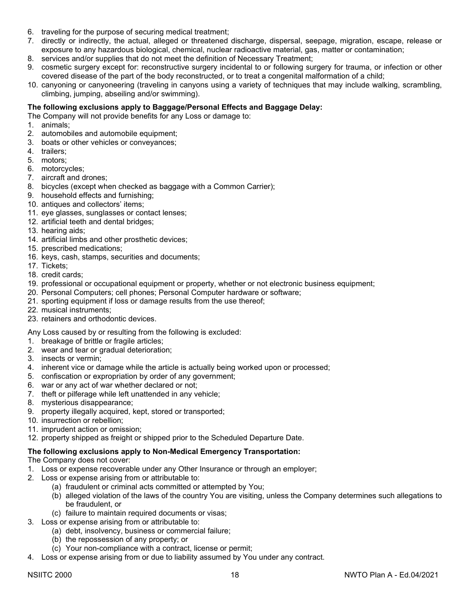- 6. traveling for the purpose of securing medical treatment;
- 7. directly or indirectly, the actual, alleged or threatened discharge, dispersal, seepage, migration, escape, release or exposure to any hazardous biological, chemical, nuclear radioactive material, gas, matter or contamination;
- 8. services and/or supplies that do not meet the definition of Necessary Treatment;
- 9. cosmetic surgery except for: reconstructive surgery incidental to or following surgery for trauma, or infection or other covered disease of the part of the body reconstructed, or to treat a congenital malformation of a child;
- 10. canyoning or canyoneering (traveling in canyons using a variety of techniques that may include walking, scrambling, climbing, jumping, abseiling and/or swimming).

#### **The following exclusions apply to Baggage/Personal Effects and Baggage Delay:**

The Company will not provide benefits for any Loss or damage to:

- 1. animals;
- 2. automobiles and automobile equipment;
- 3. boats or other vehicles or conveyances;
- 4. trailers;
- 5. motors;
- 6. motorcycles;
- 7. aircraft and drones;
- 8. bicycles (except when checked as baggage with a Common Carrier);
- 9. household effects and furnishing;
- 10. antiques and collectors' items;
- 11. eye glasses, sunglasses or contact lenses;
- 12. artificial teeth and dental bridges;
- 13. hearing aids;
- 14. artificial limbs and other prosthetic devices;
- 15. prescribed medications;
- 16. keys, cash, stamps, securities and documents;
- 17. Tickets;
- 18. credit cards;
- 19. professional or occupational equipment or property, whether or not electronic business equipment;
- 20. Personal Computers; cell phones; Personal Computer hardware or software;
- 21. sporting equipment if loss or damage results from the use thereof;
- 22. musical instruments;
- 23. retainers and orthodontic devices.

Any Loss caused by or resulting from the following is excluded:

- 1. breakage of brittle or fragile articles;
- 2. wear and tear or gradual deterioration;
- 3. insects or vermin;
- 4. inherent vice or damage while the article is actually being worked upon or processed;
- 5. confiscation or expropriation by order of any government;
- 6. war or any act of war whether declared or not;
- 7. theft or pilferage while left unattended in any vehicle;
- 8. mysterious disappearance;
- 9. property illegally acquired, kept, stored or transported;
- 10. insurrection or rebellion;
- 11. imprudent action or omission;
- 12. property shipped as freight or shipped prior to the Scheduled Departure Date.

## **The following exclusions apply to Non-Medical Emergency Transportation:**

The Company does not cover:

- 1. Loss or expense recoverable under any Other Insurance or through an employer;
- 2. Loss or expense arising from or attributable to:
	- (a) fraudulent or criminal acts committed or attempted by You;
	- (b) alleged violation of the laws of the country You are visiting, unless the Company determines such allegations to be fraudulent, or
	- (c) failure to maintain required documents or visas;
- 3. Loss or expense arising from or attributable to:
	- (a) debt, insolvency, business or commercial failure;
	- (b) the repossession of any property; or
	- (c) Your non-compliance with a contract, license or permit;
- 4. Loss or expense arising from or due to liability assumed by You under any contract.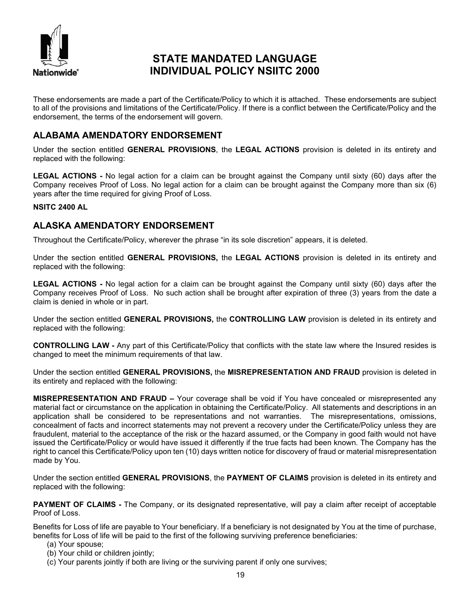

# **STATE MANDATED LANGUAGE INDIVIDUAL POLICY NSIITC 2000**

These endorsements are made a part of the Certificate/Policy to which it is attached. These endorsements are subject to all of the provisions and limitations of the Certificate/Policy. If there is a conflict between the Certificate/Policy and the endorsement, the terms of the endorsement will govern.

# **ALABAMA AMENDATORY ENDORSEMENT**

Under the section entitled **GENERAL PROVISIONS**, the **LEGAL ACTIONS** provision is deleted in its entirety and replaced with the following:

**LEGAL ACTIONS -** No legal action for a claim can be brought against the Company until sixty (60) days after the Company receives Proof of Loss. No legal action for a claim can be brought against the Company more than six (6) years after the time required for giving Proof of Loss.

### **NSITC 2400 AL**

# **ALASKA AMENDATORY ENDORSEMENT**

Throughout the Certificate/Policy, wherever the phrase "in its sole discretion" appears, it is deleted.

Under the section entitled **GENERAL PROVISIONS,** the **LEGAL ACTIONS** provision is deleted in its entirety and replaced with the following:

**LEGAL ACTIONS -** No legal action for a claim can be brought against the Company until sixty (60) days after the Company receives Proof of Loss. No such action shall be brought after expiration of three (3) years from the date a claim is denied in whole or in part.

Under the section entitled **GENERAL PROVISIONS,** the **CONTROLLING LAW** provision is deleted in its entirety and replaced with the following:

**CONTROLLING LAW -** Any part of this Certificate/Policy that conflicts with the state law where the Insured resides is changed to meet the minimum requirements of that law.

Under the section entitled **GENERAL PROVISIONS,** the **MISREPRESENTATION AND FRAUD** provision is deleted in its entirety and replaced with the following:

**MISREPRESENTATION AND FRAUD –** Your coverage shall be void if You have concealed or misrepresented any material fact or circumstance on the application in obtaining the Certificate/Policy. All statements and descriptions in an application shall be considered to be representations and not warranties. The misrepresentations, omissions, concealment of facts and incorrect statements may not prevent a recovery under the Certificate/Policy unless they are fraudulent, material to the acceptance of the risk or the hazard assumed, or the Company in good faith would not have issued the Certificate/Policy or would have issued it differently if the true facts had been known. The Company has the right to cancel this Certificate/Policy upon ten (10) days written notice for discovery of fraud or material misrepresentation made by You.

Under the section entitled **GENERAL PROVISIONS**, the **PAYMENT OF CLAIMS** provision is deleted in its entirety and replaced with the following:

**PAYMENT OF CLAIMS -** The Company, or its designated representative, will pay a claim after receipt of acceptable Proof of Loss.

Benefits for Loss of life are payable to Your beneficiary. If a beneficiary is not designated by You at the time of purchase, benefits for Loss of life will be paid to the first of the following surviving preference beneficiaries:

- (a) Your spouse;
- (b) Your child or children jointly;
- (c) Your parents jointly if both are living or the surviving parent if only one survives;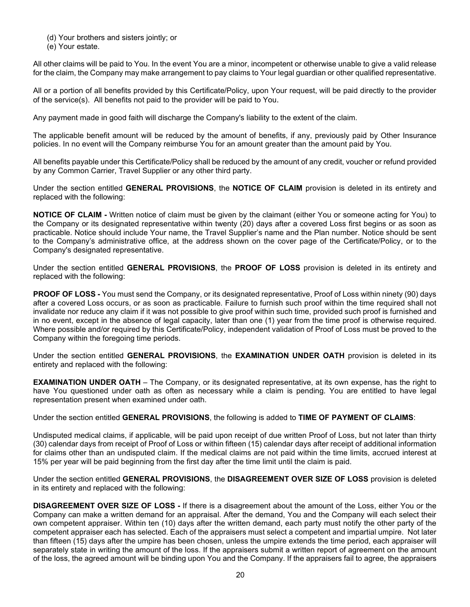(d) Your brothers and sisters jointly; or

(e) Your estate.

All other claims will be paid to You. In the event You are a minor, incompetent or otherwise unable to give a valid release for the claim, the Company may make arrangement to pay claims to Your legal guardian or other qualified representative.

All or a portion of all benefits provided by this Certificate/Policy, upon Your request, will be paid directly to the provider of the service(s). All benefits not paid to the provider will be paid to You.

Any payment made in good faith will discharge the Company's liability to the extent of the claim.

The applicable benefit amount will be reduced by the amount of benefits, if any, previously paid by Other Insurance policies. In no event will the Company reimburse You for an amount greater than the amount paid by You.

All benefits payable under this Certificate/Policy shall be reduced by the amount of any credit, voucher or refund provided by any Common Carrier, Travel Supplier or any other third party.

Under the section entitled **GENERAL PROVISIONS**, the **NOTICE OF CLAIM** provision is deleted in its entirety and replaced with the following:

**NOTICE OF CLAIM -** Written notice of claim must be given by the claimant (either You or someone acting for You) to the Company or its designated representative within twenty (20) days after a covered Loss first begins or as soon as practicable. Notice should include Your name, the Travel Supplier's name and the Plan number. Notice should be sent to the Company's administrative office, at the address shown on the cover page of the Certificate/Policy, or to the Company's designated representative.

Under the section entitled **GENERAL PROVISIONS**, the **PROOF OF LOSS** provision is deleted in its entirety and replaced with the following:

**PROOF OF LOSS -** You must send the Company, or its designated representative, Proof of Loss within ninety (90) days after a covered Loss occurs, or as soon as practicable. Failure to furnish such proof within the time required shall not invalidate nor reduce any claim if it was not possible to give proof within such time, provided such proof is furnished and in no event, except in the absence of legal capacity, later than one (1) year from the time proof is otherwise required. Where possible and/or required by this Certificate/Policy, independent validation of Proof of Loss must be proved to the Company within the foregoing time periods.

Under the section entitled **GENERAL PROVISIONS**, the **EXAMINATION UNDER OATH** provision is deleted in its entirety and replaced with the following:

**EXAMINATION UNDER OATH** – The Company, or its designated representative, at its own expense, has the right to have You questioned under oath as often as necessary while a claim is pending. You are entitled to have legal representation present when examined under oath.

Under the section entitled **GENERAL PROVISIONS**, the following is added to **TIME OF PAYMENT OF CLAIMS**:

Undisputed medical claims, if applicable, will be paid upon receipt of due written Proof of Loss, but not later than thirty (30) calendar days from receipt of Proof of Loss or within fifteen (15) calendar days after receipt of additional information for claims other than an undisputed claim. If the medical claims are not paid within the time limits, accrued interest at 15% per year will be paid beginning from the first day after the time limit until the claim is paid.

Under the section entitled **GENERAL PROVISIONS**, the **DISAGREEMENT OVER SIZE OF LOSS** provision is deleted in its entirety and replaced with the following:

**DISAGREEMENT OVER SIZE OF LOSS -** If there is a disagreement about the amount of the Loss, either You or the Company can make a written demand for an appraisal. After the demand, You and the Company will each select their own competent appraiser. Within ten (10) days after the written demand, each party must notify the other party of the competent appraiser each has selected. Each of the appraisers must select a competent and impartial umpire. Not later than fifteen (15) days after the umpire has been chosen, unless the umpire extends the time period, each appraiser will separately state in writing the amount of the loss. If the appraisers submit a written report of agreement on the amount of the loss, the agreed amount will be binding upon You and the Company. If the appraisers fail to agree, the appraisers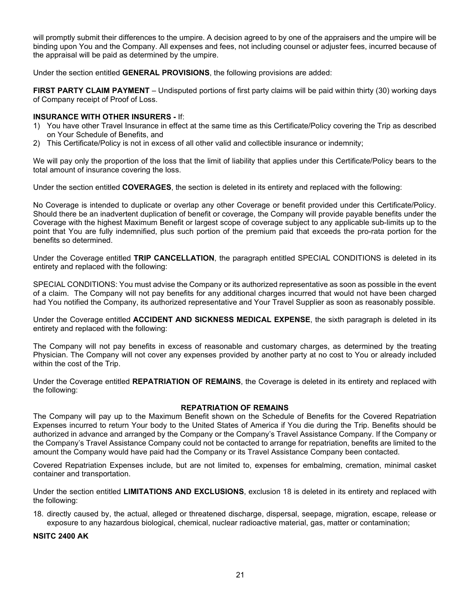will promptly submit their differences to the umpire. A decision agreed to by one of the appraisers and the umpire will be binding upon You and the Company. All expenses and fees, not including counsel or adjuster fees, incurred because of the appraisal will be paid as determined by the umpire.

Under the section entitled **GENERAL PROVISIONS**, the following provisions are added:

**FIRST PARTY CLAIM PAYMENT** – Undisputed portions of first party claims will be paid within thirty (30) working days of Company receipt of Proof of Loss.

#### **INSURANCE WITH OTHER INSURERS -** If:

- 1) You have other Travel Insurance in effect at the same time as this Certificate/Policy covering the Trip as described on Your Schedule of Benefits, and
- 2) This Certificate/Policy is not in excess of all other valid and collectible insurance or indemnity;

We will pay only the proportion of the loss that the limit of liability that applies under this Certificate/Policy bears to the total amount of insurance covering the loss.

Under the section entitled **COVERAGES**, the section is deleted in its entirety and replaced with the following:

No Coverage is intended to duplicate or overlap any other Coverage or benefit provided under this Certificate/Policy. Should there be an inadvertent duplication of benefit or coverage, the Company will provide payable benefits under the Coverage with the highest Maximum Benefit or largest scope of coverage subject to any applicable sub-limits up to the point that You are fully indemnified, plus such portion of the premium paid that exceeds the pro-rata portion for the benefits so determined.

Under the Coverage entitled **TRIP CANCELLATION**, the paragraph entitled SPECIAL CONDITIONS is deleted in its entirety and replaced with the following:

SPECIAL CONDITIONS: You must advise the Company or its authorized representative as soon as possible in the event of a claim. The Company will not pay benefits for any additional charges incurred that would not have been charged had You notified the Company, its authorized representative and Your Travel Supplier as soon as reasonably possible.

Under the Coverage entitled **ACCIDENT AND SICKNESS MEDICAL EXPENSE**, the sixth paragraph is deleted in its entirety and replaced with the following:

The Company will not pay benefits in excess of reasonable and customary charges, as determined by the treating Physician. The Company will not cover any expenses provided by another party at no cost to You or already included within the cost of the Trip.

Under the Coverage entitled **REPATRIATION OF REMAINS**, the Coverage is deleted in its entirety and replaced with the following:

#### **REPATRIATION OF REMAINS**

The Company will pay up to the Maximum Benefit shown on the Schedule of Benefits for the Covered Repatriation Expenses incurred to return Your body to the United States of America if You die during the Trip. Benefits should be authorized in advance and arranged by the Company or the Company's Travel Assistance Company. If the Company or the Company's Travel Assistance Company could not be contacted to arrange for repatriation, benefits are limited to the amount the Company would have paid had the Company or its Travel Assistance Company been contacted.

Covered Repatriation Expenses include, but are not limited to, expenses for embalming, cremation, minimal casket container and transportation.

Under the section entitled **LIMITATIONS AND EXCLUSIONS**, exclusion 18 is deleted in its entirety and replaced with the following:

18. directly caused by, the actual, alleged or threatened discharge, dispersal, seepage, migration, escape, release or exposure to any hazardous biological, chemical, nuclear radioactive material, gas, matter or contamination;

**NSITC 2400 AK**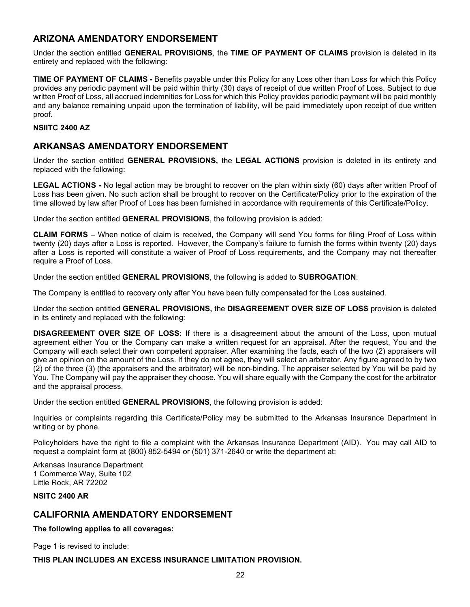# **ARIZONA AMENDATORY ENDORSEMENT**

Under the section entitled **GENERAL PROVISIONS**, the **TIME OF PAYMENT OF CLAIMS** provision is deleted in its entirety and replaced with the following:

**TIME OF PAYMENT OF CLAIMS -** Benefits payable under this Policy for any Loss other than Loss for which this Policy provides any periodic payment will be paid within thirty (30) days of receipt of due written Proof of Loss. Subject to due written Proof of Loss, all accrued indemnities for Loss for which this Policy provides periodic payment will be paid monthly and any balance remaining unpaid upon the termination of liability, will be paid immediately upon receipt of due written proof.

### **NSIITC 2400 AZ**

# **ARKANSAS AMENDATORY ENDORSEMENT**

Under the section entitled **GENERAL PROVISIONS,** the **LEGAL ACTIONS** provision is deleted in its entirety and replaced with the following:

**LEGAL ACTIONS -** No legal action may be brought to recover on the plan within sixty (60) days after written Proof of Loss has been given. No such action shall be brought to recover on the Certificate/Policy prior to the expiration of the time allowed by law after Proof of Loss has been furnished in accordance with requirements of this Certificate/Policy.

Under the section entitled **GENERAL PROVISIONS**, the following provision is added:

**CLAIM FORMS** – When notice of claim is received, the Company will send You forms for filing Proof of Loss within twenty (20) days after a Loss is reported. However, the Company's failure to furnish the forms within twenty (20) days after a Loss is reported will constitute a waiver of Proof of Loss requirements, and the Company may not thereafter require a Proof of Loss.

Under the section entitled **GENERAL PROVISIONS**, the following is added to **SUBROGATION**:

The Company is entitled to recovery only after You have been fully compensated for the Loss sustained.

Under the section entitled **GENERAL PROVISIONS,** the **DISAGREEMENT OVER SIZE OF LOSS** provision is deleted in its entirety and replaced with the following:

**DISAGREEMENT OVER SIZE OF LOSS:** If there is a disagreement about the amount of the Loss, upon mutual agreement either You or the Company can make a written request for an appraisal. After the request, You and the Company will each select their own competent appraiser. After examining the facts, each of the two (2) appraisers will give an opinion on the amount of the Loss. If they do not agree, they will select an arbitrator. Any figure agreed to by two (2) of the three (3) (the appraisers and the arbitrator) will be non-binding. The appraiser selected by You will be paid by You. The Company will pay the appraiser they choose. You will share equally with the Company the cost for the arbitrator and the appraisal process.

Under the section entitled **GENERAL PROVISIONS**, the following provision is added:

Inquiries or complaints regarding this Certificate/Policy may be submitted to the Arkansas Insurance Department in writing or by phone.

Policyholders have the right to file a complaint with the Arkansas Insurance Department (AID). You may call AID to request a complaint form at (800) 852-5494 or (501) 371-2640 or write the department at:

Arkansas Insurance Department 1 Commerce Way, Suite 102 Little Rock, AR 72202

#### **NSITC 2400 AR**

# **CALIFORNIA AMENDATORY ENDORSEMENT**

## **The following applies to all coverages:**

Page 1 is revised to include:

**THIS PLAN INCLUDES AN EXCESS INSURANCE LIMITATION PROVISION.**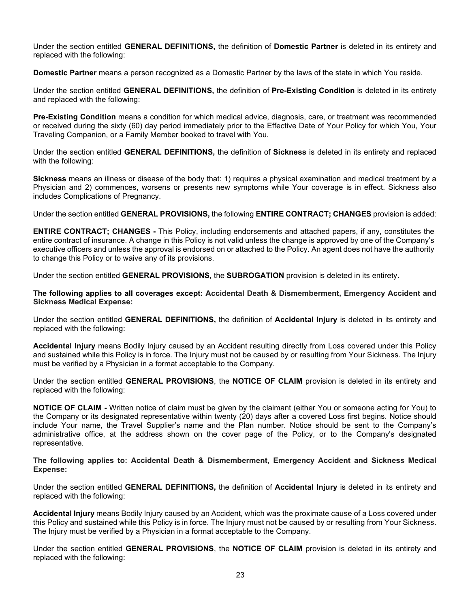Under the section entitled **GENERAL DEFINITIONS,** the definition of **Domestic Partner** is deleted in its entirety and replaced with the following:

**Domestic Partner** means a person recognized as a Domestic Partner by the laws of the state in which You reside.

Under the section entitled **GENERAL DEFINITIONS,** the definition of **Pre-Existing Condition** is deleted in its entirety and replaced with the following:

**Pre-Existing Condition** means a condition for which medical advice, diagnosis, care, or treatment was recommended or received during the sixty (60) day period immediately prior to the Effective Date of Your Policy for which You, Your Traveling Companion, or a Family Member booked to travel with You.

Under the section entitled **GENERAL DEFINITIONS,** the definition of **Sickness** is deleted in its entirety and replaced with the following:

**Sickness** means an illness or disease of the body that: 1) requires a physical examination and medical treatment by a Physician and 2) commences, worsens or presents new symptoms while Your coverage is in effect. Sickness also includes Complications of Pregnancy.

Under the section entitled **GENERAL PROVISIONS,** the following **ENTIRE CONTRACT; CHANGES** provision is added:

**ENTIRE CONTRACT; CHANGES -** This Policy, including endorsements and attached papers, if any, constitutes the entire contract of insurance. A change in this Policy is not valid unless the change is approved by one of the Company's executive officers and unless the approval is endorsed on or attached to the Policy. An agent does not have the authority to change this Policy or to waive any of its provisions.

Under the section entitled **GENERAL PROVISIONS,** the **SUBROGATION** provision is deleted in its entirety.

**The following applies to all coverages except: Accidental Death & Dismemberment, Emergency Accident and Sickness Medical Expense:**

Under the section entitled **GENERAL DEFINITIONS,** the definition of **Accidental Injury** is deleted in its entirety and replaced with the following:

**Accidental Injury** means Bodily Injury caused by an Accident resulting directly from Loss covered under this Policy and sustained while this Policy is in force. The Injury must not be caused by or resulting from Your Sickness. The Injury must be verified by a Physician in a format acceptable to the Company.

Under the section entitled **GENERAL PROVISIONS**, the **NOTICE OF CLAIM** provision is deleted in its entirety and replaced with the following:

**NOTICE OF CLAIM -** Written notice of claim must be given by the claimant (either You or someone acting for You) to the Company or its designated representative within twenty (20) days after a covered Loss first begins. Notice should include Your name, the Travel Supplier's name and the Plan number. Notice should be sent to the Company's administrative office, at the address shown on the cover page of the Policy, or to the Company's designated representative.

**The following applies to: Accidental Death & Dismemberment, Emergency Accident and Sickness Medical Expense:**

Under the section entitled **GENERAL DEFINITIONS,** the definition of **Accidental Injury** is deleted in its entirety and replaced with the following:

**Accidental Injury** means Bodily Injury caused by an Accident, which was the proximate cause of a Loss covered under this Policy and sustained while this Policy is in force. The Injury must not be caused by or resulting from Your Sickness. The Injury must be verified by a Physician in a format acceptable to the Company.

Under the section entitled **GENERAL PROVISIONS**, the **NOTICE OF CLAIM** provision is deleted in its entirety and replaced with the following: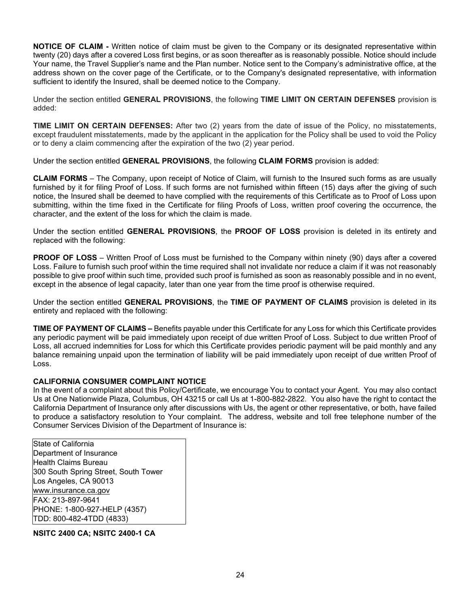**NOTICE OF CLAIM -** Written notice of claim must be given to the Company or its designated representative within twenty (20) days after a covered Loss first begins, or as soon thereafter as is reasonably possible. Notice should include Your name, the Travel Supplier's name and the Plan number. Notice sent to the Company's administrative office, at the address shown on the cover page of the Certificate, or to the Company's designated representative, with information sufficient to identify the Insured, shall be deemed notice to the Company.

Under the section entitled **GENERAL PROVISIONS**, the following **TIME LIMIT ON CERTAIN DEFENSES** provision is added:

**TIME LIMIT ON CERTAIN DEFENSES:** After two (2) years from the date of issue of the Policy, no misstatements, except fraudulent misstatements, made by the applicant in the application for the Policy shall be used to void the Policy or to deny a claim commencing after the expiration of the two (2) year period.

Under the section entitled **GENERAL PROVISIONS**, the following **CLAIM FORMS** provision is added:

**CLAIM FORMS** – The Company, upon receipt of Notice of Claim, will furnish to the Insured such forms as are usually furnished by it for filing Proof of Loss. If such forms are not furnished within fifteen (15) days after the giving of such notice, the Insured shall be deemed to have complied with the requirements of this Certificate as to Proof of Loss upon submitting, within the time fixed in the Certificate for filing Proofs of Loss, written proof covering the occurrence, the character, and the extent of the loss for which the claim is made.

Under the section entitled **GENERAL PROVISIONS**, the **PROOF OF LOSS** provision is deleted in its entirety and replaced with the following:

**PROOF OF LOSS** – Written Proof of Loss must be furnished to the Company within ninety (90) days after a covered Loss. Failure to furnish such proof within the time required shall not invalidate nor reduce a claim if it was not reasonably possible to give proof within such time, provided such proof is furnished as soon as reasonably possible and in no event, except in the absence of legal capacity, later than one year from the time proof is otherwise required.

Under the section entitled **GENERAL PROVISIONS**, the **TIME OF PAYMENT OF CLAIMS** provision is deleted in its entirety and replaced with the following:

**TIME OF PAYMENT OF CLAIMS –** Benefits payable under this Certificate for any Loss for which this Certificate provides any periodic payment will be paid immediately upon receipt of due written Proof of Loss. Subject to due written Proof of Loss, all accrued indemnities for Loss for which this Certificate provides periodic payment will be paid monthly and any balance remaining unpaid upon the termination of liability will be paid immediately upon receipt of due written Proof of Loss.

## **CALIFORNIA CONSUMER COMPLAINT NOTICE**

In the event of a complaint about this Policy/Certificate, we encourage You to contact your Agent. You may also contact Us at One Nationwide Plaza, Columbus, OH 43215 or call Us at 1-800-882-2822. You also have the right to contact the California Department of Insurance only after discussions with Us, the agent or other representative, or both, have failed to produce a satisfactory resolution to Your complaint. The address, website and toll free telephone number of the Consumer Services Division of the Department of Insurance is:

State of California Department of Insurance Health Claims Bureau 300 South Spring Street, South Tower Los Angeles, CA 90013 [www.insurance.ca.gov](http://www.insurance.ca.gov/) FAX: 213-897-9641 PHONE: 1-800-927-HELP (4357) TDD: 800-482-4TDD (4833)

**NSITC 2400 CA; NSITC 2400-1 CA**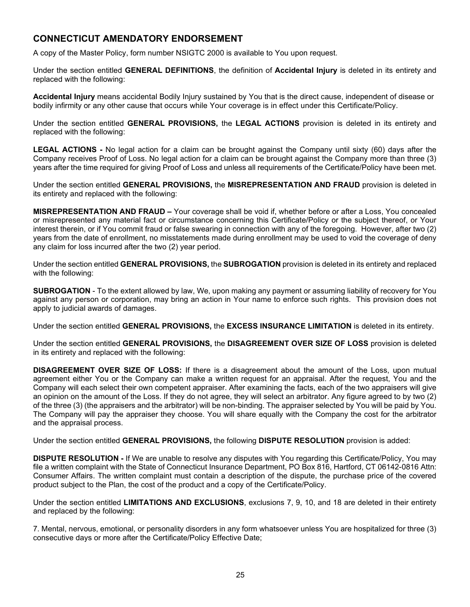# **CONNECTICUT AMENDATORY ENDORSEMENT**

A copy of the Master Policy, form number NSIGTC 2000 is available to You upon request.

Under the section entitled **GENERAL DEFINITIONS**, the definition of **Accidental Injury** is deleted in its entirety and replaced with the following:

**Accidental Injury** means accidental Bodily Injury sustained by You that is the direct cause, independent of disease or bodily infirmity or any other cause that occurs while Your coverage is in effect under this Certificate/Policy.

Under the section entitled **GENERAL PROVISIONS,** the **LEGAL ACTIONS** provision is deleted in its entirety and replaced with the following:

**LEGAL ACTIONS -** No legal action for a claim can be brought against the Company until sixty (60) days after the Company receives Proof of Loss. No legal action for a claim can be brought against the Company more than three (3) years after the time required for giving Proof of Loss and unless all requirements of the Certificate/Policy have been met.

Under the section entitled **GENERAL PROVISIONS,** the **MISREPRESENTATION AND FRAUD** provision is deleted in its entirety and replaced with the following:

**MISREPRESENTATION AND FRAUD –** Your coverage shall be void if, whether before or after a Loss, You concealed or misrepresented any material fact or circumstance concerning this Certificate/Policy or the subject thereof, or Your interest therein, or if You commit fraud or false swearing in connection with any of the foregoing. However, after two (2) years from the date of enrollment, no misstatements made during enrollment may be used to void the coverage of deny any claim for loss incurred after the two (2) year period.

Under the section entitled **GENERAL PROVISIONS,** the **SUBROGATION** provision is deleted in its entirety and replaced with the following:

**SUBROGATION** - To the extent allowed by law, We, upon making any payment or assuming liability of recovery for You against any person or corporation, may bring an action in Your name to enforce such rights. This provision does not apply to judicial awards of damages.

Under the section entitled **GENERAL PROVISIONS,** the **EXCESS INSURANCE LIMITATION** is deleted in its entirety.

Under the section entitled **GENERAL PROVISIONS,** the **DISAGREEMENT OVER SIZE OF LOSS** provision is deleted in its entirety and replaced with the following:

**DISAGREEMENT OVER SIZE OF LOSS:** If there is a disagreement about the amount of the Loss, upon mutual agreement either You or the Company can make a written request for an appraisal. After the request, You and the Company will each select their own competent appraiser. After examining the facts, each of the two appraisers will give an opinion on the amount of the Loss. If they do not agree, they will select an arbitrator. Any figure agreed to by two (2) of the three (3) (the appraisers and the arbitrator) will be non-binding. The appraiser selected by You will be paid by You. The Company will pay the appraiser they choose. You will share equally with the Company the cost for the arbitrator and the appraisal process.

Under the section entitled **GENERAL PROVISIONS,** the following **DISPUTE RESOLUTION** provision is added:

**DISPUTE RESOLUTION -** If We are unable to resolve any disputes with You regarding this Certificate/Policy, You may file a written complaint with the State of Connecticut Insurance Department, PO Box 816, Hartford, CT 06142-0816 Attn: Consumer Affairs. The written complaint must contain a description of the dispute, the purchase price of the covered product subject to the Plan, the cost of the product and a copy of the Certificate/Policy.

Under the section entitled **LIMITATIONS AND EXCLUSIONS**, exclusions 7, 9, 10, and 18 are deleted in their entirety and replaced by the following:

7. Mental, nervous, emotional, or personality disorders in any form whatsoever unless You are hospitalized for three (3) consecutive days or more after the Certificate/Policy Effective Date;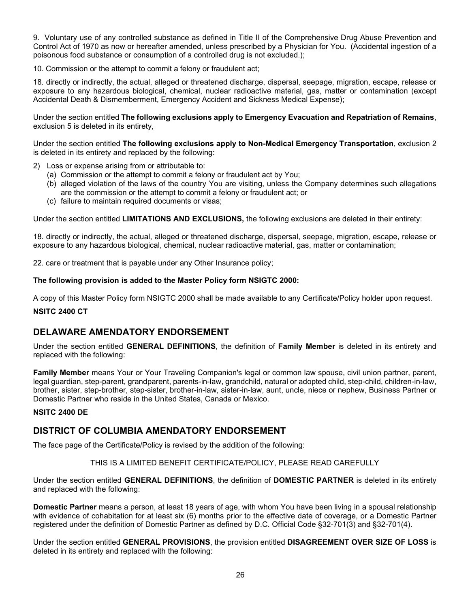9. Voluntary use of any controlled substance as defined in Title II of the Comprehensive Drug Abuse Prevention and Control Act of 1970 as now or hereafter amended, unless prescribed by a Physician for You. (Accidental ingestion of a poisonous food substance or consumption of a controlled drug is not excluded.);

10. Commission or the attempt to commit a felony or fraudulent act;

18. directly or indirectly, the actual, alleged or threatened discharge, dispersal, seepage, migration, escape, release or exposure to any hazardous biological, chemical, nuclear radioactive material, gas, matter or contamination (except Accidental Death & Dismemberment, Emergency Accident and Sickness Medical Expense);

Under the section entitled **The following exclusions apply to Emergency Evacuation and Repatriation of Remains**, exclusion 5 is deleted in its entirety,

Under the section entitled **The following exclusions apply to Non-Medical Emergency Transportation**, exclusion 2 is deleted in its entirety and replaced by the following:

- 2) Loss or expense arising from or attributable to:
	- (a) Commission or the attempt to commit a felony or fraudulent act by You;
	- (b) alleged violation of the laws of the country You are visiting, unless the Company determines such allegations are the commission or the attempt to commit a felony or fraudulent act; or
	- (c) failure to maintain required documents or visas;

Under the section entitled **LIMITATIONS AND EXCLUSIONS,** the following exclusions are deleted in their entirety:

18. directly or indirectly, the actual, alleged or threatened discharge, dispersal, seepage, migration, escape, release or exposure to any hazardous biological, chemical, nuclear radioactive material, gas, matter or contamination;

22. care or treatment that is payable under any Other Insurance policy;

## **The following provision is added to the Master Policy form NSIGTC 2000:**

A copy of this Master Policy form NSIGTC 2000 shall be made available to any Certificate/Policy holder upon request.

#### **NSITC 2400 CT**

# **DELAWARE AMENDATORY ENDORSEMENT**

Under the section entitled **GENERAL DEFINITIONS**, the definition of **Family Member** is deleted in its entirety and replaced with the following:

**Family Member** means Your or Your Traveling Companion's legal or common law spouse, civil union partner, parent, legal guardian, step-parent, grandparent, parents-in-law, grandchild, natural or adopted child, step-child, children-in-law, brother, sister, step-brother, step-sister, brother-in-law, sister-in-law, aunt, uncle, niece or nephew, Business Partner or Domestic Partner who reside in the United States, Canada or Mexico.

#### **NSITC 2400 DE**

# **DISTRICT OF COLUMBIA AMENDATORY ENDORSEMENT**

The face page of the Certificate/Policy is revised by the addition of the following:

#### THIS IS A LIMITED BENEFIT CERTIFICATE/POLICY, PLEASE READ CAREFULLY

Under the section entitled **GENERAL DEFINITIONS**, the definition of **DOMESTIC PARTNER** is deleted in its entirety and replaced with the following:

**Domestic Partner** means a person, at least 18 years of age, with whom You have been living in a spousal relationship with evidence of cohabitation for at least six (6) months prior to the effective date of coverage, or a Domestic Partner registered under the definition of Domestic Partner as defined by D.C. Official Code §32-701(3) and §32-701(4).

Under the section entitled **GENERAL PROVISIONS**, the provision entitled **DISAGREEMENT OVER SIZE OF LOSS** is deleted in its entirety and replaced with the following: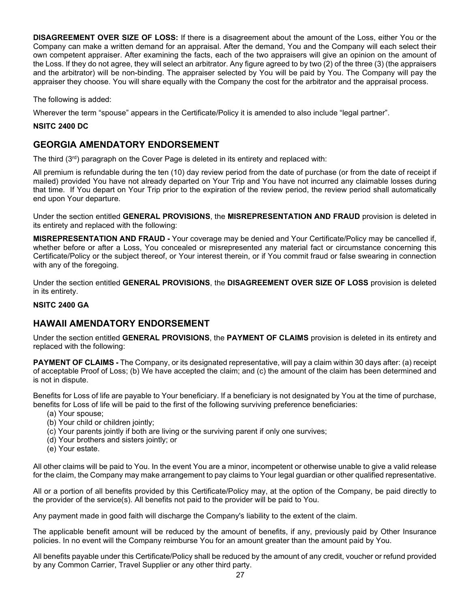**DISAGREEMENT OVER SIZE OF LOSS:** If there is a disagreement about the amount of the Loss, either You or the Company can make a written demand for an appraisal. After the demand, You and the Company will each select their own competent appraiser. After examining the facts, each of the two appraisers will give an opinion on the amount of the Loss. If they do not agree, they will select an arbitrator. Any figure agreed to by two (2) of the three (3) (the appraisers and the arbitrator) will be non-binding. The appraiser selected by You will be paid by You. The Company will pay the appraiser they choose. You will share equally with the Company the cost for the arbitrator and the appraisal process.

The following is added:

Wherever the term "spouse" appears in the Certificate/Policy it is amended to also include "legal partner".

#### **NSITC 2400 DC**

# **GEORGIA AMENDATORY ENDORSEMENT**

The third (3rd) paragraph on the Cover Page is deleted in its entirety and replaced with:

All premium is refundable during the ten (10) day review period from the date of purchase (or from the date of receipt if mailed) provided You have not already departed on Your Trip and You have not incurred any claimable losses during that time. If You depart on Your Trip prior to the expiration of the review period, the review period shall automatically end upon Your departure.

Under the section entitled **GENERAL PROVISIONS**, the **MISREPRESENTATION AND FRAUD** provision is deleted in its entirety and replaced with the following:

**MISREPRESENTATION AND FRAUD -** Your coverage may be denied and Your Certificate/Policy may be cancelled if, whether before or after a Loss, You concealed or misrepresented any material fact or circumstance concerning this Certificate/Policy or the subject thereof, or Your interest therein, or if You commit fraud or false swearing in connection with any of the foregoing.

Under the section entitled **GENERAL PROVISIONS**, the **DISAGREEMENT OVER SIZE OF LOSS** provision is deleted in its entirety.

# **NSITC 2400 GA**

# **HAWAII AMENDATORY ENDORSEMENT**

Under the section entitled **GENERAL PROVISIONS**, the **PAYMENT OF CLAIMS** provision is deleted in its entirety and replaced with the following:

**PAYMENT OF CLAIMS** - The Company, or its designated representative, will pay a claim within 30 days after: (a) receipt of acceptable Proof of Loss; (b) We have accepted the claim; and (c) the amount of the claim has been determined and is not in dispute.

Benefits for Loss of life are payable to Your beneficiary. If a beneficiary is not designated by You at the time of purchase, benefits for Loss of life will be paid to the first of the following surviving preference beneficiaries:

- (a) Your spouse;
- (b) Your child or children jointly;
- (c) Your parents jointly if both are living or the surviving parent if only one survives;
- (d) Your brothers and sisters jointly; or
- (e) Your estate.

All other claims will be paid to You. In the event You are a minor, incompetent or otherwise unable to give a valid release for the claim, the Company may make arrangement to pay claims to Your legal guardian or other qualified representative.

All or a portion of all benefits provided by this Certificate/Policy may, at the option of the Company, be paid directly to the provider of the service(s). All benefits not paid to the provider will be paid to You.

Any payment made in good faith will discharge the Company's liability to the extent of the claim.

The applicable benefit amount will be reduced by the amount of benefits, if any, previously paid by Other Insurance policies. In no event will the Company reimburse You for an amount greater than the amount paid by You.

All benefits payable under this Certificate/Policy shall be reduced by the amount of any credit, voucher or refund provided by any Common Carrier, Travel Supplier or any other third party.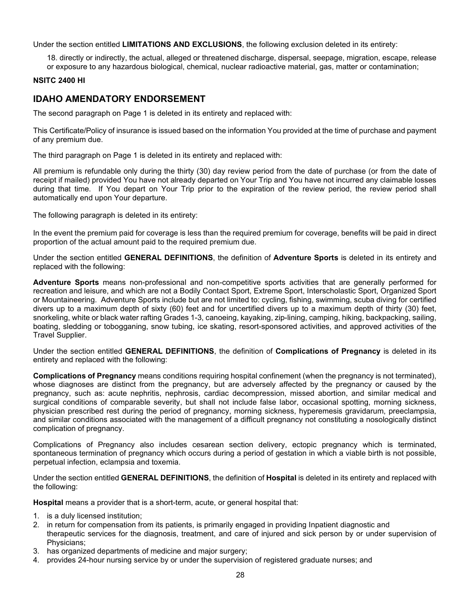Under the section entitled **LIMITATIONS AND EXCLUSIONS**, the following exclusion deleted in its entirety:

18. directly or indirectly, the actual, alleged or threatened discharge, dispersal, seepage, migration, escape, release or exposure to any hazardous biological, chemical, nuclear radioactive material, gas, matter or contamination;

# **NSITC 2400 HI**

# **IDAHO AMENDATORY ENDORSEMENT**

The second paragraph on Page 1 is deleted in its entirety and replaced with:

This Certificate/Policy of insurance is issued based on the information You provided at the time of purchase and payment of any premium due.

The third paragraph on Page 1 is deleted in its entirety and replaced with:

All premium is refundable only during the thirty (30) day review period from the date of purchase (or from the date of receipt if mailed) provided You have not already departed on Your Trip and You have not incurred any claimable losses during that time. If You depart on Your Trip prior to the expiration of the review period, the review period shall automatically end upon Your departure.

The following paragraph is deleted in its entirety:

In the event the premium paid for coverage is less than the required premium for coverage, benefits will be paid in direct proportion of the actual amount paid to the required premium due.

Under the section entitled **GENERAL DEFINITIONS**, the definition of **Adventure Sports** is deleted in its entirety and replaced with the following:

**Adventure Sports** means non-professional and non-competitive sports activities that are generally performed for recreation and leisure, and which are not a Bodily Contact Sport, Extreme Sport, Interscholastic Sport, Organized Sport or Mountaineering. Adventure Sports include but are not limited to: cycling, fishing, swimming, scuba diving for certified divers up to a maximum depth of sixty (60) feet and for uncertified divers up to a maximum depth of thirty (30) feet, snorkeling, white or black water rafting Grades 1-3, canoeing, kayaking, zip-lining, camping, hiking, backpacking, sailing, boating, sledding or tobogganing, snow tubing, ice skating, resort-sponsored activities, and approved activities of the Travel Supplier.

Under the section entitled **GENERAL DEFINITIONS**, the definition of **Complications of Pregnancy** is deleted in its entirety and replaced with the following:

**Complications of Pregnancy** means conditions requiring hospital confinement (when the pregnancy is not terminated), whose diagnoses are distinct from the pregnancy, but are adversely affected by the pregnancy or caused by the pregnancy, such as: acute nephritis, nephrosis, cardiac decompression, missed abortion, and similar medical and surgical conditions of comparable severity, but shall not include false labor, occasional spotting, morning sickness, physician prescribed rest during the period of pregnancy, morning sickness, hyperemesis gravidarum, preeclampsia, and similar conditions associated with the management of a difficult pregnancy not constituting a nosologically distinct complication of pregnancy.

Complications of Pregnancy also includes cesarean section delivery, ectopic pregnancy which is terminated, spontaneous termination of pregnancy which occurs during a period of gestation in which a viable birth is not possible, perpetual infection, eclampsia and toxemia.

Under the section entitled **GENERAL DEFINITIONS**, the definition of **Hospital** is deleted in its entirety and replaced with the following:

**Hospital** means a provider that is a short-term, acute, or general hospital that:

- 1. is a duly licensed institution;
- 2. in return for compensation from its patients, is primarily engaged in providing Inpatient diagnostic and therapeutic services for the diagnosis, treatment, and care of injured and sick person by or under supervision of Physicians;
- 3. has organized departments of medicine and major surgery;
- 4. provides 24-hour nursing service by or under the supervision of registered graduate nurses; and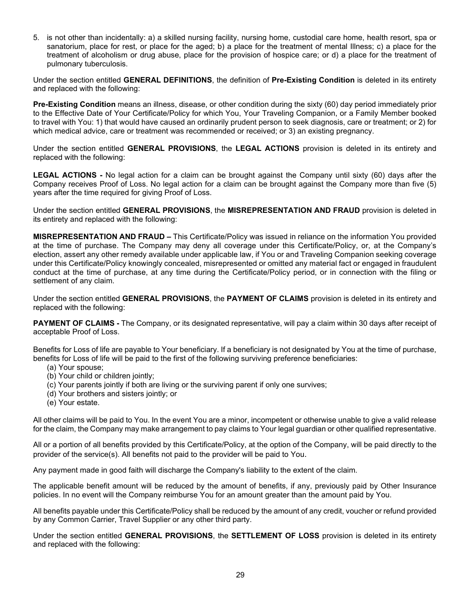5. is not other than incidentally: a) a skilled nursing facility, nursing home, custodial care home, health resort, spa or sanatorium, place for rest, or place for the aged; b) a place for the treatment of mental Illness; c) a place for the treatment of alcoholism or drug abuse, place for the provision of hospice care; or d) a place for the treatment of pulmonary tuberculosis.

Under the section entitled **GENERAL DEFINITIONS**, the definition of **Pre-Existing Condition** is deleted in its entirety and replaced with the following:

**Pre-Existing Condition** means an illness, disease, or other condition during the sixty (60) day period immediately prior to the Effective Date of Your Certificate/Policy for which You, Your Traveling Companion, or a Family Member booked to travel with You: 1) that would have caused an ordinarily prudent person to seek diagnosis, care or treatment; or 2) for which medical advice, care or treatment was recommended or received; or 3) an existing pregnancy.

Under the section entitled **GENERAL PROVISIONS**, the **LEGAL ACTIONS** provision is deleted in its entirety and replaced with the following:

**LEGAL ACTIONS -** No legal action for a claim can be brought against the Company until sixty (60) days after the Company receives Proof of Loss. No legal action for a claim can be brought against the Company more than five (5) years after the time required for giving Proof of Loss.

Under the section entitled **GENERAL PROVISIONS**, the **MISREPRESENTATION AND FRAUD** provision is deleted in its entirety and replaced with the following:

**MISREPRESENTATION AND FRAUD –** This Certificate/Policy was issued in reliance on the information You provided at the time of purchase. The Company may deny all coverage under this Certificate/Policy, or, at the Company's election, assert any other remedy available under applicable law, if You or and Traveling Companion seeking coverage under this Certificate/Policy knowingly concealed, misrepresented or omitted any material fact or engaged in fraudulent conduct at the time of purchase, at any time during the Certificate/Policy period, or in connection with the filing or settlement of any claim.

Under the section entitled **GENERAL PROVISIONS**, the **PAYMENT OF CLAIMS** provision is deleted in its entirety and replaced with the following:

**PAYMENT OF CLAIMS -** The Company, or its designated representative, will pay a claim within 30 days after receipt of acceptable Proof of Loss.

Benefits for Loss of life are payable to Your beneficiary. If a beneficiary is not designated by You at the time of purchase, benefits for Loss of life will be paid to the first of the following surviving preference beneficiaries:

- (a) Your spouse;
- (b) Your child or children jointly;
- (c) Your parents jointly if both are living or the surviving parent if only one survives;
- (d) Your brothers and sisters jointly; or
- (e) Your estate.

All other claims will be paid to You. In the event You are a minor, incompetent or otherwise unable to give a valid release for the claim, the Company may make arrangement to pay claims to Your legal guardian or other qualified representative.

All or a portion of all benefits provided by this Certificate/Policy, at the option of the Company, will be paid directly to the provider of the service(s). All benefits not paid to the provider will be paid to You.

Any payment made in good faith will discharge the Company's liability to the extent of the claim.

The applicable benefit amount will be reduced by the amount of benefits, if any, previously paid by Other Insurance policies. In no event will the Company reimburse You for an amount greater than the amount paid by You.

All benefits payable under this Certificate/Policy shall be reduced by the amount of any credit, voucher or refund provided by any Common Carrier, Travel Supplier or any other third party.

Under the section entitled **GENERAL PROVISIONS**, the **SETTLEMENT OF LOSS** provision is deleted in its entirety and replaced with the following: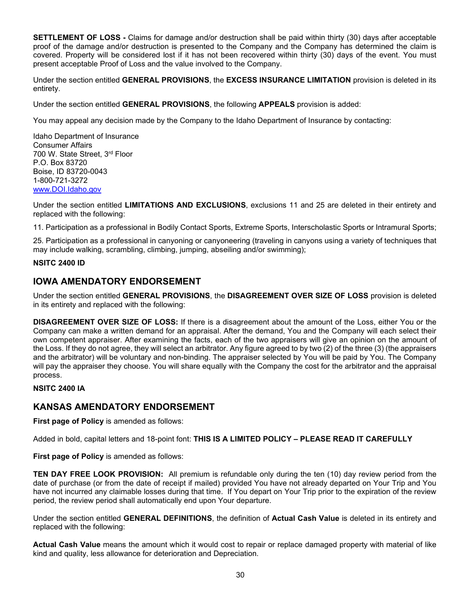**SETTLEMENT OF LOSS -** Claims for damage and/or destruction shall be paid within thirty (30) days after acceptable proof of the damage and/or destruction is presented to the Company and the Company has determined the claim is covered. Property will be considered lost if it has not been recovered within thirty (30) days of the event. You must present acceptable Proof of Loss and the value involved to the Company.

Under the section entitled **GENERAL PROVISIONS**, the **EXCESS INSURANCE LIMITATION** provision is deleted in its entirety.

Under the section entitled **GENERAL PROVISIONS**, the following **APPEALS** provision is added:

You may appeal any decision made by the Company to the Idaho Department of Insurance by contacting:

Idaho Department of Insurance Consumer Affairs 700 W. State Street, 3rd Floor P.O. Box 83720 Boise, ID 83720-0043 1-800-721-3272 [www.DOI.Idaho.gov](http://www.doi.idaho.gov/)

Under the section entitled **LIMITATIONS AND EXCLUSIONS**, exclusions 11 and 25 are deleted in their entirety and replaced with the following:

11. Participation as a professional in Bodily Contact Sports, Extreme Sports, Interscholastic Sports or Intramural Sports;

25. Participation as a professional in canyoning or canyoneering (traveling in canyons using a variety of techniques that may include walking, scrambling, climbing, jumping, abseiling and/or swimming);

#### **NSITC 2400 ID**

# **IOWA AMENDATORY ENDORSEMENT**

Under the section entitled **GENERAL PROVISIONS**, the **DISAGREEMENT OVER SIZE OF LOSS** provision is deleted in its entirety and replaced with the following:

**DISAGREEMENT OVER SIZE OF LOSS:** If there is a disagreement about the amount of the Loss, either You or the Company can make a written demand for an appraisal. After the demand, You and the Company will each select their own competent appraiser. After examining the facts, each of the two appraisers will give an opinion on the amount of the Loss. If they do not agree, they will select an arbitrator. Any figure agreed to by two (2) of the three (3) (the appraisers and the arbitrator) will be voluntary and non-binding. The appraiser selected by You will be paid by You. The Company will pay the appraiser they choose. You will share equally with the Company the cost for the arbitrator and the appraisal process.

### **NSITC 2400 IA**

# **KANSAS AMENDATORY ENDORSEMENT**

**First page of Policy** is amended as follows:

Added in bold, capital letters and 18-point font: **THIS IS A LIMITED POLICY – PLEASE READ IT CAREFULLY**

**First page of Policy** is amended as follows:

**TEN DAY FREE LOOK PROVISION:** All premium is refundable only during the ten (10) day review period from the date of purchase (or from the date of receipt if mailed) provided You have not already departed on Your Trip and You have not incurred any claimable losses during that time. If You depart on Your Trip prior to the expiration of the review period, the review period shall automatically end upon Your departure.

Under the section entitled **GENERAL DEFINITIONS**, the definition of **Actual Cash Value** is deleted in its entirety and replaced with the following:

**Actual Cash Value** means the amount which it would cost to repair or replace damaged property with material of like kind and quality, less allowance for deterioration and Depreciation.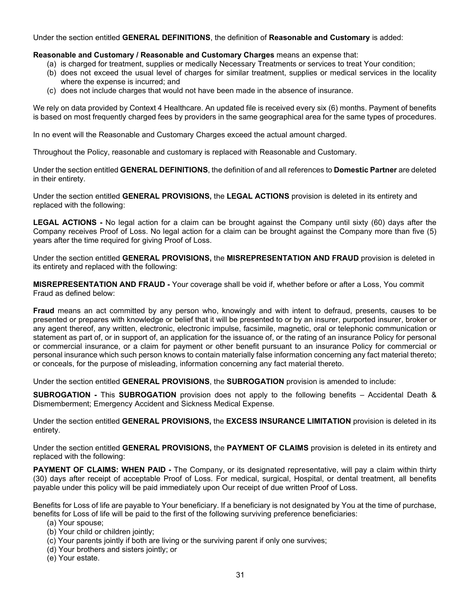Under the section entitled **GENERAL DEFINITIONS**, the definition of **Reasonable and Customary** is added:

#### **Reasonable and Customary / Reasonable and Customary Charges** means an expense that:

- (a) is charged for treatment, supplies or medically Necessary Treatments or services to treat Your condition;
- (b) does not exceed the usual level of charges for similar treatment, supplies or medical services in the locality where the expense is incurred; and
- (c) does not include charges that would not have been made in the absence of insurance.

We rely on data provided by Context 4 Healthcare. An updated file is received every six (6) months. Payment of benefits is based on most frequently charged fees by providers in the same geographical area for the same types of procedures.

In no event will the Reasonable and Customary Charges exceed the actual amount charged.

Throughout the Policy, reasonable and customary is replaced with Reasonable and Customary.

Under the section entitled **GENERAL DEFINITIONS**, the definition of and all references to **Domestic Partner** are deleted in their entirety.

Under the section entitled **GENERAL PROVISIONS,** the **LEGAL ACTIONS** provision is deleted in its entirety and replaced with the following:

**LEGAL ACTIONS -** No legal action for a claim can be brought against the Company until sixty (60) days after the Company receives Proof of Loss. No legal action for a claim can be brought against the Company more than five (5) years after the time required for giving Proof of Loss.

Under the section entitled **GENERAL PROVISIONS,** the **MISREPRESENTATION AND FRAUD** provision is deleted in its entirety and replaced with the following:

**MISREPRESENTATION AND FRAUD -** Your coverage shall be void if, whether before or after a Loss, You commit Fraud as defined below:

**Fraud** means an act committed by any person who, knowingly and with intent to defraud, presents, causes to be presented or prepares with knowledge or belief that it will be presented to or by an insurer, purported insurer, broker or any agent thereof, any written, electronic, electronic impulse, facsimile, magnetic, oral or telephonic communication or statement as part of, or in support of, an application for the issuance of, or the rating of an insurance Policy for personal or commercial insurance, or a claim for payment or other benefit pursuant to an insurance Policy for commercial or personal insurance which such person knows to contain materially false information concerning any fact material thereto; or conceals, for the purpose of misleading, information concerning any fact material thereto.

Under the section entitled **GENERAL PROVISIONS**, the **SUBROGATION** provision is amended to include:

**SUBROGATION -** This **SUBROGATION** provision does not apply to the following benefits – Accidental Death & Dismemberment; Emergency Accident and Sickness Medical Expense.

Under the section entitled **GENERAL PROVISIONS,** the **EXCESS INSURANCE LIMITATION** provision is deleted in its entirety.

Under the section entitled **GENERAL PROVISIONS,** the **PAYMENT OF CLAIMS** provision is deleted in its entirety and replaced with the following:

**PAYMENT OF CLAIMS: WHEN PAID -** The Company, or its designated representative, will pay a claim within thirty (30) days after receipt of acceptable Proof of Loss. For medical, surgical, Hospital, or dental treatment, all benefits payable under this policy will be paid immediately upon Our receipt of due written Proof of Loss.

Benefits for Loss of life are payable to Your beneficiary. If a beneficiary is not designated by You at the time of purchase, benefits for Loss of life will be paid to the first of the following surviving preference beneficiaries:

- (a) Your spouse;
- (b) Your child or children jointly;
- (c) Your parents jointly if both are living or the surviving parent if only one survives;
- (d) Your brothers and sisters jointly; or
- (e) Your estate.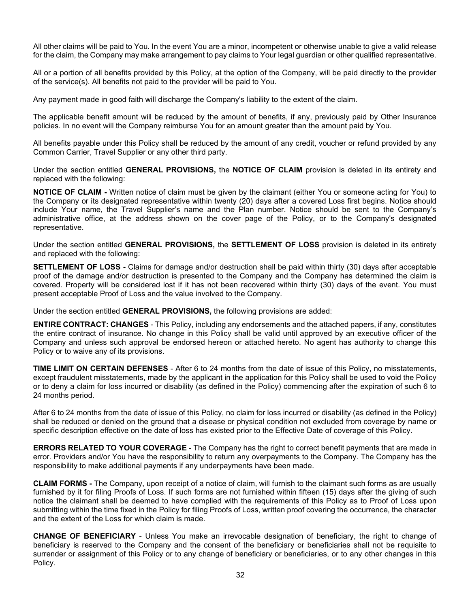All other claims will be paid to You. In the event You are a minor, incompetent or otherwise unable to give a valid release for the claim, the Company may make arrangement to pay claims to Your legal guardian or other qualified representative.

All or a portion of all benefits provided by this Policy, at the option of the Company, will be paid directly to the provider of the service(s). All benefits not paid to the provider will be paid to You.

Any payment made in good faith will discharge the Company's liability to the extent of the claim.

The applicable benefit amount will be reduced by the amount of benefits, if any, previously paid by Other Insurance policies. In no event will the Company reimburse You for an amount greater than the amount paid by You.

All benefits payable under this Policy shall be reduced by the amount of any credit, voucher or refund provided by any Common Carrier, Travel Supplier or any other third party.

Under the section entitled **GENERAL PROVISIONS,** the **NOTICE OF CLAIM** provision is deleted in its entirety and replaced with the following:

**NOTICE OF CLAIM -** Written notice of claim must be given by the claimant (either You or someone acting for You) to the Company or its designated representative within twenty (20) days after a covered Loss first begins. Notice should include Your name, the Travel Supplier's name and the Plan number. Notice should be sent to the Company's administrative office, at the address shown on the cover page of the Policy, or to the Company's designated representative.

Under the section entitled **GENERAL PROVISIONS,** the **SETTLEMENT OF LOSS** provision is deleted in its entirety and replaced with the following:

**SETTLEMENT OF LOSS -** Claims for damage and/or destruction shall be paid within thirty (30) days after acceptable proof of the damage and/or destruction is presented to the Company and the Company has determined the claim is covered. Property will be considered lost if it has not been recovered within thirty (30) days of the event. You must present acceptable Proof of Loss and the value involved to the Company.

Under the section entitled **GENERAL PROVISIONS,** the following provisions are added:

**ENTIRE CONTRACT: CHANGES** - This Policy, including any endorsements and the attached papers, if any, constitutes the entire contract of insurance. No change in this Policy shall be valid until approved by an executive officer of the Company and unless such approval be endorsed hereon or attached hereto. No agent has authority to change this Policy or to waive any of its provisions.

**TIME LIMIT ON CERTAIN DEFENSES** - After 6 to 24 months from the date of issue of this Policy, no misstatements, except fraudulent misstatements, made by the applicant in the application for this Policy shall be used to void the Policy or to deny a claim for loss incurred or disability (as defined in the Policy) commencing after the expiration of such 6 to 24 months period.

After 6 to 24 months from the date of issue of this Policy, no claim for loss incurred or disability (as defined in the Policy) shall be reduced or denied on the ground that a disease or physical condition not excluded from coverage by name or specific description effective on the date of loss has existed prior to the Effective Date of coverage of this Policy.

**ERRORS RELATED TO YOUR COVERAGE** - The Company has the right to correct benefit payments that are made in error. Providers and/or You have the responsibility to return any overpayments to the Company. The Company has the responsibility to make additional payments if any underpayments have been made.

**CLAIM FORMS -** The Company, upon receipt of a notice of claim, will furnish to the claimant such forms as are usually furnished by it for filing Proofs of Loss. If such forms are not furnished within fifteen (15) days after the giving of such notice the claimant shall be deemed to have complied with the requirements of this Policy as to Proof of Loss upon submitting within the time fixed in the Policy for filing Proofs of Loss, written proof covering the occurrence, the character and the extent of the Loss for which claim is made.

**CHANGE OF BENEFICIARY** - Unless You make an irrevocable designation of beneficiary, the right to change of beneficiary is reserved to the Company and the consent of the beneficiary or beneficiaries shall not be requisite to surrender or assignment of this Policy or to any change of beneficiary or beneficiaries, or to any other changes in this Policy.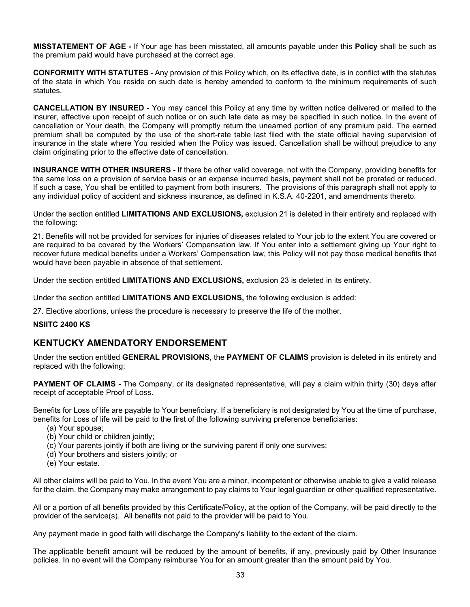**MISSTATEMENT OF AGE -** If Your age has been misstated, all amounts payable under this **Policy** shall be such as the premium paid would have purchased at the correct age.

**CONFORMITY WITH STATUTES** - Any provision of this Policy which, on its effective date, is in conflict with the statutes of the state in which You reside on such date is hereby amended to conform to the minimum requirements of such statutes.

**CANCELLATION BY INSURED -** You may cancel this Policy at any time by written notice delivered or mailed to the insurer, effective upon receipt of such notice or on such late date as may be specified in such notice. In the event of cancellation or Your death, the Company will promptly return the unearned portion of any premium paid. The earned premium shall be computed by the use of the short-rate table last filed with the state official having supervision of insurance in the state where You resided when the Policy was issued. Cancellation shall be without prejudice to any claim originating prior to the effective date of cancellation.

**INSURANCE WITH OTHER INSURERS -** If there be other valid coverage, not with the Company, providing benefits for the same loss on a provision of service basis or an expense incurred basis, payment shall not be prorated or reduced. If such a case, You shall be entitled to payment from both insurers. The provisions of this paragraph shall not apply to any individual policy of accident and sickness insurance, as defined in K.S.A. 40-2201, and amendments thereto.

Under the section entitled **LIMITATIONS AND EXCLUSIONS,** exclusion 21 is deleted in their entirety and replaced with the following:

21. Benefits will not be provided for services for injuries of diseases related to Your job to the extent You are covered or are required to be covered by the Workers' Compensation law. If You enter into a settlement giving up Your right to recover future medical benefits under a Workers' Compensation law, this Policy will not pay those medical benefits that would have been payable in absence of that settlement.

Under the section entitled **LIMITATIONS AND EXCLUSIONS,** exclusion 23 is deleted in its entirety.

Under the section entitled **LIMITATIONS AND EXCLUSIONS,** the following exclusion is added:

27. Elective abortions, unless the procedure is necessary to preserve the life of the mother.

## **NSIITC 2400 KS**

# **KENTUCKY AMENDATORY ENDORSEMENT**

Under the section entitled **GENERAL PROVISIONS**, the **PAYMENT OF CLAIMS** provision is deleted in its entirety and replaced with the following:

**PAYMENT OF CLAIMS -** The Company, or its designated representative, will pay a claim within thirty (30) days after receipt of acceptable Proof of Loss.

Benefits for Loss of life are payable to Your beneficiary. If a beneficiary is not designated by You at the time of purchase, benefits for Loss of life will be paid to the first of the following surviving preference beneficiaries:

- (a) Your spouse;
- (b) Your child or children jointly;
- (c) Your parents jointly if both are living or the surviving parent if only one survives;
- (d) Your brothers and sisters jointly; or
- (e) Your estate.

All other claims will be paid to You. In the event You are a minor, incompetent or otherwise unable to give a valid release for the claim, the Company may make arrangement to pay claims to Your legal guardian or other qualified representative.

All or a portion of all benefits provided by this Certificate/Policy, at the option of the Company, will be paid directly to the provider of the service(s). All benefits not paid to the provider will be paid to You.

Any payment made in good faith will discharge the Company's liability to the extent of the claim.

The applicable benefit amount will be reduced by the amount of benefits, if any, previously paid by Other Insurance policies. In no event will the Company reimburse You for an amount greater than the amount paid by You.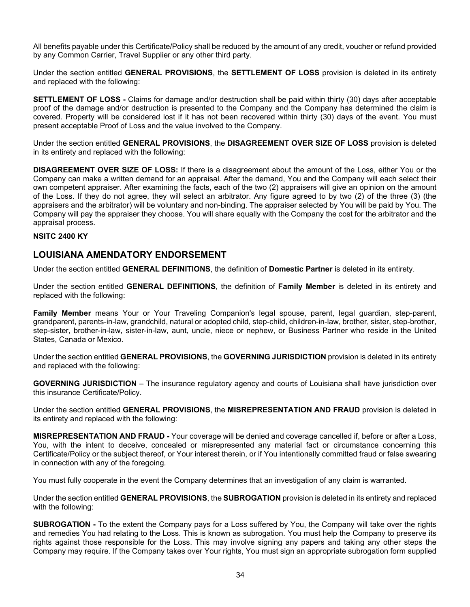All benefits payable under this Certificate/Policy shall be reduced by the amount of any credit, voucher or refund provided by any Common Carrier, Travel Supplier or any other third party.

Under the section entitled **GENERAL PROVISIONS**, the **SETTLEMENT OF LOSS** provision is deleted in its entirety and replaced with the following:

**SETTLEMENT OF LOSS -** Claims for damage and/or destruction shall be paid within thirty (30) days after acceptable proof of the damage and/or destruction is presented to the Company and the Company has determined the claim is covered. Property will be considered lost if it has not been recovered within thirty (30) days of the event. You must present acceptable Proof of Loss and the value involved to the Company.

Under the section entitled **GENERAL PROVISIONS**, the **DISAGREEMENT OVER SIZE OF LOSS** provision is deleted in its entirety and replaced with the following:

**DISAGREEMENT OVER SIZE OF LOSS:** If there is a disagreement about the amount of the Loss, either You or the Company can make a written demand for an appraisal. After the demand, You and the Company will each select their own competent appraiser. After examining the facts, each of the two (2) appraisers will give an opinion on the amount of the Loss. If they do not agree, they will select an arbitrator. Any figure agreed to by two (2) of the three (3) (the appraisers and the arbitrator) will be voluntary and non-binding. The appraiser selected by You will be paid by You. The Company will pay the appraiser they choose. You will share equally with the Company the cost for the arbitrator and the appraisal process.

#### **NSITC 2400 KY**

# **LOUISIANA AMENDATORY ENDORSEMENT**

Under the section entitled **GENERAL DEFINITIONS**, the definition of **Domestic Partner** is deleted in its entirety.

Under the section entitled **GENERAL DEFINITIONS**, the definition of **Family Member** is deleted in its entirety and replaced with the following:

**Family Member** means Your or Your Traveling Companion's legal spouse, parent, legal guardian, step-parent, grandparent, parents-in-law, grandchild, natural or adopted child, step-child, children-in-law, brother, sister, step-brother, step-sister, brother-in-law, sister-in-law, aunt, uncle, niece or nephew, or Business Partner who reside in the United States, Canada or Mexico.

Under the section entitled **GENERAL PROVISIONS**, the **GOVERNING JURISDICTION** provision is deleted in its entirety and replaced with the following:

**GOVERNING JURISDICTION** – The insurance regulatory agency and courts of Louisiana shall have jurisdiction over this insurance Certificate/Policy.

Under the section entitled **GENERAL PROVISIONS**, the **MISREPRESENTATION AND FRAUD** provision is deleted in its entirety and replaced with the following:

**MISREPRESENTATION AND FRAUD -** Your coverage will be denied and coverage cancelled if, before or after a Loss, You, with the intent to deceive, concealed or misrepresented any material fact or circumstance concerning this Certificate/Policy or the subject thereof, or Your interest therein, or if You intentionally committed fraud or false swearing in connection with any of the foregoing.

You must fully cooperate in the event the Company determines that an investigation of any claim is warranted.

Under the section entitled **GENERAL PROVISIONS**, the **SUBROGATION** provision is deleted in its entirety and replaced with the following:

**SUBROGATION -** To the extent the Company pays for a Loss suffered by You, the Company will take over the rights and remedies You had relating to the Loss. This is known as subrogation. You must help the Company to preserve its rights against those responsible for the Loss. This may involve signing any papers and taking any other steps the Company may require. If the Company takes over Your rights, You must sign an appropriate subrogation form supplied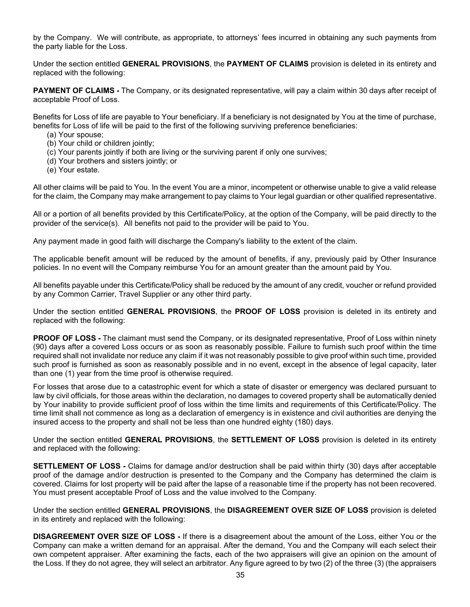by the Company. We will contribute, as appropriate, to attorneys' fees incurred in obtaining any such payments from the party liable for the Loss.

Under the section entitled **GENERAL PROVISIONS**, the **PAYMENT OF CLAIMS** provision is deleted in its entirety and replaced with the following:

**PAYMENT OF CLAIMS -** The Company, or its designated representative, will pay a claim within 30 days after receipt of acceptable Proof of Loss.

Benefits for Loss of life are payable to Your beneficiary. If a beneficiary is not designated by You at the time of purchase, benefits for Loss of life will be paid to the first of the following surviving preference beneficiaries:

- (a) Your spouse;
- (b) Your child or children jointly;
- (c) Your parents jointly if both are living or the surviving parent if only one survives;
- (d) Your brothers and sisters jointly; or
- (e) Your estate.

All other claims will be paid to You. In the event You are a minor, incompetent or otherwise unable to give a valid release for the claim, the Company may make arrangement to pay claims to Your legal guardian or other qualified representative.

All or a portion of all benefits provided by this Certificate/Policy, at the option of the Company, will be paid directly to the provider of the service(s). All benefits not paid to the provider will be paid to You.

Any payment made in good faith will discharge the Company's liability to the extent of the claim.

The applicable benefit amount will be reduced by the amount of benefits, if any, previously paid by Other Insurance policies. In no event will the Company reimburse You for an amount greater than the amount paid by You.

All benefits payable under this Certificate/Policy shall be reduced by the amount of any credit, voucher or refund provided by any Common Carrier, Travel Supplier or any other third party.

Under the section entitled **GENERAL PROVISIONS**, the **PROOF OF LOSS** provision is deleted in its entirety and replaced with the following:

**PROOF OF LOSS -** The claimant must send the Company, or its designated representative, Proof of Loss within ninety (90) days after a covered Loss occurs or as soon as reasonably possible. Failure to furnish such proof within the time required shall not invalidate nor reduce any claim if it was not reasonably possible to give proof within such time, provided such proof is furnished as soon as reasonably possible and in no event, except in the absence of legal capacity, later than one (1) year from the time proof is otherwise required.

For losses that arose due to a catastrophic event for which a state of disaster or emergency was declared pursuant to law by civil officials, for those areas within the declaration, no damages to covered property shall be automatically denied by Your inability to provide sufficient proof of loss within the time limits and requirements of this Certificate/Policy. The time limit shall not commence as long as a declaration of emergency is in existence and civil authorities are denying the insured access to the property and shall not be less than one hundred eighty (180) days.

Under the section entitled **GENERAL PROVISIONS**, the **SETTLEMENT OF LOSS** provision is deleted in its entirety and replaced with the following:

**SETTLEMENT OF LOSS -** Claims for damage and/or destruction shall be paid within thirty (30) days after acceptable proof of the damage and/or destruction is presented to the Company and the Company has determined the claim is covered. Claims for lost property will be paid after the lapse of a reasonable time if the property has not been recovered. You must present acceptable Proof of Loss and the value involved to the Company.

Under the section entitled **GENERAL PROVISIONS**, the **DISAGREEMENT OVER SIZE OF LOSS** provision is deleted in its entirety and replaced with the following:

**DISAGREEMENT OVER SIZE OF LOSS -** If there is a disagreement about the amount of the Loss, either You or the Company can make a written demand for an appraisal. After the demand, You and the Company will each select their own competent appraiser. After examining the facts, each of the two appraisers will give an opinion on the amount of the Loss. If they do not agree, they will select an arbitrator. Any figure agreed to by two (2) of the three (3) (the appraisers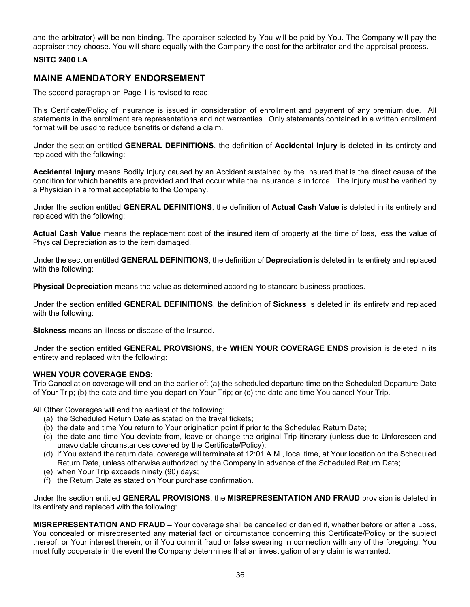and the arbitrator) will be non-binding. The appraiser selected by You will be paid by You. The Company will pay the appraiser they choose. You will share equally with the Company the cost for the arbitrator and the appraisal process.

#### **NSITC 2400 LA**

# **MAINE AMENDATORY ENDORSEMENT**

The second paragraph on Page 1 is revised to read:

This Certificate/Policy of insurance is issued in consideration of enrollment and payment of any premium due. All statements in the enrollment are representations and not warranties. Only statements contained in a written enrollment format will be used to reduce benefits or defend a claim.

Under the section entitled **GENERAL DEFINITIONS**, the definition of **Accidental Injury** is deleted in its entirety and replaced with the following:

**Accidental Injury** means Bodily Injury caused by an Accident sustained by the Insured that is the direct cause of the condition for which benefits are provided and that occur while the insurance is in force. The Injury must be verified by a Physician in a format acceptable to the Company.

Under the section entitled **GENERAL DEFINITIONS**, the definition of **Actual Cash Value** is deleted in its entirety and replaced with the following:

**Actual Cash Value** means the replacement cost of the insured item of property at the time of loss, less the value of Physical Depreciation as to the item damaged.

Under the section entitled **GENERAL DEFINITIONS**, the definition of **Depreciation** is deleted in its entirety and replaced with the following:

**Physical Depreciation** means the value as determined according to standard business practices.

Under the section entitled **GENERAL DEFINITIONS**, the definition of **Sickness** is deleted in its entirety and replaced with the following:

**Sickness** means an illness or disease of the Insured.

Under the section entitled **GENERAL PROVISIONS**, the **WHEN YOUR COVERAGE ENDS** provision is deleted in its entirety and replaced with the following:

#### **WHEN YOUR COVERAGE ENDS:**

Trip Cancellation coverage will end on the earlier of: (a) the scheduled departure time on the Scheduled Departure Date of Your Trip; (b) the date and time you depart on Your Trip; or (c) the date and time You cancel Your Trip.

All Other Coverages will end the earliest of the following:

- (a) the Scheduled Return Date as stated on the travel tickets;
- (b) the date and time You return to Your origination point if prior to the Scheduled Return Date;
- (c) the date and time You deviate from, leave or change the original Trip itinerary (unless due to Unforeseen and unavoidable circumstances covered by the Certificate/Policy);
- (d) if You extend the return date, coverage will terminate at 12:01 A.M., local time, at Your location on the Scheduled Return Date, unless otherwise authorized by the Company in advance of the Scheduled Return Date;
- (e) when Your Trip exceeds ninety (90) days;
- (f) the Return Date as stated on Your purchase confirmation.

Under the section entitled **GENERAL PROVISIONS**, the **MISREPRESENTATION AND FRAUD** provision is deleted in its entirety and replaced with the following:

**MISREPRESENTATION AND FRAUD –** Your coverage shall be cancelled or denied if, whether before or after a Loss, You concealed or misrepresented any material fact or circumstance concerning this Certificate/Policy or the subject thereof, or Your interest therein, or if You commit fraud or false swearing in connection with any of the foregoing. You must fully cooperate in the event the Company determines that an investigation of any claim is warranted.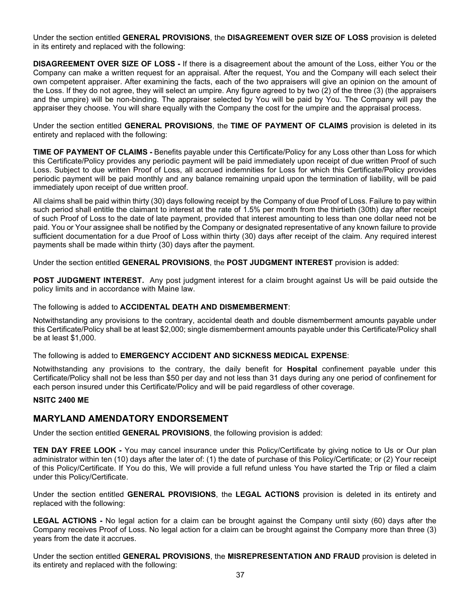Under the section entitled **GENERAL PROVISIONS**, the **DISAGREEMENT OVER SIZE OF LOSS** provision is deleted in its entirety and replaced with the following:

**DISAGREEMENT OVER SIZE OF LOSS -** If there is a disagreement about the amount of the Loss, either You or the Company can make a written request for an appraisal. After the request, You and the Company will each select their own competent appraiser. After examining the facts, each of the two appraisers will give an opinion on the amount of the Loss. If they do not agree, they will select an umpire. Any figure agreed to by two (2) of the three (3) (the appraisers and the umpire) will be non-binding. The appraiser selected by You will be paid by You. The Company will pay the appraiser they choose. You will share equally with the Company the cost for the umpire and the appraisal process.

Under the section entitled **GENERAL PROVISIONS**, the **TIME OF PAYMENT OF CLAIMS** provision is deleted in its entirety and replaced with the following:

**TIME OF PAYMENT OF CLAIMS -** Benefits payable under this Certificate/Policy for any Loss other than Loss for which this Certificate/Policy provides any periodic payment will be paid immediately upon receipt of due written Proof of such Loss. Subject to due written Proof of Loss, all accrued indemnities for Loss for which this Certificate/Policy provides periodic payment will be paid monthly and any balance remaining unpaid upon the termination of liability, will be paid immediately upon receipt of due written proof.

All claims shall be paid within thirty (30) days following receipt by the Company of due Proof of Loss. Failure to pay within such period shall entitle the claimant to interest at the rate of 1.5% per month from the thirtieth (30th) day after receipt of such Proof of Loss to the date of late payment, provided that interest amounting to less than one dollar need not be paid. You or Your assignee shall be notified by the Company or designated representative of any known failure to provide sufficient documentation for a due Proof of Loss within thirty (30) days after receipt of the claim. Any required interest payments shall be made within thirty (30) days after the payment.

Under the section entitled **GENERAL PROVISIONS**, the **POST JUDGMENT INTEREST** provision is added:

**POST JUDGMENT INTEREST.** Any post judgment interest for a claim brought against Us will be paid outside the policy limits and in accordance with Maine law.

#### The following is added to **ACCIDENTAL DEATH AND DISMEMBERMENT**:

Notwithstanding any provisions to the contrary, accidental death and double dismemberment amounts payable under this Certificate/Policy shall be at least \$2,000; single dismemberment amounts payable under this Certificate/Policy shall be at least \$1,000.

The following is added to **EMERGENCY ACCIDENT AND SICKNESS MEDICAL EXPENSE**:

Notwithstanding any provisions to the contrary, the daily benefit for **Hospital** confinement payable under this Certificate/Policy shall not be less than \$50 per day and not less than 31 days during any one period of confinement for each person insured under this Certificate/Policy and will be paid regardless of other coverage.

#### **NSITC 2400 ME**

# **MARYLAND AMENDATORY ENDORSEMENT**

Under the section entitled **GENERAL PROVISIONS**, the following provision is added:

**TEN DAY FREE LOOK -** You may cancel insurance under this Policy/Certificate by giving notice to Us or Our plan administrator within ten (10) days after the later of: (1) the date of purchase of this Policy/Certificate; or (2) Your receipt of this Policy/Certificate. If You do this, We will provide a full refund unless You have started the Trip or filed a claim under this Policy/Certificate.

Under the section entitled **GENERAL PROVISIONS**, the **LEGAL ACTIONS** provision is deleted in its entirety and replaced with the following:

**LEGAL ACTIONS -** No legal action for a claim can be brought against the Company until sixty (60) days after the Company receives Proof of Loss. No legal action for a claim can be brought against the Company more than three (3) years from the date it accrues.

Under the section entitled **GENERAL PROVISIONS**, the **MISREPRESENTATION AND FRAUD** provision is deleted in its entirety and replaced with the following: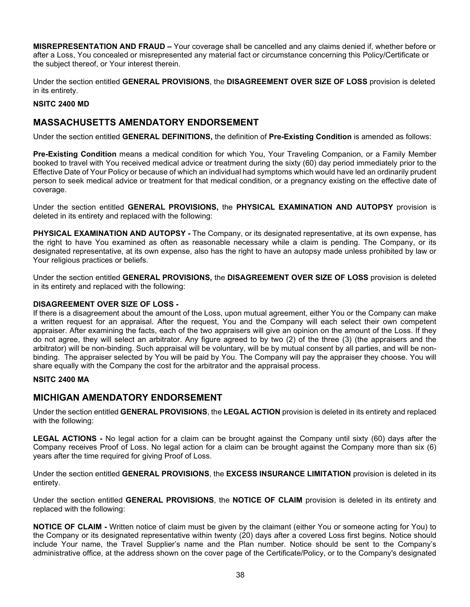**MISREPRESENTATION AND FRAUD –** Your coverage shall be cancelled and any claims denied if, whether before or after a Loss, You concealed or misrepresented any material fact or circumstance concerning this Policy/Certificate or the subject thereof, or Your interest therein.

Under the section entitled **GENERAL PROVISIONS**, the **DISAGREEMENT OVER SIZE OF LOSS** provision is deleted in its entirety.

## **NSITC 2400 MD**

# **MASSACHUSETTS AMENDATORY ENDORSEMENT**

Under the section entitled **GENERAL DEFINITIONS,** the definition of **Pre-Existing Condition** is amended as follows:

**Pre-Existing Condition** means a medical condition for which You, Your Traveling Companion, or a Family Member booked to travel with You received medical advice or treatment during the sixty (60) day period immediately prior to the Effective Date of Your Policy or because of which an individual had symptoms which would have led an ordinarily prudent person to seek medical advice or treatment for that medical condition, or a pregnancy existing on the effective date of coverage.

Under the section entitled **GENERAL PROVISIONS,** the **PHYSICAL EXAMINATION AND AUTOPSY** provision is deleted in its entirety and replaced with the following:

**PHYSICAL EXAMINATION AND AUTOPSY -** The Company, or its designated representative, at its own expense, has the right to have You examined as often as reasonable necessary while a claim is pending. The Company, or its designated representative, at its own expense, also has the right to have an autopsy made unless prohibited by law or Your religious practices or beliefs.

Under the section entitled **GENERAL PROVISIONS,** the **DISAGREEMENT OVER SIZE OF LOSS** provision is deleted in its entirety and replaced with the following:

### **DISAGREEMENT OVER SIZE OF LOSS -**

If there is a disagreement about the amount of the Loss, upon mutual agreement, either You or the Company can make a written request for an appraisal. After the request, You and the Company will each select their own competent appraiser. After examining the facts, each of the two appraisers will give an opinion on the amount of the Loss. If they do not agree, they will select an arbitrator. Any figure agreed to by two (2) of the three (3) (the appraisers and the arbitrator) will be non-binding. Such appraisal will be voluntary, will be by mutual consent by all parties, and will be nonbinding. The appraiser selected by You will be paid by You. The Company will pay the appraiser they choose. You will share equally with the Company the cost for the arbitrator and the appraisal process.

#### **NSITC 2400 MA**

# **MICHIGAN AMENDATORY ENDORSEMENT**

Under the section entitled **GENERAL PROVISIONS**, the **LEGAL ACTION** provision is deleted in its entirety and replaced with the following:

**LEGAL ACTIONS -** No legal action for a claim can be brought against the Company until sixty (60) days after the Company receives Proof of Loss. No legal action for a claim can be brought against the Company more than six (6) years after the time required for giving Proof of Loss.

Under the section entitled **GENERAL PROVISIONS**, the **EXCESS INSURANCE LIMITATION** provision is deleted in its entirety.

Under the section entitled **GENERAL PROVISIONS**, the **NOTICE OF CLAIM** provision is deleted in its entirety and replaced with the following:

**NOTICE OF CLAIM -** Written notice of claim must be given by the claimant (either You or someone acting for You) to the Company or its designated representative within twenty (20) days after a covered Loss first begins. Notice should include Your name, the Travel Supplier's name and the Plan number. Notice should be sent to the Company's administrative office, at the address shown on the cover page of the Certificate/Policy, or to the Company's designated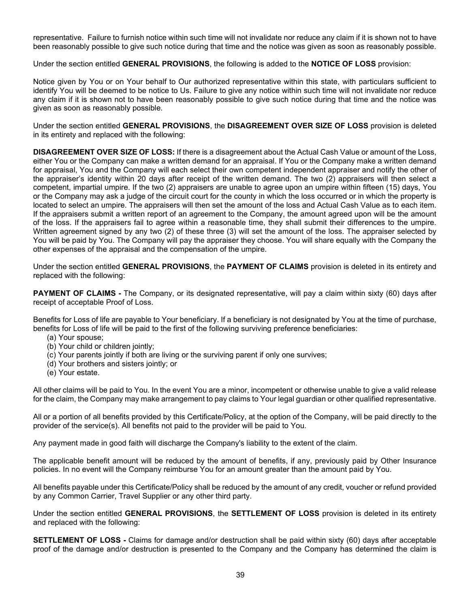representative. Failure to furnish notice within such time will not invalidate nor reduce any claim if it is shown not to have been reasonably possible to give such notice during that time and the notice was given as soon as reasonably possible.

Under the section entitled **GENERAL PROVISIONS**, the following is added to the **NOTICE OF LOSS** provision:

Notice given by You or on Your behalf to Our authorized representative within this state, with particulars sufficient to identify You will be deemed to be notice to Us. Failure to give any notice within such time will not invalidate nor reduce any claim if it is shown not to have been reasonably possible to give such notice during that time and the notice was given as soon as reasonably possible.

Under the section entitled **GENERAL PROVISIONS**, the **DISAGREEMENT OVER SIZE OF LOSS** provision is deleted in its entirety and replaced with the following:

**DISAGREEMENT OVER SIZE OF LOSS:** If there is a disagreement about the Actual Cash Value or amount of the Loss, either You or the Company can make a written demand for an appraisal. If You or the Company make a written demand for appraisal, You and the Company will each select their own competent independent appraiser and notify the other of the appraiser's identity within 20 days after receipt of the written demand. The two (2) appraisers will then select a competent, impartial umpire. If the two (2) appraisers are unable to agree upon an umpire within fifteen (15) days, You or the Company may ask a judge of the circuit court for the county in which the loss occurred or in which the property is located to select an umpire. The appraisers will then set the amount of the loss and Actual Cash Value as to each item. If the appraisers submit a written report of an agreement to the Company, the amount agreed upon will be the amount of the loss. If the appraisers fail to agree within a reasonable time, they shall submit their differences to the umpire. Written agreement signed by any two (2) of these three (3) will set the amount of the loss. The appraiser selected by You will be paid by You. The Company will pay the appraiser they choose. You will share equally with the Company the other expenses of the appraisal and the compensation of the umpire.

Under the section entitled **GENERAL PROVISIONS**, the **PAYMENT OF CLAIMS** provision is deleted in its entirety and replaced with the following:

**PAYMENT OF CLAIMS -** The Company, or its designated representative, will pay a claim within sixty (60) days after receipt of acceptable Proof of Loss.

Benefits for Loss of life are payable to Your beneficiary. If a beneficiary is not designated by You at the time of purchase, benefits for Loss of life will be paid to the first of the following surviving preference beneficiaries:

- (a) Your spouse;
- (b) Your child or children jointly;
- (c) Your parents jointly if both are living or the surviving parent if only one survives;
- (d) Your brothers and sisters jointly; or
- (e) Your estate.

All other claims will be paid to You. In the event You are a minor, incompetent or otherwise unable to give a valid release for the claim, the Company may make arrangement to pay claims to Your legal guardian or other qualified representative.

All or a portion of all benefits provided by this Certificate/Policy, at the option of the Company, will be paid directly to the provider of the service(s). All benefits not paid to the provider will be paid to You.

Any payment made in good faith will discharge the Company's liability to the extent of the claim.

The applicable benefit amount will be reduced by the amount of benefits, if any, previously paid by Other Insurance policies. In no event will the Company reimburse You for an amount greater than the amount paid by You.

All benefits payable under this Certificate/Policy shall be reduced by the amount of any credit, voucher or refund provided by any Common Carrier, Travel Supplier or any other third party.

Under the section entitled **GENERAL PROVISIONS**, the **SETTLEMENT OF LOSS** provision is deleted in its entirety and replaced with the following:

**SETTLEMENT OF LOSS -** Claims for damage and/or destruction shall be paid within sixty (60) days after acceptable proof of the damage and/or destruction is presented to the Company and the Company has determined the claim is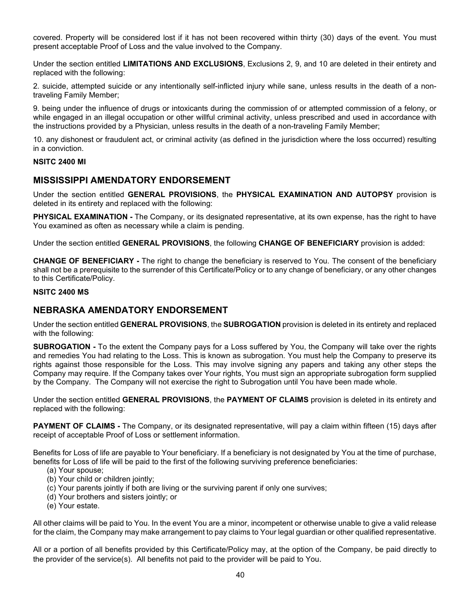covered. Property will be considered lost if it has not been recovered within thirty (30) days of the event. You must present acceptable Proof of Loss and the value involved to the Company.

Under the section entitled **LIMITATIONS AND EXCLUSIONS**, Exclusions 2, 9, and 10 are deleted in their entirety and replaced with the following:

2. suicide, attempted suicide or any intentionally self-inflicted injury while sane, unless results in the death of a nontraveling Family Member;

9. being under the influence of drugs or intoxicants during the commission of or attempted commission of a felony, or while engaged in an illegal occupation or other willful criminal activity, unless prescribed and used in accordance with the instructions provided by a Physician, unless results in the death of a non-traveling Family Member;

10. any dishonest or fraudulent act, or criminal activity (as defined in the jurisdiction where the loss occurred) resulting in a conviction.

#### **NSITC 2400 MI**

# **MISSISSIPPI AMENDATORY ENDORSEMENT**

Under the section entitled **GENERAL PROVISIONS**, the **PHYSICAL EXAMINATION AND AUTOPSY** provision is deleted in its entirety and replaced with the following:

**PHYSICAL EXAMINATION -** The Company, or its designated representative, at its own expense, has the right to have You examined as often as necessary while a claim is pending.

Under the section entitled **GENERAL PROVISIONS**, the following **CHANGE OF BENEFICIARY** provision is added:

**CHANGE OF BENEFICIARY -** The right to change the beneficiary is reserved to You. The consent of the beneficiary shall not be a prerequisite to the surrender of this Certificate/Policy or to any change of beneficiary, or any other changes to this Certificate/Policy.

#### **NSITC 2400 MS**

## **NEBRASKA AMENDATORY ENDORSEMENT**

Under the section entitled **GENERAL PROVISIONS**, the **SUBROGATION** provision is deleted in its entirety and replaced with the following:

**SUBROGATION -** To the extent the Company pays for a Loss suffered by You, the Company will take over the rights and remedies You had relating to the Loss. This is known as subrogation. You must help the Company to preserve its rights against those responsible for the Loss. This may involve signing any papers and taking any other steps the Company may require. If the Company takes over Your rights, You must sign an appropriate subrogation form supplied by the Company. The Company will not exercise the right to Subrogation until You have been made whole.

Under the section entitled **GENERAL PROVISIONS**, the **PAYMENT OF CLAIMS** provision is deleted in its entirety and replaced with the following:

**PAYMENT OF CLAIMS -** The Company, or its designated representative, will pay a claim within fifteen (15) days after receipt of acceptable Proof of Loss or settlement information.

Benefits for Loss of life are payable to Your beneficiary. If a beneficiary is not designated by You at the time of purchase, benefits for Loss of life will be paid to the first of the following surviving preference beneficiaries:

- (a) Your spouse;
- (b) Your child or children jointly;
- (c) Your parents jointly if both are living or the surviving parent if only one survives;
- (d) Your brothers and sisters jointly; or
- (e) Your estate.

All other claims will be paid to You. In the event You are a minor, incompetent or otherwise unable to give a valid release for the claim, the Company may make arrangement to pay claims to Your legal guardian or other qualified representative.

All or a portion of all benefits provided by this Certificate/Policy may, at the option of the Company, be paid directly to the provider of the service(s). All benefits not paid to the provider will be paid to You.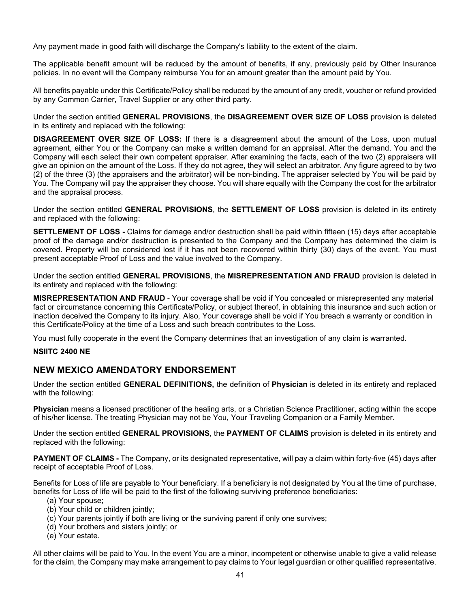Any payment made in good faith will discharge the Company's liability to the extent of the claim.

The applicable benefit amount will be reduced by the amount of benefits, if any, previously paid by Other Insurance policies. In no event will the Company reimburse You for an amount greater than the amount paid by You.

All benefits payable under this Certificate/Policy shall be reduced by the amount of any credit, voucher or refund provided by any Common Carrier, Travel Supplier or any other third party.

Under the section entitled **GENERAL PROVISIONS**, the **DISAGREEMENT OVER SIZE OF LOSS** provision is deleted in its entirety and replaced with the following:

**DISAGREEMENT OVER SIZE OF LOSS:** If there is a disagreement about the amount of the Loss, upon mutual agreement, either You or the Company can make a written demand for an appraisal. After the demand, You and the Company will each select their own competent appraiser. After examining the facts, each of the two (2) appraisers will give an opinion on the amount of the Loss. If they do not agree, they will select an arbitrator. Any figure agreed to by two (2) of the three (3) (the appraisers and the arbitrator) will be non-binding. The appraiser selected by You will be paid by You. The Company will pay the appraiser they choose. You will share equally with the Company the cost for the arbitrator and the appraisal process.

Under the section entitled **GENERAL PROVISIONS**, the **SETTLEMENT OF LOSS** provision is deleted in its entirety and replaced with the following:

**SETTLEMENT OF LOSS -** Claims for damage and/or destruction shall be paid within fifteen (15) days after acceptable proof of the damage and/or destruction is presented to the Company and the Company has determined the claim is covered. Property will be considered lost if it has not been recovered within thirty (30) days of the event. You must present acceptable Proof of Loss and the value involved to the Company.

Under the section entitled **GENERAL PROVISIONS**, the **MISREPRESENTATION AND FRAUD** provision is deleted in its entirety and replaced with the following:

**MISREPRESENTATION AND FRAUD** - Your coverage shall be void if You concealed or misrepresented any material fact or circumstance concerning this Certificate/Policy, or subject thereof, in obtaining this insurance and such action or inaction deceived the Company to its injury. Also, Your coverage shall be void if You breach a warranty or condition in this Certificate/Policy at the time of a Loss and such breach contributes to the Loss.

You must fully cooperate in the event the Company determines that an investigation of any claim is warranted.

#### **NSIITC 2400 NE**

# **NEW MEXICO AMENDATORY ENDORSEMENT**

Under the section entitled **GENERAL DEFINITIONS,** the definition of **Physician** is deleted in its entirety and replaced with the following:

**Physician** means a licensed practitioner of the healing arts, or a Christian Science Practitioner, acting within the scope of his/her license. The treating Physician may not be You, Your Traveling Companion or a Family Member.

Under the section entitled **GENERAL PROVISIONS**, the **PAYMENT OF CLAIMS** provision is deleted in its entirety and replaced with the following:

**PAYMENT OF CLAIMS -** The Company, or its designated representative, will pay a claim within forty-five (45) days after receipt of acceptable Proof of Loss.

Benefits for Loss of life are payable to Your beneficiary. If a beneficiary is not designated by You at the time of purchase, benefits for Loss of life will be paid to the first of the following surviving preference beneficiaries:

- (a) Your spouse;
- (b) Your child or children jointly;
- (c) Your parents jointly if both are living or the surviving parent if only one survives;
- (d) Your brothers and sisters jointly; or
- (e) Your estate.

All other claims will be paid to You. In the event You are a minor, incompetent or otherwise unable to give a valid release for the claim, the Company may make arrangement to pay claims to Your legal guardian or other qualified representative.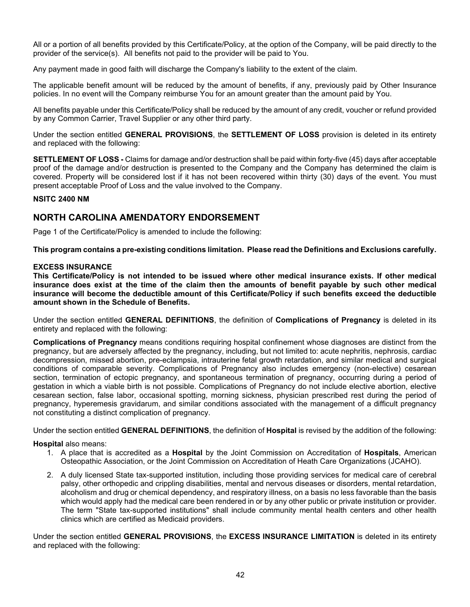All or a portion of all benefits provided by this Certificate/Policy, at the option of the Company, will be paid directly to the provider of the service(s). All benefits not paid to the provider will be paid to You.

Any payment made in good faith will discharge the Company's liability to the extent of the claim.

The applicable benefit amount will be reduced by the amount of benefits, if any, previously paid by Other Insurance policies. In no event will the Company reimburse You for an amount greater than the amount paid by You.

All benefits payable under this Certificate/Policy shall be reduced by the amount of any credit, voucher or refund provided by any Common Carrier, Travel Supplier or any other third party.

Under the section entitled **GENERAL PROVISIONS**, the **SETTLEMENT OF LOSS** provision is deleted in its entirety and replaced with the following:

**SETTLEMENT OF LOSS -** Claims for damage and/or destruction shall be paid within forty-five (45) days after acceptable proof of the damage and/or destruction is presented to the Company and the Company has determined the claim is covered. Property will be considered lost if it has not been recovered within thirty (30) days of the event. You must present acceptable Proof of Loss and the value involved to the Company.

#### **NSITC 2400 NM**

# **NORTH CAROLINA AMENDATORY ENDORSEMENT**

Page 1 of the Certificate/Policy is amended to include the following:

**This program contains a pre-existing conditions limitation. Please read the Definitions and Exclusions carefully.**

#### **EXCESS INSURANCE**

**This Certificate/Policy is not intended to be issued where other medical insurance exists. If other medical insurance does exist at the time of the claim then the amounts of benefit payable by such other medical insurance will become the deductible amount of this Certificate/Policy if such benefits exceed the deductible amount shown in the Schedule of Benefits.**

Under the section entitled **GENERAL DEFINITIONS**, the definition of **Complications of Pregnancy** is deleted in its entirety and replaced with the following:

**Complications of Pregnancy** means conditions requiring hospital confinement whose diagnoses are distinct from the pregnancy, but are adversely affected by the pregnancy, including, but not limited to: acute nephritis, nephrosis, cardiac decompression, missed abortion, pre-eclampsia, intrauterine fetal growth retardation, and similar medical and surgical conditions of comparable severity. Complications of Pregnancy also includes emergency (non-elective) cesarean section, termination of ectopic pregnancy, and spontaneous termination of pregnancy, occurring during a period of gestation in which a viable birth is not possible. Complications of Pregnancy do not include elective abortion, elective cesarean section, false labor, occasional spotting, morning sickness, physician prescribed rest during the period of pregnancy, hyperemesis gravidarum, and similar conditions associated with the management of a difficult pregnancy not constituting a distinct complication of pregnancy.

Under the section entitled **GENERAL DEFINITIONS**, the definition of **Hospital** is revised by the addition of the following:

#### **Hospital** also means:

- 1. A place that is accredited as a **Hospital** by the Joint Commission on Accreditation of **Hospitals**, American Osteopathic Association, or the Joint Commission on Accreditation of Heath Care Organizations (JCAHO).
- 2. A duly licensed State tax-supported institution, including those providing services for medical care of cerebral palsy, other orthopedic and crippling disabilities, mental and nervous diseases or disorders, mental retardation, alcoholism and drug or chemical dependency, and respiratory illness, on a basis no less favorable than the basis which would apply had the medical care been rendered in or by any other public or private institution or provider. The term "State tax-supported institutions" shall include community mental health centers and other health clinics which are certified as Medicaid providers.

Under the section entitled **GENERAL PROVISIONS**, the **EXCESS INSURANCE LIMITATION** is deleted in its entirety and replaced with the following: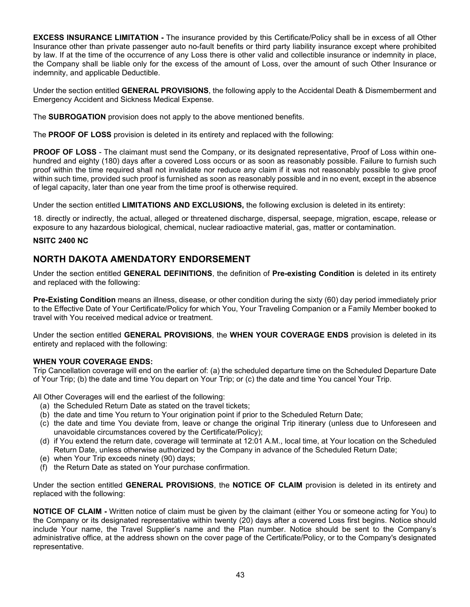**EXCESS INSURANCE LIMITATION -** The insurance provided by this Certificate/Policy shall be in excess of all Other Insurance other than private passenger auto no-fault benefits or third party liability insurance except where prohibited by law. If at the time of the occurrence of any Loss there is other valid and collectible insurance or indemnity in place, the Company shall be liable only for the excess of the amount of Loss, over the amount of such Other Insurance or indemnity, and applicable Deductible.

Under the section entitled **GENERAL PROVISIONS**, the following apply to the Accidental Death & Dismemberment and Emergency Accident and Sickness Medical Expense.

The **SUBROGATION** provision does not apply to the above mentioned benefits.

The **PROOF OF LOSS** provision is deleted in its entirety and replaced with the following:

**PROOF OF LOSS** - The claimant must send the Company, or its designated representative, Proof of Loss within onehundred and eighty (180) days after a covered Loss occurs or as soon as reasonably possible. Failure to furnish such proof within the time required shall not invalidate nor reduce any claim if it was not reasonably possible to give proof within such time, provided such proof is furnished as soon as reasonably possible and in no event, except in the absence of legal capacity, later than one year from the time proof is otherwise required.

Under the section entitled **LIMITATIONS AND EXCLUSIONS,** the following exclusion is deleted in its entirety:

18. directly or indirectly, the actual, alleged or threatened discharge, dispersal, seepage, migration, escape, release or exposure to any hazardous biological, chemical, nuclear radioactive material, gas, matter or contamination.

#### **NSITC 2400 NC**

# **NORTH DAKOTA AMENDATORY ENDORSEMENT**

Under the section entitled **GENERAL DEFINITIONS**, the definition of **Pre-existing Condition** is deleted in its entirety and replaced with the following:

**Pre-Existing Condition** means an illness, disease, or other condition during the sixty (60) day period immediately prior to the Effective Date of Your Certificate/Policy for which You, Your Traveling Companion or a Family Member booked to travel with You received medical advice or treatment.

Under the section entitled **GENERAL PROVISIONS**, the **WHEN YOUR COVERAGE ENDS** provision is deleted in its entirety and replaced with the following:

#### **WHEN YOUR COVERAGE ENDS:**

Trip Cancellation coverage will end on the earlier of: (a) the scheduled departure time on the Scheduled Departure Date of Your Trip; (b) the date and time You depart on Your Trip; or (c) the date and time You cancel Your Trip.

All Other Coverages will end the earliest of the following:

- (a) the Scheduled Return Date as stated on the travel tickets;
- (b) the date and time You return to Your origination point if prior to the Scheduled Return Date;
- (c) the date and time You deviate from, leave or change the original Trip itinerary (unless due to Unforeseen and unavoidable circumstances covered by the Certificate/Policy);
- (d) if You extend the return date, coverage will terminate at 12:01 A.M., local time, at Your location on the Scheduled Return Date, unless otherwise authorized by the Company in advance of the Scheduled Return Date;
- (e) when Your Trip exceeds ninety (90) days;
- (f) the Return Date as stated on Your purchase confirmation.

Under the section entitled **GENERAL PROVISIONS**, the **NOTICE OF CLAIM** provision is deleted in its entirety and replaced with the following:

**NOTICE OF CLAIM -** Written notice of claim must be given by the claimant (either You or someone acting for You) to the Company or its designated representative within twenty (20) days after a covered Loss first begins. Notice should include Your name, the Travel Supplier's name and the Plan number. Notice should be sent to the Company's administrative office, at the address shown on the cover page of the Certificate/Policy, or to the Company's designated representative.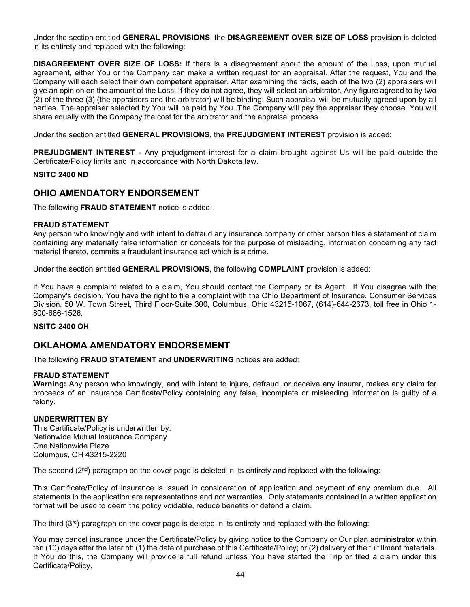Under the section entitled **GENERAL PROVISIONS**, the **DISAGREEMENT OVER SIZE OF LOSS** provision is deleted in its entirety and replaced with the following:

**DISAGREEMENT OVER SIZE OF LOSS:** If there is a disagreement about the amount of the Loss, upon mutual agreement, either You or the Company can make a written request for an appraisal. After the request, You and the Company will each select their own competent appraiser. After examining the facts, each of the two (2) appraisers will give an opinion on the amount of the Loss. If they do not agree, they will select an arbitrator. Any figure agreed to by two (2) of the three (3) (the appraisers and the arbitrator) will be binding. Such appraisal will be mutually agreed upon by all parties. The appraiser selected by You will be paid by You. The Company will pay the appraiser they choose. You will share equally with the Company the cost for the arbitrator and the appraisal process.

Under the section entitled **GENERAL PROVISIONS**, the **PREJUDGMENT INTEREST** provision is added:

**PREJUDGMENT INTEREST -** Any prejudgment interest for a claim brought against Us will be paid outside the Certificate/Policy limits and in accordance with North Dakota law.

#### **NSITC 2400 ND**

# **OHIO AMENDATORY ENDORSEMENT**

The following **FRAUD STATEMENT** notice is added:

#### **FRAUD STATEMENT**

Any person who knowingly and with intent to defraud any insurance company or other person files a statement of claim containing any materially false information or conceals for the purpose of misleading, information concerning any fact materiel thereto, commits a fraudulent insurance act which is a crime.

Under the section entitled **GENERAL PROVISIONS**, the following **COMPLAINT** provision is added:

If You have a complaint related to a claim, You should contact the Company or its Agent. If You disagree with the Company's decision, You have the right to file a complaint with the Ohio Department of Insurance, Consumer Services Division, 50 W. Town Street, Third Floor-Suite 300, Columbus, Ohio 43215-1067, (614)-644-2673, toll free in Ohio 1- 800-686-1526.

#### **NSITC 2400 OH**

# **OKLAHOMA AMENDATORY ENDORSEMENT**

The following **FRAUD STATEMENT** and **UNDERWRITING** notices are added:

#### **FRAUD STATEMENT**

**Warning:** Any person who knowingly, and with intent to injure, defraud, or deceive any insurer, makes any claim for proceeds of an insurance Certificate/Policy containing any false, incomplete or misleading information is guilty of a felony.

#### **UNDERWRITTEN BY**

This Certificate/Policy is underwritten by: Nationwide Mutual Insurance Company One Nationwide Plaza Columbus, OH 43215-2220

The second  $(2<sup>nd</sup>)$  paragraph on the cover page is deleted in its entirety and replaced with the following:

This Certificate/Policy of insurance is issued in consideration of application and payment of any premium due. All statements in the application are representations and not warranties. Only statements contained in a written application format will be used to deem the policy voidable, reduce benefits or defend a claim.

The third  $(3<sup>rd</sup>)$  paragraph on the cover page is deleted in its entirety and replaced with the following:

You may cancel insurance under the Certificate/Policy by giving notice to the Company or Our plan administrator within ten (10) days after the later of: (1) the date of purchase of this Certificate/Policy; or (2) delivery of the fulfillment materials. If You do this, the Company will provide a full refund unless You have started the Trip or filed a claim under this Certificate/Policy.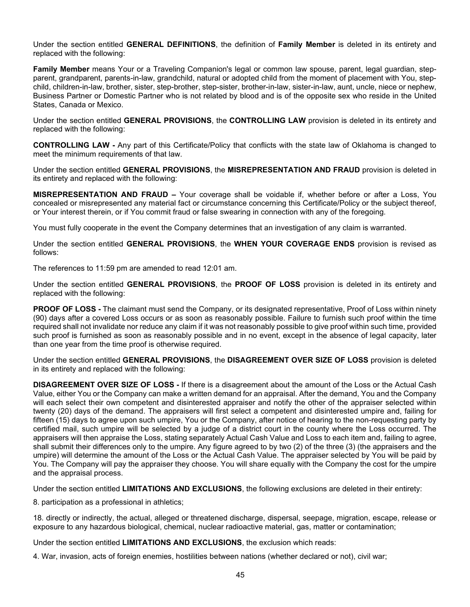Under the section entitled **GENERAL DEFINITIONS**, the definition of **Family Member** is deleted in its entirety and replaced with the following:

**Family Member** means Your or a Traveling Companion's legal or common law spouse, parent, legal guardian, stepparent, grandparent, parents-in-law, grandchild, natural or adopted child from the moment of placement with You, stepchild, children-in-law, brother, sister, step-brother, step-sister, brother-in-law, sister-in-law, aunt, uncle, niece or nephew, Business Partner or Domestic Partner who is not related by blood and is of the opposite sex who reside in the United States, Canada or Mexico.

Under the section entitled **GENERAL PROVISIONS**, the **CONTROLLING LAW** provision is deleted in its entirety and replaced with the following:

**CONTROLLING LAW -** Any part of this Certificate/Policy that conflicts with the state law of Oklahoma is changed to meet the minimum requirements of that law.

Under the section entitled **GENERAL PROVISIONS**, the **MISREPRESENTATION AND FRAUD** provision is deleted in its entirety and replaced with the following:

**MISREPRESENTATION AND FRAUD –** Your coverage shall be voidable if, whether before or after a Loss, You concealed or misrepresented any material fact or circumstance concerning this Certificate/Policy or the subject thereof, or Your interest therein, or if You commit fraud or false swearing in connection with any of the foregoing.

You must fully cooperate in the event the Company determines that an investigation of any claim is warranted.

Under the section entitled **GENERAL PROVISIONS**, the **WHEN YOUR COVERAGE ENDS** provision is revised as follows:

The references to 11:59 pm are amended to read 12:01 am.

Under the section entitled **GENERAL PROVISIONS**, the **PROOF OF LOSS** provision is deleted in its entirety and replaced with the following:

**PROOF OF LOSS -** The claimant must send the Company, or its designated representative, Proof of Loss within ninety (90) days after a covered Loss occurs or as soon as reasonably possible. Failure to furnish such proof within the time required shall not invalidate nor reduce any claim if it was not reasonably possible to give proof within such time, provided such proof is furnished as soon as reasonably possible and in no event, except in the absence of legal capacity, later than one year from the time proof is otherwise required.

Under the section entitled **GENERAL PROVISIONS**, the **DISAGREEMENT OVER SIZE OF LOSS** provision is deleted in its entirety and replaced with the following:

**DISAGREEMENT OVER SIZE OF LOSS -** If there is a disagreement about the amount of the Loss or the Actual Cash Value, either You or the Company can make a written demand for an appraisal. After the demand, You and the Company will each select their own competent and disinterested appraiser and notify the other of the appraiser selected within twenty (20) days of the demand. The appraisers will first select a competent and disinterested umpire and, failing for fifteen (15) days to agree upon such umpire, You or the Company, after notice of hearing to the non-requesting party by certified mail, such umpire will be selected by a judge of a district court in the county where the Loss occurred. The appraisers will then appraise the Loss, stating separately Actual Cash Value and Loss to each item and, failing to agree, shall submit their differences only to the umpire. Any figure agreed to by two (2) of the three (3) (the appraisers and the umpire) will determine the amount of the Loss or the Actual Cash Value. The appraiser selected by You will be paid by You. The Company will pay the appraiser they choose. You will share equally with the Company the cost for the umpire and the appraisal process.

Under the section entitled **LIMITATIONS AND EXCLUSIONS**, the following exclusions are deleted in their entirety:

8. participation as a professional in athletics;

18. directly or indirectly, the actual, alleged or threatened discharge, dispersal, seepage, migration, escape, release or exposure to any hazardous biological, chemical, nuclear radioactive material, gas, matter or contamination;

Under the section entitled **LIMITATIONS AND EXCLUSIONS**, the exclusion which reads:

4. War, invasion, acts of foreign enemies, hostilities between nations (whether declared or not), civil war;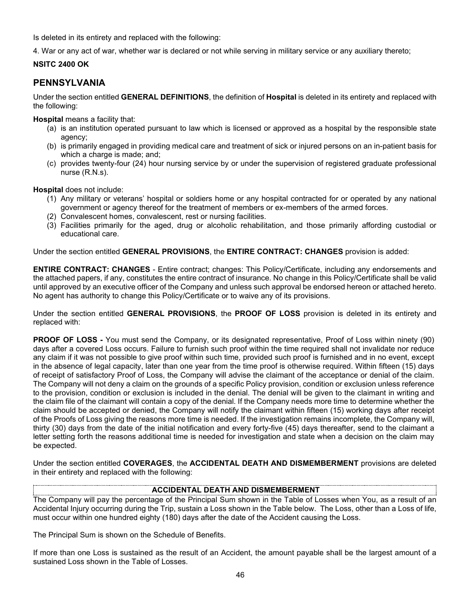Is deleted in its entirety and replaced with the following:

4. War or any act of war, whether war is declared or not while serving in military service or any auxiliary thereto;

# **NSITC 2400 OK**

# **PENNSYLVANIA**

Under the section entitled **GENERAL DEFINITIONS**, the definition of **Hospital** is deleted in its entirety and replaced with the following:

**Hospital** means a facility that:

- (a) is an institution operated pursuant to law which is licensed or approved as a hospital by the responsible state agency;
- (b) is primarily engaged in providing medical care and treatment of sick or injured persons on an in-patient basis for which a charge is made; and;
- (c) provides twenty-four (24) hour nursing service by or under the supervision of registered graduate professional nurse (R.N.s).

**Hospital** does not include:

- (1) Any military or veterans' hospital or soldiers home or any hospital contracted for or operated by any national government or agency thereof for the treatment of members or ex-members of the armed forces.
- (2) Convalescent homes, convalescent, rest or nursing facilities.
- (3) Facilities primarily for the aged, drug or alcoholic rehabilitation, and those primarily affording custodial or educational care.

Under the section entitled **GENERAL PROVISIONS**, the **ENTIRE CONTRACT: CHANGES** provision is added:

**ENTIRE CONTRACT: CHANGES** - Entire contract; changes: This Policy/Certificate, including any endorsements and the attached papers, if any, constitutes the entire contract of insurance. No change in this Policy/Certificate shall be valid until approved by an executive officer of the Company and unless such approval be endorsed hereon or attached hereto. No agent has authority to change this Policy/Certificate or to waive any of its provisions.

Under the section entitled **GENERAL PROVISIONS**, the **PROOF OF LOSS** provision is deleted in its entirety and replaced with:

**PROOF OF LOSS -** You must send the Company, or its designated representative, Proof of Loss within ninety (90) days after a covered Loss occurs. Failure to furnish such proof within the time required shall not invalidate nor reduce any claim if it was not possible to give proof within such time, provided such proof is furnished and in no event, except in the absence of legal capacity, later than one year from the time proof is otherwise required. Within fifteen (15) days of receipt of satisfactory Proof of Loss, the Company will advise the claimant of the acceptance or denial of the claim. The Company will not deny a claim on the grounds of a specific Policy provision, condition or exclusion unless reference to the provision, condition or exclusion is included in the denial. The denial will be given to the claimant in writing and the claim file of the claimant will contain a copy of the denial. If the Company needs more time to determine whether the claim should be accepted or denied, the Company will notify the claimant within fifteen (15) working days after receipt of the Proofs of Loss giving the reasons more time is needed. If the investigation remains incomplete, the Company will, thirty (30) days from the date of the initial notification and every forty-five (45) days thereafter, send to the claimant a letter setting forth the reasons additional time is needed for investigation and state when a decision on the claim may be expected.

Under the section entitled **COVERAGES**, the **ACCIDENTAL DEATH AND DISMEMBERMENT** provisions are deleted in their entirety and replaced with the following:

# **ACCIDENTAL DEATH AND DISMEMBERMENT**

The Company will pay the percentage of the Principal Sum shown in the Table of Losses when You, as a result of an Accidental Injury occurring during the Trip, sustain a Loss shown in the Table below. The Loss, other than a Loss of life, must occur within one hundred eighty (180) days after the date of the Accident causing the Loss.

The Principal Sum is shown on the Schedule of Benefits.

If more than one Loss is sustained as the result of an Accident, the amount payable shall be the largest amount of a sustained Loss shown in the Table of Losses.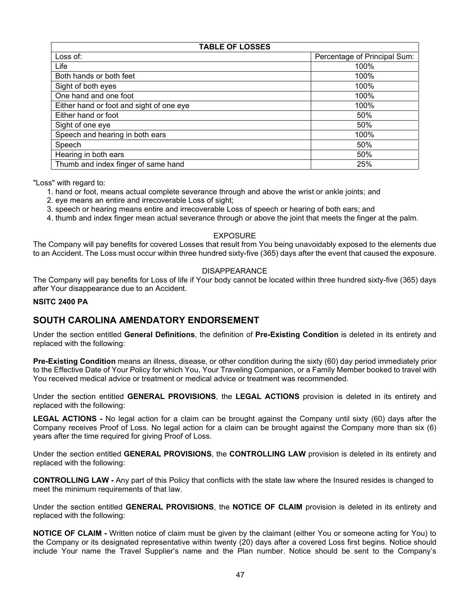| <b>TABLE OF LOSSES</b>                   |                              |  |  |
|------------------------------------------|------------------------------|--|--|
| Loss of:                                 | Percentage of Principal Sum: |  |  |
| Life                                     | 100%                         |  |  |
| Both hands or both feet                  | 100%                         |  |  |
| Sight of both eyes                       | 100%                         |  |  |
| One hand and one foot                    | 100%                         |  |  |
| Either hand or foot and sight of one eye | 100%                         |  |  |
| Either hand or foot                      | 50%                          |  |  |
| Sight of one eye                         | 50%                          |  |  |
| Speech and hearing in both ears          | 100%                         |  |  |
| Speech                                   | 50%                          |  |  |
| Hearing in both ears                     | 50%                          |  |  |
| Thumb and index finger of same hand      | 25%                          |  |  |

"Loss" with regard to:

- 1. hand or foot, means actual complete severance through and above the wrist or ankle joints; and
- 2. eye means an entire and irrecoverable Loss of sight;
- 3. speech or hearing means entire and irrecoverable Loss of speech or hearing of both ears; and
- 4. thumb and index finger mean actual severance through or above the joint that meets the finger at the palm.

#### EXPOSURE

The Company will pay benefits for covered Losses that result from You being unavoidably exposed to the elements due to an Accident. The Loss must occur within three hundred sixty-five (365) days after the event that caused the exposure.

#### DISAPPEARANCE

The Company will pay benefits for Loss of life if Your body cannot be located within three hundred sixty-five (365) days after Your disappearance due to an Accident.

#### **NSITC 2400 PA**

# **SOUTH CAROLINA AMENDATORY ENDORSEMENT**

Under the section entitled **General Definitions**, the definition of **Pre-Existing Condition** is deleted in its entirety and replaced with the following:

**Pre-Existing Condition** means an illness, disease, or other condition during the sixty (60) day period immediately prior to the Effective Date of Your Policy for which You, Your Traveling Companion, or a Family Member booked to travel with You received medical advice or treatment or medical advice or treatment was recommended.

Under the section entitled **GENERAL PROVISIONS**, the **LEGAL ACTIONS** provision is deleted in its entirety and replaced with the following:

**LEGAL ACTIONS -** No legal action for a claim can be brought against the Company until sixty (60) days after the Company receives Proof of Loss. No legal action for a claim can be brought against the Company more than six (6) years after the time required for giving Proof of Loss.

Under the section entitled **GENERAL PROVISIONS**, the **CONTROLLING LAW** provision is deleted in its entirety and replaced with the following:

**CONTROLLING LAW -** Any part of this Policy that conflicts with the state law where the Insured resides is changed to meet the minimum requirements of that law.

Under the section entitled **GENERAL PROVISIONS**, the **NOTICE OF CLAIM** provision is deleted in its entirety and replaced with the following:

**NOTICE OF CLAIM -** Written notice of claim must be given by the claimant (either You or someone acting for You) to the Company or its designated representative within twenty (20) days after a covered Loss first begins. Notice should include Your name the Travel Supplier's name and the Plan number. Notice should be sent to the Company's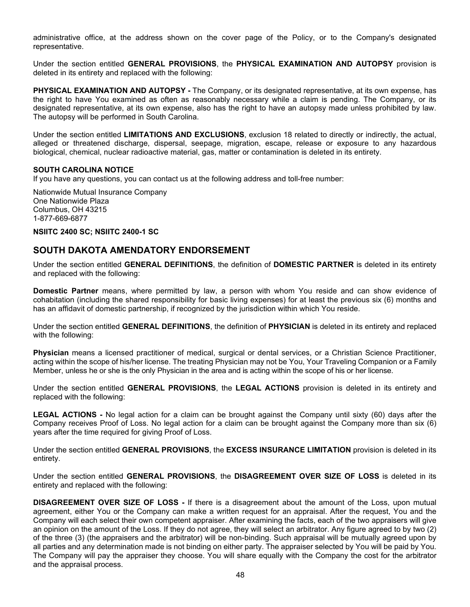administrative office, at the address shown on the cover page of the Policy, or to the Company's designated representative.

Under the section entitled **GENERAL PROVISIONS**, the **PHYSICAL EXAMINATION AND AUTOPSY** provision is deleted in its entirety and replaced with the following:

**PHYSICAL EXAMINATION AND AUTOPSY -** The Company, or its designated representative, at its own expense, has the right to have You examined as often as reasonably necessary while a claim is pending. The Company, or its designated representative, at its own expense, also has the right to have an autopsy made unless prohibited by law. The autopsy will be performed in South Carolina.

Under the section entitled **LIMITATIONS AND EXCLUSIONS**, exclusion 18 related to directly or indirectly, the actual, alleged or threatened discharge, dispersal, seepage, migration, escape, release or exposure to any hazardous biological, chemical, nuclear radioactive material, gas, matter or contamination is deleted in its entirety.

#### **SOUTH CAROLINA NOTICE**

If you have any questions, you can contact us at the following address and toll-free number:

Nationwide Mutual Insurance Company One Nationwide Plaza Columbus, OH 43215 1-877-669-6877

#### **NSIITC 2400 SC; NSIITC 2400-1 SC**

# **SOUTH DAKOTA AMENDATORY ENDORSEMENT**

Under the section entitled **GENERAL DEFINITIONS**, the definition of **DOMESTIC PARTNER** is deleted in its entirety and replaced with the following:

**Domestic Partner** means, where permitted by law, a person with whom You reside and can show evidence of cohabitation (including the shared responsibility for basic living expenses) for at least the previous six (6) months and has an affidavit of domestic partnership, if recognized by the jurisdiction within which You reside.

Under the section entitled **GENERAL DEFINITIONS**, the definition of **PHYSICIAN** is deleted in its entirety and replaced with the following:

**Physician** means a licensed practitioner of medical, surgical or dental services, or a Christian Science Practitioner, acting within the scope of his/her license. The treating Physician may not be You, Your Traveling Companion or a Family Member, unless he or she is the only Physician in the area and is acting within the scope of his or her license.

Under the section entitled **GENERAL PROVISIONS**, the **LEGAL ACTIONS** provision is deleted in its entirety and replaced with the following:

**LEGAL ACTIONS -** No legal action for a claim can be brought against the Company until sixty (60) days after the Company receives Proof of Loss. No legal action for a claim can be brought against the Company more than six (6) years after the time required for giving Proof of Loss.

Under the section entitled **GENERAL PROVISIONS**, the **EXCESS INSURANCE LIMITATION** provision is deleted in its entirety.

Under the section entitled **GENERAL PROVISIONS**, the **DISAGREEMENT OVER SIZE OF LOSS** is deleted in its entirety and replaced with the following:

**DISAGREEMENT OVER SIZE OF LOSS -** If there is a disagreement about the amount of the Loss, upon mutual agreement, either You or the Company can make a written request for an appraisal. After the request, You and the Company will each select their own competent appraiser. After examining the facts, each of the two appraisers will give an opinion on the amount of the Loss. If they do not agree, they will select an arbitrator. Any figure agreed to by two (2) of the three (3) (the appraisers and the arbitrator) will be non-binding. Such appraisal will be mutually agreed upon by all parties and any determination made is not binding on either party. The appraiser selected by You will be paid by You. The Company will pay the appraiser they choose. You will share equally with the Company the cost for the arbitrator and the appraisal process.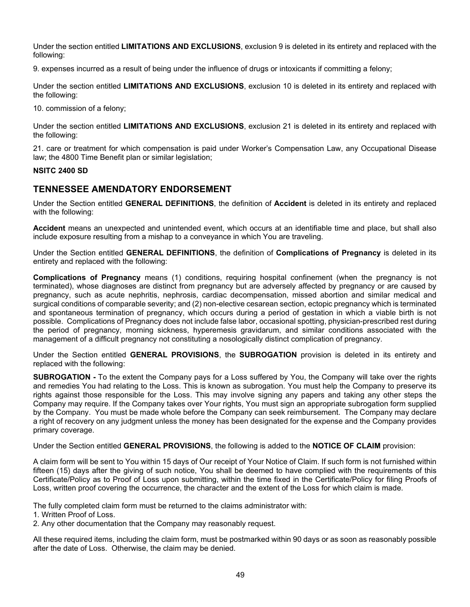Under the section entitled **LIMITATIONS AND EXCLUSIONS**, exclusion 9 is deleted in its entirety and replaced with the following:

9. expenses incurred as a result of being under the influence of drugs or intoxicants if committing a felony;

Under the section entitled **LIMITATIONS AND EXCLUSIONS**, exclusion 10 is deleted in its entirety and replaced with the following:

10. commission of a felony;

Under the section entitled **LIMITATIONS AND EXCLUSIONS**, exclusion 21 is deleted in its entirety and replaced with the following:

21. care or treatment for which compensation is paid under Worker's Compensation Law, any Occupational Disease law; the 4800 Time Benefit plan or similar legislation;

#### **NSITC 2400 SD**

# **TENNESSEE AMENDATORY ENDORSEMENT**

Under the Section entitled **GENERAL DEFINITIONS**, the definition of **Accident** is deleted in its entirety and replaced with the following:

**Accident** means an unexpected and unintended event, which occurs at an identifiable time and place, but shall also include exposure resulting from a mishap to a conveyance in which You are traveling.

Under the Section entitled **GENERAL DEFINITIONS**, the definition of **Complications of Pregnancy** is deleted in its entirety and replaced with the following:

**Complications of Pregnancy** means (1) conditions, requiring hospital confinement (when the pregnancy is not terminated), whose diagnoses are distinct from pregnancy but are adversely affected by pregnancy or are caused by pregnancy, such as acute nephritis, nephrosis, cardiac decompensation, missed abortion and similar medical and surgical conditions of comparable severity; and (2) non-elective cesarean section, ectopic pregnancy which is terminated and spontaneous termination of pregnancy, which occurs during a period of gestation in which a viable birth is not possible. Complications of Pregnancy does not include false labor, occasional spotting, physician-prescribed rest during the period of pregnancy, morning sickness, hyperemesis gravidarum, and similar conditions associated with the management of a difficult pregnancy not constituting a nosologically distinct complication of pregnancy.

Under the Section entitled **GENERAL PROVISIONS**, the **SUBROGATION** provision is deleted in its entirety and replaced with the following:

**SUBROGATION -** To the extent the Company pays for a Loss suffered by You, the Company will take over the rights and remedies You had relating to the Loss. This is known as subrogation. You must help the Company to preserve its rights against those responsible for the Loss. This may involve signing any papers and taking any other steps the Company may require. If the Company takes over Your rights, You must sign an appropriate subrogation form supplied by the Company. You must be made whole before the Company can seek reimbursement. The Company may declare a right of recovery on any judgment unless the money has been designated for the expense and the Company provides primary coverage.

Under the Section entitled **GENERAL PROVISIONS**, the following is added to the **NOTICE OF CLAIM** provision:

A claim form will be sent to You within 15 days of Our receipt of Your Notice of Claim. If such form is not furnished within fifteen (15) days after the giving of such notice, You shall be deemed to have complied with the requirements of this Certificate/Policy as to Proof of Loss upon submitting, within the time fixed in the Certificate/Policy for filing Proofs of Loss, written proof covering the occurrence, the character and the extent of the Loss for which claim is made.

The fully completed claim form must be returned to the claims administrator with:

- 1. Written Proof of Loss.
- 2. Any other documentation that the Company may reasonably request.

All these required items, including the claim form, must be postmarked within 90 days or as soon as reasonably possible after the date of Loss. Otherwise, the claim may be denied.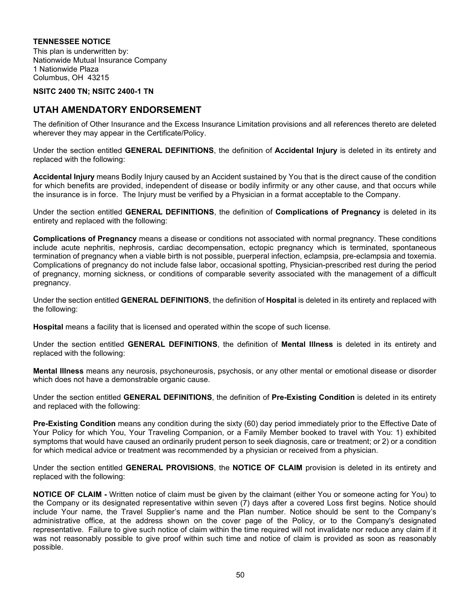### **TENNESSEE NOTICE**

This plan is underwritten by: Nationwide Mutual Insurance Company 1 Nationwide Plaza Columbus, OH 43215

#### **NSITC 2400 TN; NSITC 2400-1 TN**

# **UTAH AMENDATORY ENDORSEMENT**

The definition of Other Insurance and the Excess Insurance Limitation provisions and all references thereto are deleted wherever they may appear in the Certificate/Policy.

Under the section entitled **GENERAL DEFINITIONS**, the definition of **Accidental Injury** is deleted in its entirety and replaced with the following:

**Accidental Injury** means Bodily Injury caused by an Accident sustained by You that is the direct cause of the condition for which benefits are provided, independent of disease or bodily infirmity or any other cause, and that occurs while the insurance is in force. The Injury must be verified by a Physician in a format acceptable to the Company.

Under the section entitled **GENERAL DEFINITIONS**, the definition of **Complications of Pregnancy** is deleted in its entirety and replaced with the following:

**Complications of Pregnancy** means a disease or conditions not associated with normal pregnancy. These conditions include acute nephritis, nephrosis, cardiac decompensation, ectopic pregnancy which is terminated, spontaneous termination of pregnancy when a viable birth is not possible, puerperal infection, eclampsia, pre-eclampsia and toxemia. Complications of pregnancy do not include false labor, occasional spotting, Physician-prescribed rest during the period of pregnancy, morning sickness, or conditions of comparable severity associated with the management of a difficult pregnancy.

Under the section entitled **GENERAL DEFINITIONS**, the definition of **Hospital** is deleted in its entirety and replaced with the following:

**Hospital** means a facility that is licensed and operated within the scope of such license.

Under the section entitled **GENERAL DEFINITIONS**, the definition of **Mental Illness** is deleted in its entirety and replaced with the following:

**Mental Illness** means any neurosis, psychoneurosis, psychosis, or any other mental or emotional disease or disorder which does not have a demonstrable organic cause.

Under the section entitled **GENERAL DEFINITIONS**, the definition of **Pre-Existing Condition** is deleted in its entirety and replaced with the following:

**Pre-Existing Condition** means any condition during the sixty (60) day period immediately prior to the Effective Date of Your Policy for which You, Your Traveling Companion, or a Family Member booked to travel with You: 1) exhibited symptoms that would have caused an ordinarily prudent person to seek diagnosis, care or treatment; or 2) or a condition for which medical advice or treatment was recommended by a physician or received from a physician.

Under the section entitled **GENERAL PROVISIONS**, the **NOTICE OF CLAIM** provision is deleted in its entirety and replaced with the following:

**NOTICE OF CLAIM -** Written notice of claim must be given by the claimant (either You or someone acting for You) to the Company or its designated representative within seven (7) days after a covered Loss first begins. Notice should include Your name, the Travel Supplier's name and the Plan number. Notice should be sent to the Company's administrative office, at the address shown on the cover page of the Policy, or to the Company's designated representative. Failure to give such notice of claim within the time required will not invalidate nor reduce any claim if it was not reasonably possible to give proof within such time and notice of claim is provided as soon as reasonably possible.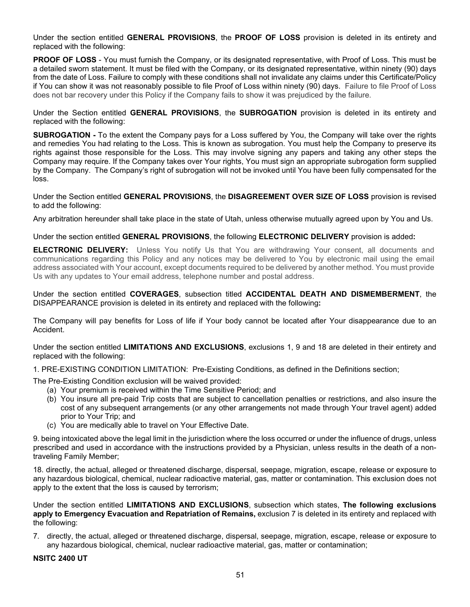Under the section entitled **GENERAL PROVISIONS**, the **PROOF OF LOSS** provision is deleted in its entirety and replaced with the following:

**PROOF OF LOSS** - You must furnish the Company, or its designated representative, with Proof of Loss. This must be a detailed sworn statement. It must be filed with the Company, or its designated representative, within ninety (90) days from the date of Loss. Failure to comply with these conditions shall not invalidate any claims under this Certificate/Policy if You can show it was not reasonably possible to file Proof of Loss within ninety (90) days. Failure to file Proof of Loss does not bar recovery under this Policy if the Company fails to show it was prejudiced by the failure.

Under the Section entitled **GENERAL PROVISIONS**, the **SUBROGATION** provision is deleted in its entirety and replaced with the following:

**SUBROGATION -** To the extent the Company pays for a Loss suffered by You, the Company will take over the rights and remedies You had relating to the Loss. This is known as subrogation. You must help the Company to preserve its rights against those responsible for the Loss. This may involve signing any papers and taking any other steps the Company may require. If the Company takes over Your rights, You must sign an appropriate subrogation form supplied by the Company. The Company's right of subrogation will not be invoked until You have been fully compensated for the loss.

Under the Section entitled **GENERAL PROVISIONS**, the **DISAGREEMENT OVER SIZE OF LOSS** provision is revised to add the following:

Any arbitration hereunder shall take place in the state of Utah, unless otherwise mutually agreed upon by You and Us.

Under the section entitled **GENERAL PROVISIONS**, the following **ELECTRONIC DELIVERY** provision is added**:**

**ELECTRONIC DELIVERY:** Unless You notify Us that You are withdrawing Your consent, all documents and communications regarding this Policy and any notices may be delivered to You by electronic mail using the email address associated with Your account, except documents required to be delivered by another method. You must provide Us with any updates to Your email address, telephone number and postal address.

Under the section entitled **COVERAGES**, subsection titled **ACCIDENTAL DEATH AND DISMEMBERMENT**, the DISAPPEARANCE provision is deleted in its entirety and replaced with the following**:**

The Company will pay benefits for Loss of life if Your body cannot be located after Your disappearance due to an Accident.

Under the section entitled **LIMITATIONS AND EXCLUSIONS**, exclusions 1, 9 and 18 are deleted in their entirety and replaced with the following:

1. PRE-EXISTING CONDITION LIMITATION: Pre-Existing Conditions, as defined in the Definitions section;

The Pre-Existing Condition exclusion will be waived provided:

- (a) Your premium is received within the Time Sensitive Period; and
- (b) You insure all pre-paid Trip costs that are subject to cancellation penalties or restrictions, and also insure the cost of any subsequent arrangements (or any other arrangements not made through Your travel agent) added prior to Your Trip; and
- (c) You are medically able to travel on Your Effective Date.

9. being intoxicated above the legal limit in the jurisdiction where the loss occurred or under the influence of drugs, unless prescribed and used in accordance with the instructions provided by a Physician, unless results in the death of a nontraveling Family Member;

18. directly, the actual, alleged or threatened discharge, dispersal, seepage, migration, escape, release or exposure to any hazardous biological, chemical, nuclear radioactive material, gas, matter or contamination. This exclusion does not apply to the extent that the loss is caused by terrorism;

Under the section entitled **LIMITATIONS AND EXCLUSIONS**, subsection which states, **The following exclusions apply to Emergency Evacuation and Repatriation of Remains,** exclusion 7 is deleted in its entirety and replaced with the following:

7. directly, the actual, alleged or threatened discharge, dispersal, seepage, migration, escape, release or exposure to any hazardous biological, chemical, nuclear radioactive material, gas, matter or contamination;

**NSITC 2400 UT**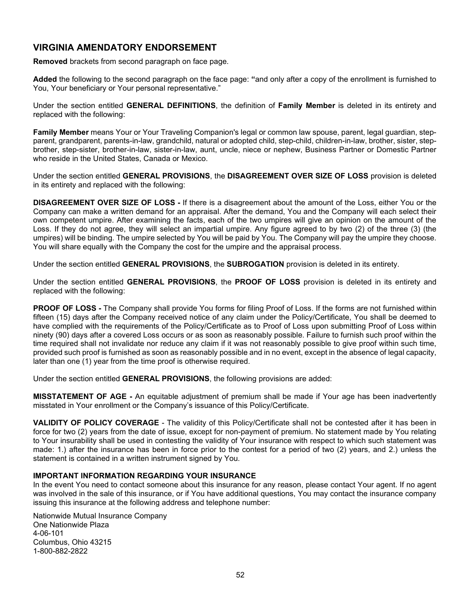# **VIRGINIA AMENDATORY ENDORSEMENT**

**Removed** brackets from second paragraph on face page.

**Added** the following to the second paragraph on the face page: **"**and only after a copy of the enrollment is furnished to You, Your beneficiary or Your personal representative."

Under the section entitled **GENERAL DEFINITIONS**, the definition of **Family Member** is deleted in its entirety and replaced with the following:

**Family Member** means Your or Your Traveling Companion's legal or common law spouse, parent, legal guardian, stepparent, grandparent, parents-in-law, grandchild, natural or adopted child, step-child, children-in-law, brother, sister, stepbrother, step-sister, brother-in-law, sister-in-law, aunt, uncle, niece or nephew, Business Partner or Domestic Partner who reside in the United States, Canada or Mexico.

Under the section entitled **GENERAL PROVISIONS**, the **DISAGREEMENT OVER SIZE OF LOSS** provision is deleted in its entirety and replaced with the following:

**DISAGREEMENT OVER SIZE OF LOSS -** If there is a disagreement about the amount of the Loss, either You or the Company can make a written demand for an appraisal. After the demand, You and the Company will each select their own competent umpire. After examining the facts, each of the two umpires will give an opinion on the amount of the Loss. If they do not agree, they will select an impartial umpire. Any figure agreed to by two (2) of the three (3) (the umpires) will be binding. The umpire selected by You will be paid by You. The Company will pay the umpire they choose. You will share equally with the Company the cost for the umpire and the appraisal process.

Under the section entitled **GENERAL PROVISIONS**, the **SUBROGATION** provision is deleted in its entirety.

Under the section entitled **GENERAL PROVISIONS**, the **PROOF OF LOSS** provision is deleted in its entirety and replaced with the following:

**PROOF OF LOSS -** The Company shall provide You forms for filing Proof of Loss. If the forms are not furnished within fifteen (15) days after the Company received notice of any claim under the Policy/Certificate, You shall be deemed to have complied with the requirements of the Policy/Certificate as to Proof of Loss upon submitting Proof of Loss within ninety (90) days after a covered Loss occurs or as soon as reasonably possible. Failure to furnish such proof within the time required shall not invalidate nor reduce any claim if it was not reasonably possible to give proof within such time, provided such proof is furnished as soon as reasonably possible and in no event, except in the absence of legal capacity, later than one (1) year from the time proof is otherwise required.

Under the section entitled **GENERAL PROVISIONS**, the following provisions are added:

**MISSTATEMENT OF AGE -** An equitable adjustment of premium shall be made if Your age has been inadvertently misstated in Your enrollment or the Company's issuance of this Policy/Certificate.

**VALIDITY OF POLICY COVERAGE** - The validity of this Policy/Certificate shall not be contested after it has been in force for two (2) years from the date of issue, except for non-payment of premium. No statement made by You relating to Your insurability shall be used in contesting the validity of Your insurance with respect to which such statement was made: 1.) after the insurance has been in force prior to the contest for a period of two (2) years, and 2.) unless the statement is contained in a written instrument signed by You.

#### **IMPORTANT INFORMATION REGARDING YOUR INSURANCE**

In the event You need to contact someone about this insurance for any reason, please contact Your agent. If no agent was involved in the sale of this insurance, or if You have additional questions, You may contact the insurance company issuing this insurance at the following address and telephone number:

Nationwide Mutual Insurance Company One Nationwide Plaza 4-06-101 Columbus, Ohio 43215 1-800-882-2822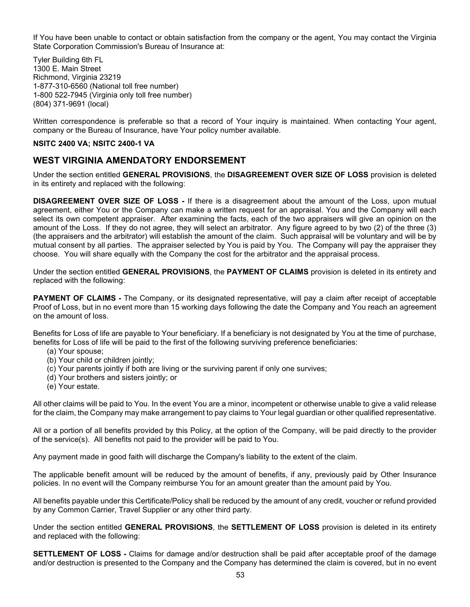If You have been unable to contact or obtain satisfaction from the company or the agent, You may contact the Virginia State Corporation Commission's Bureau of Insurance at:

Tyler Building 6th FL 1300 E. Main Street Richmond, Virginia 23219 1-877-310-6560 (National toll free number) 1-800 522-7945 (Virginia only toll free number) (804) 371-9691 (local)

Written correspondence is preferable so that a record of Your inquiry is maintained. When contacting Your agent, company or the Bureau of Insurance, have Your policy number available.

#### **NSITC 2400 VA; NSITC 2400-1 VA**

# **WEST VIRGINIA AMENDATORY ENDORSEMENT**

Under the section entitled **GENERAL PROVISIONS**, the **DISAGREEMENT OVER SIZE OF LOSS** provision is deleted in its entirety and replaced with the following:

**DISAGREEMENT OVER SIZE OF LOSS -** If there is a disagreement about the amount of the Loss, upon mutual agreement, either You or the Company can make a written request for an appraisal. You and the Company will each select its own competent appraiser. After examining the facts, each of the two appraisers will give an opinion on the amount of the Loss. If they do not agree, they will select an arbitrator. Any figure agreed to by two (2) of the three (3) (the appraisers and the arbitrator) will establish the amount of the claim. Such appraisal will be voluntary and will be by mutual consent by all parties. The appraiser selected by You is paid by You. The Company will pay the appraiser they choose. You will share equally with the Company the cost for the arbitrator and the appraisal process.

Under the section entitled **GENERAL PROVISIONS**, the **PAYMENT OF CLAIMS** provision is deleted in its entirety and replaced with the following:

**PAYMENT OF CLAIMS -** The Company, or its designated representative, will pay a claim after receipt of acceptable Proof of Loss, but in no event more than 15 working days following the date the Company and You reach an agreement on the amount of loss.

Benefits for Loss of life are payable to Your beneficiary. If a beneficiary is not designated by You at the time of purchase, benefits for Loss of life will be paid to the first of the following surviving preference beneficiaries:

- (a) Your spouse;
- (b) Your child or children jointly;
- (c) Your parents jointly if both are living or the surviving parent if only one survives;
- (d) Your brothers and sisters jointly; or
- (e) Your estate.

All other claims will be paid to You. In the event You are a minor, incompetent or otherwise unable to give a valid release for the claim, the Company may make arrangement to pay claims to Your legal guardian or other qualified representative.

All or a portion of all benefits provided by this Policy, at the option of the Company, will be paid directly to the provider of the service(s). All benefits not paid to the provider will be paid to You.

Any payment made in good faith will discharge the Company's liability to the extent of the claim.

The applicable benefit amount will be reduced by the amount of benefits, if any, previously paid by Other Insurance policies. In no event will the Company reimburse You for an amount greater than the amount paid by You.

All benefits payable under this Certificate/Policy shall be reduced by the amount of any credit, voucher or refund provided by any Common Carrier, Travel Supplier or any other third party.

Under the section entitled **GENERAL PROVISIONS**, the **SETTLEMENT OF LOSS** provision is deleted in its entirety and replaced with the following:

**SETTLEMENT OF LOSS -** Claims for damage and/or destruction shall be paid after acceptable proof of the damage and/or destruction is presented to the Company and the Company has determined the claim is covered, but in no event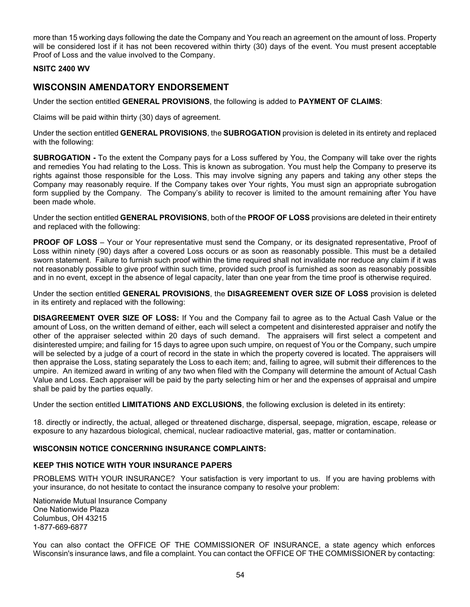more than 15 working days following the date the Company and You reach an agreement on the amount of loss. Property will be considered lost if it has not been recovered within thirty (30) days of the event. You must present acceptable Proof of Loss and the value involved to the Company.

#### **NSITC 2400 WV**

# **WISCONSIN AMENDATORY ENDORSEMENT**

Under the section entitled **GENERAL PROVISIONS**, the following is added to **PAYMENT OF CLAIMS**:

Claims will be paid within thirty (30) days of agreement.

Under the section entitled **GENERAL PROVISIONS**, the **SUBROGATION** provision is deleted in its entirety and replaced with the following:

**SUBROGATION -** To the extent the Company pays for a Loss suffered by You, the Company will take over the rights and remedies You had relating to the Loss. This is known as subrogation. You must help the Company to preserve its rights against those responsible for the Loss. This may involve signing any papers and taking any other steps the Company may reasonably require. If the Company takes over Your rights, You must sign an appropriate subrogation form supplied by the Company. The Company's ability to recover is limited to the amount remaining after You have been made whole.

Under the section entitled **GENERAL PROVISIONS**, both of the **PROOF OF LOSS** provisions are deleted in their entirety and replaced with the following:

**PROOF OF LOSS** – Your or Your representative must send the Company, or its designated representative, Proof of Loss within ninety (90) days after a covered Loss occurs or as soon as reasonably possible. This must be a detailed sworn statement. Failure to furnish such proof within the time required shall not invalidate nor reduce any claim if it was not reasonably possible to give proof within such time, provided such proof is furnished as soon as reasonably possible and in no event, except in the absence of legal capacity, later than one year from the time proof is otherwise required.

Under the section entitled **GENERAL PROVISIONS**, the **DISAGREEMENT OVER SIZE OF LOSS** provision is deleted in its entirety and replaced with the following:

**DISAGREEMENT OVER SIZE OF LOSS:** If You and the Company fail to agree as to the Actual Cash Value or the amount of Loss, on the written demand of either, each will select a competent and disinterested appraiser and notify the other of the appraiser selected within 20 days of such demand. The appraisers will first select a competent and disinterested umpire; and failing for 15 days to agree upon such umpire, on request of You or the Company, such umpire will be selected by a judge of a court of record in the state in which the property covered is located. The appraisers will then appraise the Loss, stating separately the Loss to each item; and, failing to agree, will submit their differences to the umpire. An itemized award in writing of any two when filed with the Company will determine the amount of Actual Cash Value and Loss. Each appraiser will be paid by the party selecting him or her and the expenses of appraisal and umpire shall be paid by the parties equally.

Under the section entitled **LIMITATIONS AND EXCLUSIONS**, the following exclusion is deleted in its entirety:

18. directly or indirectly, the actual, alleged or threatened discharge, dispersal, seepage, migration, escape, release or exposure to any hazardous biological, chemical, nuclear radioactive material, gas, matter or contamination.

# **WISCONSIN NOTICE CONCERNING INSURANCE COMPLAINTS:**

## **KEEP THIS NOTICE WITH YOUR INSURANCE PAPERS**

PROBLEMS WITH YOUR INSURANCE? Your satisfaction is very important to us. If you are having problems with your insurance, do not hesitate to contact the insurance company to resolve your problem:

Nationwide Mutual Insurance Company One Nationwide Plaza Columbus, OH 43215 1-877-669-6877

You can also contact the OFFICE OF THE COMMISSIONER OF INSURANCE, a state agency which enforces Wisconsin's insurance laws, and file a complaint. You can contact the OFFICE OF THE COMMISSIONER by contacting: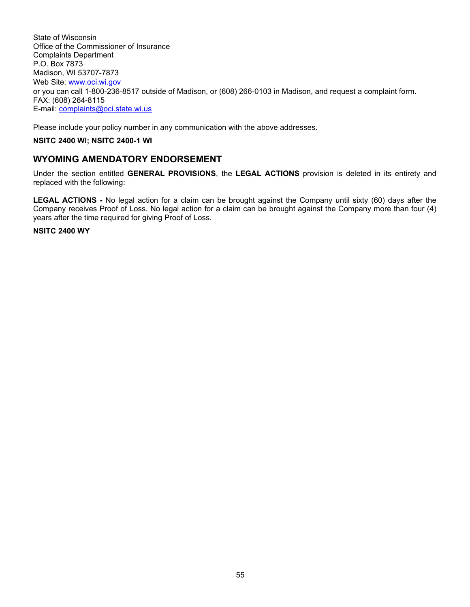State of Wisconsin Office of the Commissioner of Insurance Complaints Department P.O. Box 7873 Madison, WI 53707-7873 Web Site: [www.oci.wi.gov](http://www.oci.wi.gov/) or you can call 1-800-236-8517 outside of Madison, or (608) 266-0103 in Madison, and request a complaint form. FAX: (608) 264-8115 E-mail: [complaints@oci.state.wi.us](mailto:complaints@oci.state.wi.us)

Please include your policy number in any communication with the above addresses.

# **NSITC 2400 WI; NSITC 2400-1 WI**

# **WYOMING AMENDATORY ENDORSEMENT**

Under the section entitled **GENERAL PROVISIONS**, the **LEGAL ACTIONS** provision is deleted in its entirety and replaced with the following:

**LEGAL ACTIONS -** No legal action for a claim can be brought against the Company until sixty (60) days after the Company receives Proof of Loss. No legal action for a claim can be brought against the Company more than four (4) years after the time required for giving Proof of Loss.

#### **NSITC 2400 WY**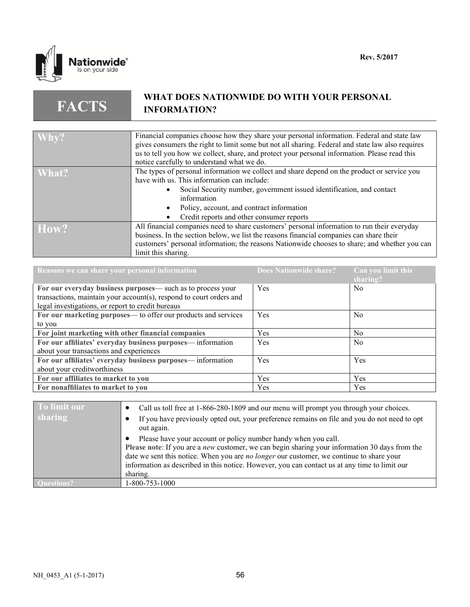

**FACTS**

# **WHAT DOES NATIONWIDE DO WITH YOUR PERSONAL INFORMATION?**

| $ \mathbf{W}$ hy? | Financial companies choose how they share your personal information. Federal and state law       |
|-------------------|--------------------------------------------------------------------------------------------------|
|                   | gives consumers the right to limit some but not all sharing. Federal and state law also requires |
|                   |                                                                                                  |
|                   | us to tell you how we collect, share, and protect your personal information. Please read this    |
|                   | notice carefully to understand what we do.                                                       |
| What?             | The types of personal information we collect and share depend on the product or service you      |
|                   | have with us. This information can include:                                                      |
|                   | Social Security number, government issued identification, and contact                            |
|                   | information                                                                                      |
|                   | Policy, account, and contract information                                                        |
|                   | Credit reports and other consumer reports                                                        |
| How?              | All financial companies need to share customers' personal information to run their everyday      |
|                   | business. In the section below, we list the reasons financial companies can share their          |
|                   |                                                                                                  |
|                   | customers' personal information; the reasons Nationwide chooses to share; and whether you can    |
|                   | limit this sharing.                                                                              |

| Reasons we can share your personal information                      | <b>Does Nationwide share?</b> | Can you limit this<br>sharing? |
|---------------------------------------------------------------------|-------------------------------|--------------------------------|
| For our everyday business purposes— such as to process your         | Yes                           | N <sub>0</sub>                 |
| transactions, maintain your account(s), respond to court orders and |                               |                                |
| legal investigations, or report to credit bureaus                   |                               |                                |
| For our marketing purposes— to offer our products and services      | Yes                           | N <sub>0</sub>                 |
| to you                                                              |                               |                                |
| For joint marketing with other financial companies                  | <b>Yes</b>                    | N <sub>0</sub>                 |
| For our affiliates' everyday business purposes— information         | Yes                           | N <sub>0</sub>                 |
| about your transactions and experiences                             |                               |                                |
| For our affiliates' everyday business purposes— information         | Yes                           | Yes                            |
| about your creditworthiness                                         |                               |                                |
| For our affiliates to market to you                                 | Yes                           | Yes                            |
| For nonaffiliates to market to you                                  | <b>Yes</b>                    | Yes                            |

| To limit our   | Call us toll free at 1-866-280-1809 and our menu will prompt you through your choices.                                                                                                                                                                                                                                                                                           |
|----------------|----------------------------------------------------------------------------------------------------------------------------------------------------------------------------------------------------------------------------------------------------------------------------------------------------------------------------------------------------------------------------------|
| <b>sharing</b> | If you have previously opted out, your preference remains on file and you do not need to opt<br>out again.                                                                                                                                                                                                                                                                       |
|                | Please have your account or policy number handy when you call.<br>Please note: If you are a <i>new</i> customer, we can begin sharing your information 30 days from the<br>date we sent this notice. When you are no longer our customer, we continue to share your<br>information as described in this notice. However, you can contact us at any time to limit our<br>sharing. |
|                | 1-800-753-1000                                                                                                                                                                                                                                                                                                                                                                   |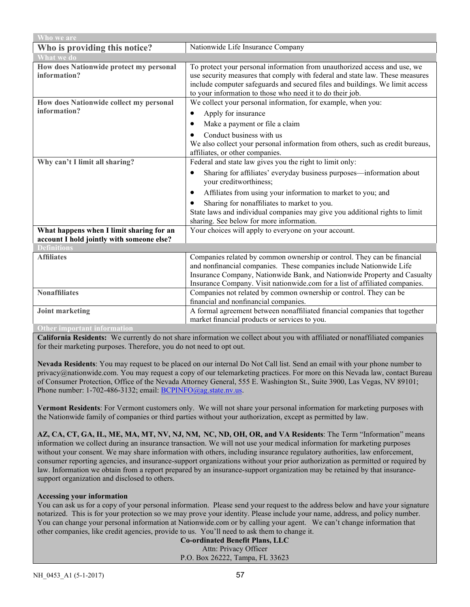| Who we are                                              |                                                                                                                                                                                                                                                                                                           |  |
|---------------------------------------------------------|-----------------------------------------------------------------------------------------------------------------------------------------------------------------------------------------------------------------------------------------------------------------------------------------------------------|--|
| Who is providing this notice?                           | Nationwide Life Insurance Company                                                                                                                                                                                                                                                                         |  |
| What we do                                              |                                                                                                                                                                                                                                                                                                           |  |
| How does Nationwide protect my personal<br>information? | To protect your personal information from unauthorized access and use, we<br>use security measures that comply with federal and state law. These measures<br>include computer safeguards and secured files and buildings. We limit access<br>to your information to those who need it to do their job.    |  |
| How does Nationwide collect my personal                 | We collect your personal information, for example, when you:                                                                                                                                                                                                                                              |  |
| information?                                            | Apply for insurance<br>٠                                                                                                                                                                                                                                                                                  |  |
|                                                         | Make a payment or file a claim                                                                                                                                                                                                                                                                            |  |
|                                                         | Conduct business with us<br>We also collect your personal information from others, such as credit bureaus,<br>affiliates, or other companies.                                                                                                                                                             |  |
| Why can't I limit all sharing?                          | Federal and state law gives you the right to limit only:                                                                                                                                                                                                                                                  |  |
|                                                         | Sharing for affiliates' everyday business purposes—information about<br>$\bullet$<br>your creditworthiness;<br>Affiliates from using your information to market to you; and<br>$\bullet$                                                                                                                  |  |
|                                                         | Sharing for nonaffiliates to market to you.                                                                                                                                                                                                                                                               |  |
|                                                         | State laws and individual companies may give you additional rights to limit<br>sharing. See below for more information.                                                                                                                                                                                   |  |
| What happens when I limit sharing for an                | Your choices will apply to everyone on your account.                                                                                                                                                                                                                                                      |  |
| account I hold jointly with someone else?               |                                                                                                                                                                                                                                                                                                           |  |
| <b>Definitions</b>                                      |                                                                                                                                                                                                                                                                                                           |  |
| <b>Affiliates</b>                                       | Companies related by common ownership or control. They can be financial<br>and nonfinancial companies. These companies include Nationwide Life<br>Insurance Company, Nationwide Bank, and Nationwide Property and Casualty<br>Insurance Company. Visit nationwide.com for a list of affiliated companies. |  |
| <b>Nonaffiliates</b>                                    | Companies not related by common ownership or control. They can be                                                                                                                                                                                                                                         |  |
|                                                         | financial and nonfinancial companies.                                                                                                                                                                                                                                                                     |  |
| <b>Joint marketing</b>                                  | A formal agreement between nonaffiliated financial companies that together                                                                                                                                                                                                                                |  |
| <b>Other important information</b>                      | market financial products or services to you.                                                                                                                                                                                                                                                             |  |

**California Residents:** We currently do not share information we collect about you with affiliated or nonaffiliated companies for their marketing purposes. Therefore, you do not need to opt out.

**Nevada Residents**: You may request to be placed on our internal Do Not Call list. Send an email with your phone number to privacy@nationwide.com. You may request a copy of our telemarketing practices. For more on this Nevada law, contact Bureau of Consumer Protection, Office of the Nevada Attorney General, 555 E. Washington St., Suite 3900, Las Vegas, NV 89101; Phone number: 1-702-486-3132; email[: BCPINFO@ag.state.nv.us.](mailto:BCPINFO@ag.state.nv.us)

**Vermont Residents**: For Vermont customers only. We will not share your personal information for marketing purposes with the Nationwide family of companies or third parties without your authorization, except as permitted by law.

**AZ, CA, CT, GA, IL, ME, MA, MT, NV, NJ, NM, NC, ND, OH, OR, and VA Residents**: The Term "Information" means information we collect during an insurance transaction. We will not use your medical information for marketing purposes without your consent. We may share information with others, including insurance regulatory authorities, law enforcement, consumer reporting agencies, and insurance-support organizations without your prior authorization as permitted or required by law. Information we obtain from a report prepared by an insurance-support organization may be retained by that insurancesupport organization and disclosed to others.

#### **Accessing your information**

You can ask us for a copy of your personal information. Please send your request to the address below and have your signature notarized. This is for your protection so we may prove your identity. Please include your name, address, and policy number. You can change your personal information at Nationwide.com or by calling your agent. We can't change information that other companies, like credit agencies, provide to us. You'll need to ask them to change it.

**Co-ordinated Benefit Plans, LLC** Attn: Privacy Officer P.O. Box 26222, Tampa, FL 33623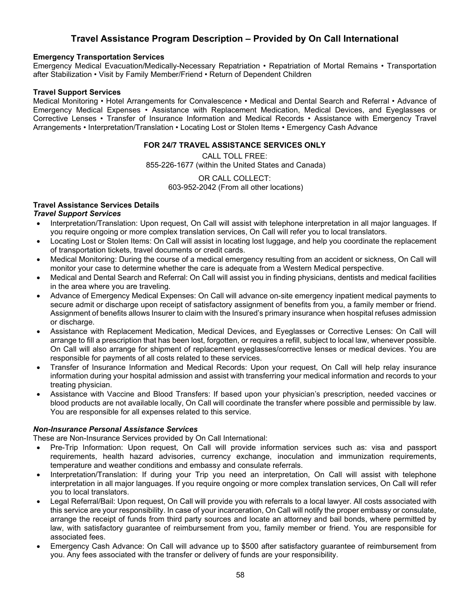# **Travel Assistance Program Description – Provided by On Call International**

#### **Emergency Transportation Services**

Emergency Medical Evacuation/Medically-Necessary Repatriation • Repatriation of Mortal Remains • Transportation after Stabilization • Visit by Family Member/Friend • Return of Dependent Children

#### **Travel Support Services**

Medical Monitoring • Hotel Arrangements for Convalescence • Medical and Dental Search and Referral • Advance of Emergency Medical Expenses • Assistance with Replacement Medication, Medical Devices, and Eyeglasses or Corrective Lenses • Transfer of Insurance Information and Medical Records • Assistance with Emergency Travel Arrangements • Interpretation/Translation • Locating Lost or Stolen Items • Emergency Cash Advance

#### **FOR 24/7 TRAVEL ASSISTANCE SERVICES ONLY**

CALL TOLL FREE: 855-226-1677 (within the United States and Canada)

> OR CALL COLLECT: 603-952-2042 (From all other locations)

# **Travel Assistance Services Details**

## *Travel Support Services*

- Interpretation/Translation: Upon request, On Call will assist with telephone interpretation in all major languages. If you require ongoing or more complex translation services, On Call will refer you to local translators.
- Locating Lost or Stolen Items: On Call will assist in locating lost luggage, and help you coordinate the replacement of transportation tickets, travel documents or credit cards.
- Medical Monitoring: During the course of a medical emergency resulting from an accident or sickness, On Call will monitor your case to determine whether the care is adequate from a Western Medical perspective.
- Medical and Dental Search and Referral: On Call will assist you in finding physicians, dentists and medical facilities in the area where you are traveling.
- Advance of Emergency Medical Expenses: On Call will advance on-site emergency inpatient medical payments to secure admit or discharge upon receipt of satisfactory assignment of benefits from you, a family member or friend. Assignment of benefits allows Insurer to claim with the Insured's primary insurance when hospital refuses admission or discharge.
- Assistance with Replacement Medication, Medical Devices, and Eyeglasses or Corrective Lenses: On Call will arrange to fill a prescription that has been lost, forgotten, or requires a refill, subject to local law, whenever possible. On Call will also arrange for shipment of replacement eyeglasses/corrective lenses or medical devices. You are responsible for payments of all costs related to these services.
- Transfer of Insurance Information and Medical Records: Upon your request, On Call will help relay insurance information during your hospital admission and assist with transferring your medical information and records to your treating physician.
- Assistance with Vaccine and Blood Transfers: If based upon your physician's prescription, needed vaccines or blood products are not available locally, On Call will coordinate the transfer where possible and permissible by law. You are responsible for all expenses related to this service.

## *Non-Insurance Personal Assistance Services*

These are Non-Insurance Services provided by On Call International:

- Pre-Trip Information: Upon request, On Call will provide information services such as: visa and passport requirements, health hazard advisories, currency exchange, inoculation and immunization requirements, temperature and weather conditions and embassy and consulate referrals.
- Interpretation/Translation: If during your Trip you need an interpretation, On Call will assist with telephone interpretation in all major languages. If you require ongoing or more complex translation services, On Call will refer you to local translators.
- Legal Referral/Bail: Upon request, On Call will provide you with referrals to a local lawyer. All costs associated with this service are your responsibility. In case of your incarceration, On Call will notify the proper embassy or consulate, arrange the receipt of funds from third party sources and locate an attorney and bail bonds, where permitted by law, with satisfactory guarantee of reimbursement from you, family member or friend. You are responsible for associated fees.
- Emergency Cash Advance: On Call will advance up to \$500 after satisfactory guarantee of reimbursement from you. Any fees associated with the transfer or delivery of funds are your responsibility.